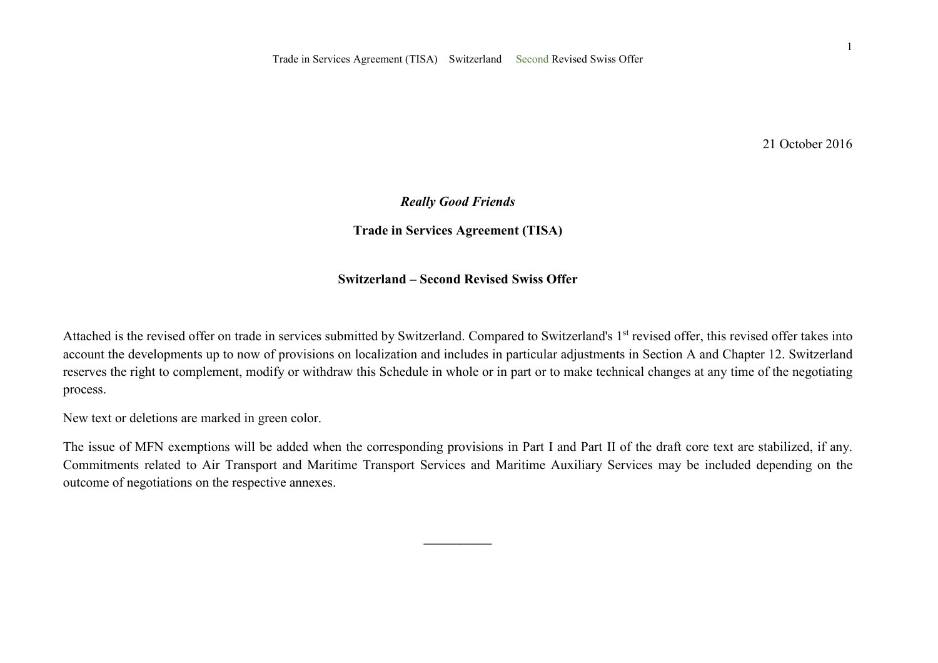21 October 2016

### *Really Good Friends*

**Trade in Services Agreement (TISA)** 

### **Switzerland – Second Revised Swiss Offer**

Attached is the revised offer on trade in services submitted by Switzerland. Compared to Switzerland's 1<sup>st</sup> revised offer, this revised offer takes into account the developments up to now of provisions on localization and includes in particular adjustments in Section A and Chapter 12. Switzerland reserves the right to complement, modify or withdraw this Schedule in whole or in part or to make technical changes at any time of the negotiating process.

New text or deletions are marked in green color.

The issue of MFN exemptions will be added when the corresponding provisions in Part I and Part II of the draft core text are stabilized, if any. Commitments related to Air Transport and Maritime Transport Services and Maritime Auxiliary Services may be included depending on the outcome of negotiations on the respective annexes.

 $\overline{\phantom{a}}$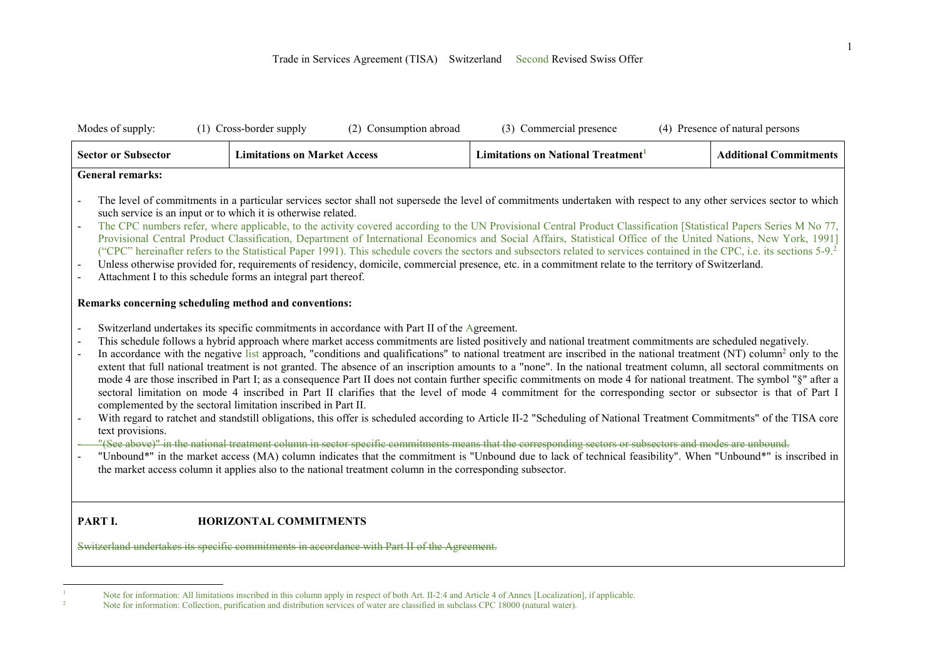| Modes of supply:                                                       | (1) Cross-border supply<br>(2) Consumption abroad                                                                                                                                                                                                                                                                                                                                                                                                                                                                                                                                                                                                                                                                                                                                                                                                                                                                                                                                                                                                                                                                                                                                                                                                                                                                                                                                                                                                                                                                                                                                                                                                 | (3) Commercial presence                        | (4) Presence of natural persons |
|------------------------------------------------------------------------|---------------------------------------------------------------------------------------------------------------------------------------------------------------------------------------------------------------------------------------------------------------------------------------------------------------------------------------------------------------------------------------------------------------------------------------------------------------------------------------------------------------------------------------------------------------------------------------------------------------------------------------------------------------------------------------------------------------------------------------------------------------------------------------------------------------------------------------------------------------------------------------------------------------------------------------------------------------------------------------------------------------------------------------------------------------------------------------------------------------------------------------------------------------------------------------------------------------------------------------------------------------------------------------------------------------------------------------------------------------------------------------------------------------------------------------------------------------------------------------------------------------------------------------------------------------------------------------------------------------------------------------------------|------------------------------------------------|---------------------------------|
| <b>Sector or Subsector</b>                                             | <b>Limitations on Market Access</b>                                                                                                                                                                                                                                                                                                                                                                                                                                                                                                                                                                                                                                                                                                                                                                                                                                                                                                                                                                                                                                                                                                                                                                                                                                                                                                                                                                                                                                                                                                                                                                                                               | Limitations on National Treatment <sup>1</sup> | <b>Additional Commitments</b>   |
| <b>General remarks:</b>                                                |                                                                                                                                                                                                                                                                                                                                                                                                                                                                                                                                                                                                                                                                                                                                                                                                                                                                                                                                                                                                                                                                                                                                                                                                                                                                                                                                                                                                                                                                                                                                                                                                                                                   |                                                |                                 |
| $\blacksquare$<br>$\blacksquare$<br>$\blacksquare$<br>$\blacksquare$   | The level of commitments in a particular services sector shall not supersede the level of commitments undertaken with respect to any other services sector to which<br>such service is an input or to which it is otherwise related.<br>The CPC numbers refer, where applicable, to the activity covered according to the UN Provisional Central Product Classification [Statistical Papers Series M No 77,<br>Provisional Central Product Classification, Department of International Economics and Social Affairs, Statistical Office of the United Nations, New York, 1991]<br>("CPC" hereinafter refers to the Statistical Paper 1991). This schedule covers the sectors and subsectors related to services contained in the CPC, i.e. its sections 5-9. <sup>2</sup><br>Unless otherwise provided for, requirements of residency, domicile, commercial presence, etc. in a commitment relate to the territory of Switzerland.<br>Attachment I to this schedule forms an integral part thereof.                                                                                                                                                                                                                                                                                                                                                                                                                                                                                                                                                                                                                                               |                                                |                                 |
|                                                                        | Remarks concerning scheduling method and conventions:                                                                                                                                                                                                                                                                                                                                                                                                                                                                                                                                                                                                                                                                                                                                                                                                                                                                                                                                                                                                                                                                                                                                                                                                                                                                                                                                                                                                                                                                                                                                                                                             |                                                |                                 |
| $\blacksquare$<br>$\blacksquare$<br>$\blacksquare$<br>text provisions. | Switzerland undertakes its specific commitments in accordance with Part II of the Agreement.<br>This schedule follows a hybrid approach where market access commitments are listed positively and national treatment commitments are scheduled negatively.<br>In accordance with the negative list approach, "conditions and qualifications" to national treatment are inscribed in the national treatment (NT) column <sup>2</sup> only to the<br>extent that full national treatment is not granted. The absence of an inscription amounts to a "none". In the national treatment column, all sectoral commitments on<br>mode 4 are those inscribed in Part I; as a consequence Part II does not contain further specific commitments on mode 4 for national treatment. The symbol "§" after a<br>sectoral limitation on mode 4 inscribed in Part II clarifies that the level of mode 4 commitment for the corresponding sector or subsector is that of Part I<br>complemented by the sectoral limitation inscribed in Part II.<br>With regard to ratchet and standstill obligations, this offer is scheduled according to Article II-2 "Scheduling of National Treatment Commitments" of the TISA core<br>"(See above)" in the national treatment column in sector specific commitments means that the corresponding sectors or subsectors and modes are unbound.<br>"Unbound*" in the market access (MA) column indicates that the commitment is "Unbound due to lack of technical feasibility". When "Unbound*" is inscribed in<br>the market access column it applies also to the national treatment column in the corresponding subsector. |                                                |                                 |
| PART I.                                                                | <b>HORIZONTAL COMMITMENTS</b>                                                                                                                                                                                                                                                                                                                                                                                                                                                                                                                                                                                                                                                                                                                                                                                                                                                                                                                                                                                                                                                                                                                                                                                                                                                                                                                                                                                                                                                                                                                                                                                                                     |                                                |                                 |
|                                                                        | Switzerland undertakes its specific commitments in accordance with Part II of the Agreement.                                                                                                                                                                                                                                                                                                                                                                                                                                                                                                                                                                                                                                                                                                                                                                                                                                                                                                                                                                                                                                                                                                                                                                                                                                                                                                                                                                                                                                                                                                                                                      |                                                |                                 |

 $\frac{1}{1}$ Note for information: All limitations inscribed in this column apply in respect of both Art. II-2:4 and Article 4 of Annex [Localization], if applicable.

<sup>2</sup> Note for information: Collection, purification and distribution services of water are classified in subclass CPC 18000 (natural water).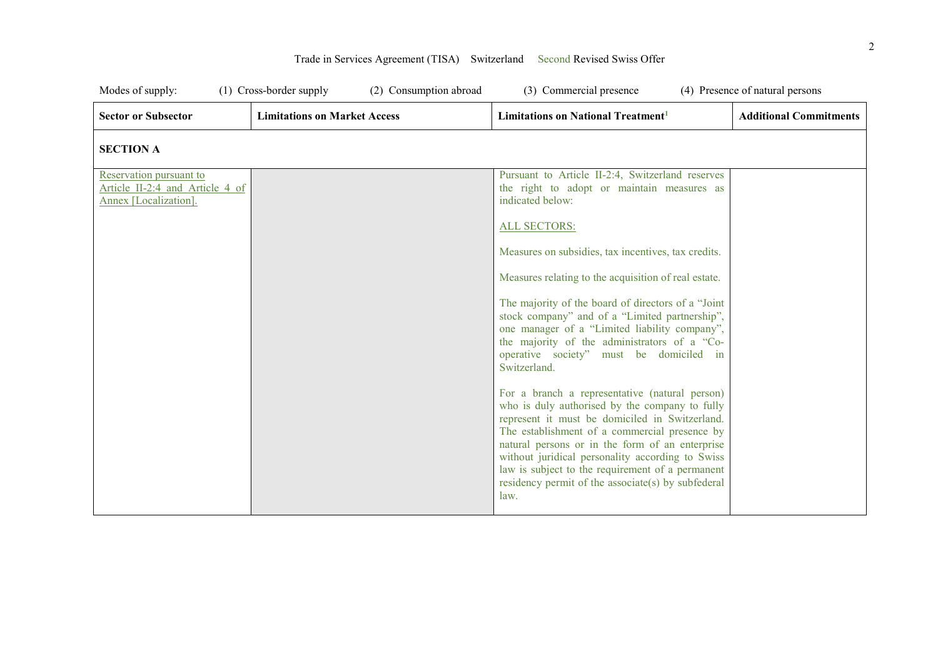| Modes of supply:                                                                    | (1) Cross-border supply<br>(2) Consumption abroad | (3) Commercial presence                                                                                                                                                                                                                                                                                                                                                                                                      | (4) Presence of natural persons |
|-------------------------------------------------------------------------------------|---------------------------------------------------|------------------------------------------------------------------------------------------------------------------------------------------------------------------------------------------------------------------------------------------------------------------------------------------------------------------------------------------------------------------------------------------------------------------------------|---------------------------------|
| <b>Sector or Subsector</b>                                                          | <b>Limitations on Market Access</b>               | Limitations on National Treatment <sup>1</sup>                                                                                                                                                                                                                                                                                                                                                                               | <b>Additional Commitments</b>   |
| <b>SECTION A</b>                                                                    |                                                   |                                                                                                                                                                                                                                                                                                                                                                                                                              |                                 |
| Reservation pursuant to<br>Article II-2:4 and Article 4 of<br>Annex [Localization]. |                                                   | Pursuant to Article II-2:4, Switzerland reserves<br>the right to adopt or maintain measures as<br>indicated below:<br><b>ALL SECTORS:</b><br>Measures on subsidies, tax incentives, tax credits.<br>Measures relating to the acquisition of real estate.                                                                                                                                                                     |                                 |
|                                                                                     |                                                   | The majority of the board of directors of a "Joint<br>stock company" and of a "Limited partnership",<br>one manager of a "Limited liability company",<br>the majority of the administrators of a "Co-<br>operative society" must be domiciled in<br>Switzerland.                                                                                                                                                             |                                 |
|                                                                                     |                                                   | For a branch a representative (natural person)<br>who is duly authorised by the company to fully<br>represent it must be domiciled in Switzerland.<br>The establishment of a commercial presence by<br>natural persons or in the form of an enterprise<br>without juridical personality according to Swiss<br>law is subject to the requirement of a permanent<br>residency permit of the associate(s) by subfederal<br>law. |                                 |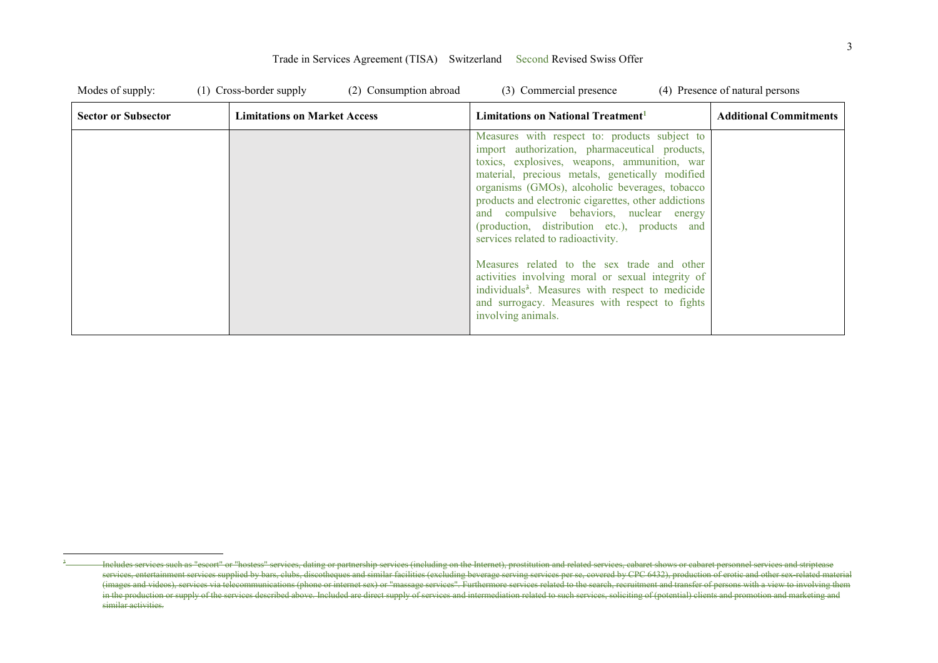| Modes of supply:           | $(1)$ Cross-border supply<br>(2) Consumption abroad | (3) Commercial presence                                                                                                                                                                                                                                                                                                                                                                                                                                                                                                                                                                                                                                                                     | (4) Presence of natural persons |
|----------------------------|-----------------------------------------------------|---------------------------------------------------------------------------------------------------------------------------------------------------------------------------------------------------------------------------------------------------------------------------------------------------------------------------------------------------------------------------------------------------------------------------------------------------------------------------------------------------------------------------------------------------------------------------------------------------------------------------------------------------------------------------------------------|---------------------------------|
| <b>Sector or Subsector</b> | <b>Limitations on Market Access</b>                 | Limitations on National Treatment <sup>1</sup>                                                                                                                                                                                                                                                                                                                                                                                                                                                                                                                                                                                                                                              | <b>Additional Commitments</b>   |
|                            |                                                     | Measures with respect to: products subject to<br>import authorization, pharmaceutical products,<br>toxics, explosives, weapons, ammunition, war<br>material, precious metals, genetically modified<br>organisms (GMOs), alcoholic beverages, tobacco<br>products and electronic cigarettes, other addictions<br>and compulsive behaviors, nuclear energy<br>(production, distribution etc.), products and<br>services related to radioactivity.<br>Measures related to the sex trade and other<br>activities involving moral or sexual integrity of<br>individuals <sup>3</sup> . Measures with respect to medicide<br>and surrogacy. Measures with respect to fights<br>involving animals. |                                 |

 $\overline{a}$ 3

Includes services such as "escort" or "hostess" services, dating or partnership services (including on the Internet), prostitution and related services, cabaret shows or cabaret personnel services and striptease services, entertainment services supplied by bars, clubs, discotheques and similar facilities (excluding beverage serving services per se, covered by CPC 6432), production of erotic and other sex-related material eraction (images and videos), services via telecommunications (phone or internet sex) or "massage services". Furthermore services related to the search, recruitment and transfer of persons with a view to involving them in the production or supply of the services described above. Included are direct supply of services and intermediation related to such services, soliciting of (potential) clients and promotion and marketing and similar activities.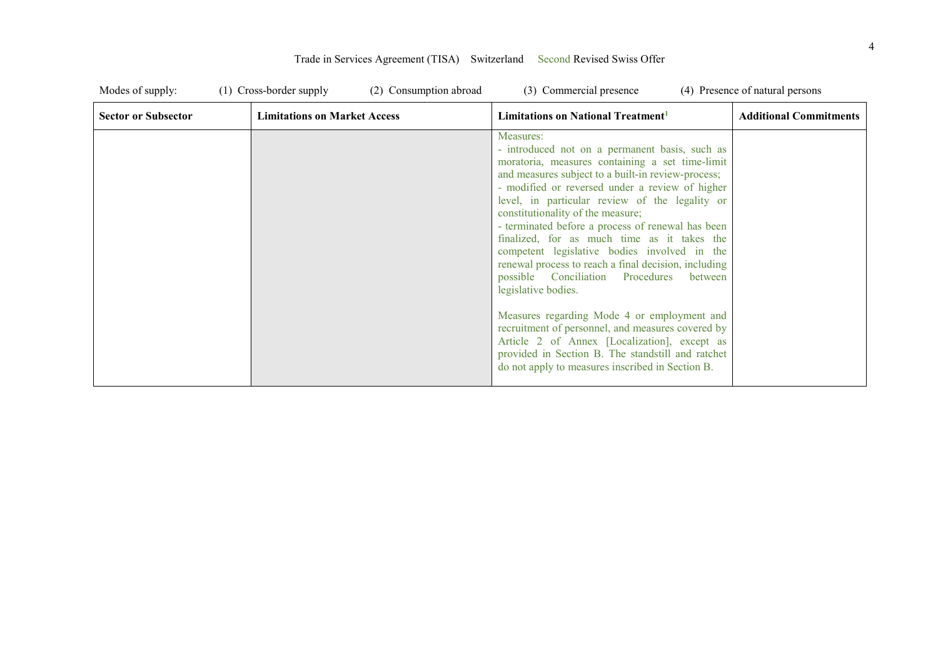| Modes of supply:           | (1) Cross-border supply<br>(2) Consumption abroad | (3) Commercial presence                                                                                                                                                                                                                                                                                                                                                                                                                                                                                                                                                                                                                                                                                                                                                                                                                                       | (4) Presence of natural persons |
|----------------------------|---------------------------------------------------|---------------------------------------------------------------------------------------------------------------------------------------------------------------------------------------------------------------------------------------------------------------------------------------------------------------------------------------------------------------------------------------------------------------------------------------------------------------------------------------------------------------------------------------------------------------------------------------------------------------------------------------------------------------------------------------------------------------------------------------------------------------------------------------------------------------------------------------------------------------|---------------------------------|
| <b>Sector or Subsector</b> | <b>Limitations on Market Access</b>               | Limitations on National Treatment <sup>1</sup>                                                                                                                                                                                                                                                                                                                                                                                                                                                                                                                                                                                                                                                                                                                                                                                                                | <b>Additional Commitments</b>   |
|                            |                                                   | Measures:<br>- introduced not on a permanent basis, such as<br>moratoria, measures containing a set time-limit<br>and measures subject to a built-in review-process;<br>- modified or reversed under a review of higher<br>level, in particular review of the legality or<br>constitutionality of the measure;<br>- terminated before a process of renewal has been<br>finalized, for as much time as it takes the<br>competent legislative bodies involved in the<br>renewal process to reach a final decision, including<br>possible Conciliation Procedures<br>between<br>legislative bodies.<br>Measures regarding Mode 4 or employment and<br>recruitment of personnel, and measures covered by<br>Article 2 of Annex [Localization], except as<br>provided in Section B. The standstill and ratchet<br>do not apply to measures inscribed in Section B. |                                 |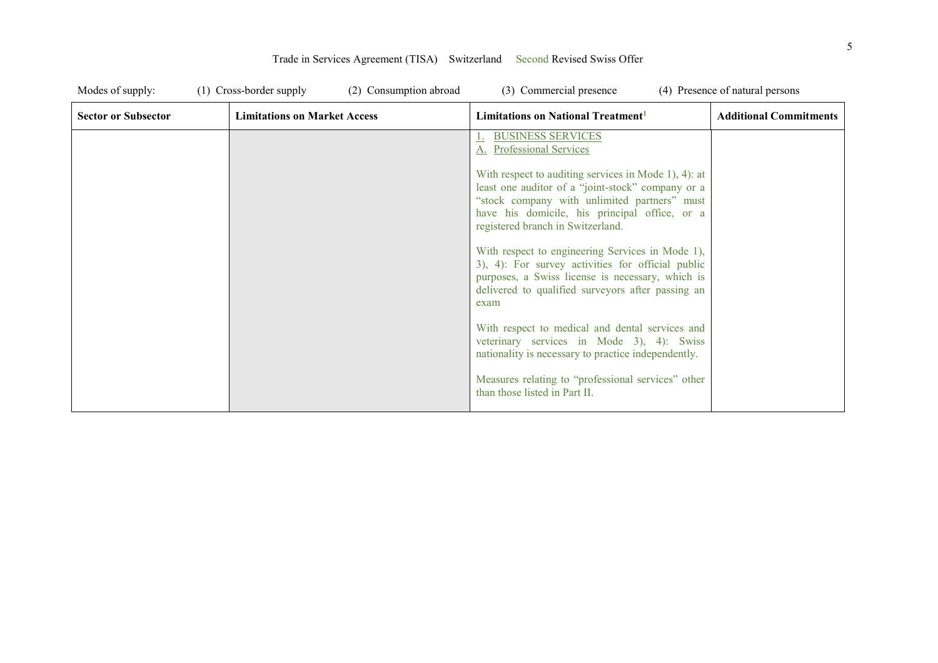| Modes of supply:           | (1) Cross-border supply<br>(2) Consumption abroad | (3) Commercial presence                                                                                                                                                                                                                                                                                                                                                                                                                                                                                                                                                                                                                                                                                                                                                         | (4) Presence of natural persons |
|----------------------------|---------------------------------------------------|---------------------------------------------------------------------------------------------------------------------------------------------------------------------------------------------------------------------------------------------------------------------------------------------------------------------------------------------------------------------------------------------------------------------------------------------------------------------------------------------------------------------------------------------------------------------------------------------------------------------------------------------------------------------------------------------------------------------------------------------------------------------------------|---------------------------------|
| <b>Sector or Subsector</b> | <b>Limitations on Market Access</b>               | Limitations on National Treatment <sup>1</sup>                                                                                                                                                                                                                                                                                                                                                                                                                                                                                                                                                                                                                                                                                                                                  | <b>Additional Commitments</b>   |
|                            |                                                   | <b>BUSINESS SERVICES</b><br>A. Professional Services<br>With respect to auditing services in Mode 1), 4): at<br>least one auditor of a "joint-stock" company or a<br>"stock company with unlimited partners" must<br>have his domicile, his principal office, or a<br>registered branch in Switzerland.<br>With respect to engineering Services in Mode 1),<br>3), 4): For survey activities for official public<br>purposes, a Swiss license is necessary, which is<br>delivered to qualified surveyors after passing an<br>exam<br>With respect to medical and dental services and<br>veterinary services in Mode 3), 4): Swiss<br>nationality is necessary to practice independently.<br>Measures relating to "professional services" other<br>than those listed in Part II. |                                 |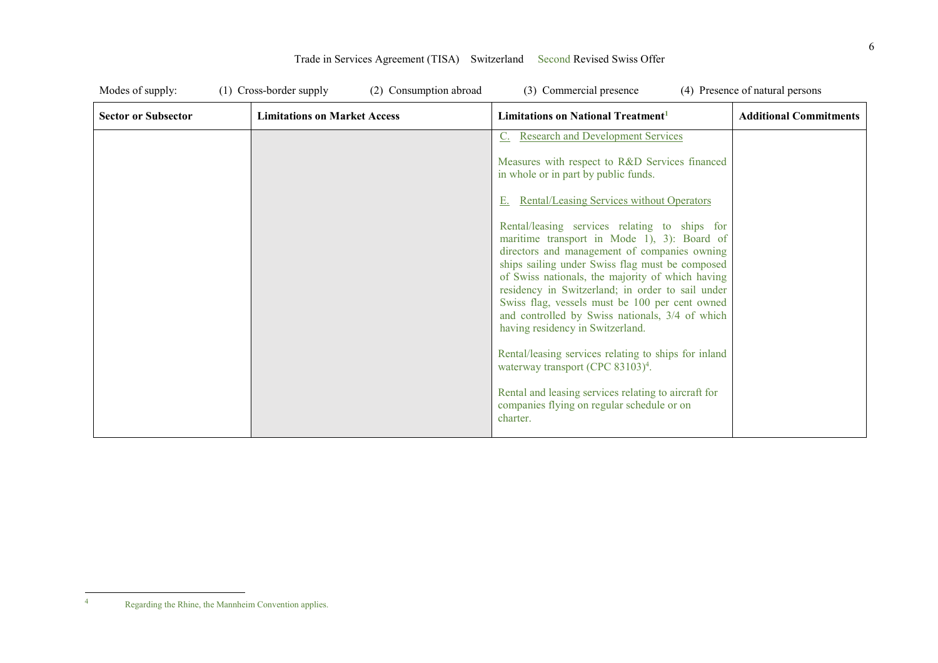| Modes of supply:           | (1) Cross-border supply<br>(2) Consumption abroad | (3) Commercial presence                                                                                                                                                                                                                                                                                                                                                                                                                                                                                                                                                                                                                                                                                                                                                                                                                                               | (4) Presence of natural persons |
|----------------------------|---------------------------------------------------|-----------------------------------------------------------------------------------------------------------------------------------------------------------------------------------------------------------------------------------------------------------------------------------------------------------------------------------------------------------------------------------------------------------------------------------------------------------------------------------------------------------------------------------------------------------------------------------------------------------------------------------------------------------------------------------------------------------------------------------------------------------------------------------------------------------------------------------------------------------------------|---------------------------------|
| <b>Sector or Subsector</b> | <b>Limitations on Market Access</b>               | Limitations on National Treatment <sup>1</sup>                                                                                                                                                                                                                                                                                                                                                                                                                                                                                                                                                                                                                                                                                                                                                                                                                        | <b>Additional Commitments</b>   |
|                            |                                                   | <b>Research and Development Services</b><br>Measures with respect to R&D Services financed<br>in whole or in part by public funds.<br><b>Rental/Leasing Services without Operators</b><br>Rental/leasing services relating to ships for<br>maritime transport in Mode 1), 3): Board of<br>directors and management of companies owning<br>ships sailing under Swiss flag must be composed<br>of Swiss nationals, the majority of which having<br>residency in Switzerland; in order to sail under<br>Swiss flag, vessels must be 100 per cent owned<br>and controlled by Swiss nationals, 3/4 of which<br>having residency in Switzerland.<br>Rental/leasing services relating to ships for inland<br>waterway transport (CPC 83103) <sup>4</sup> .<br>Rental and leasing services relating to aircraft for<br>companies flying on regular schedule or on<br>charter. |                                 |

 $\frac{1}{4}$ Regarding the Rhine, the Mannheim Convention applies.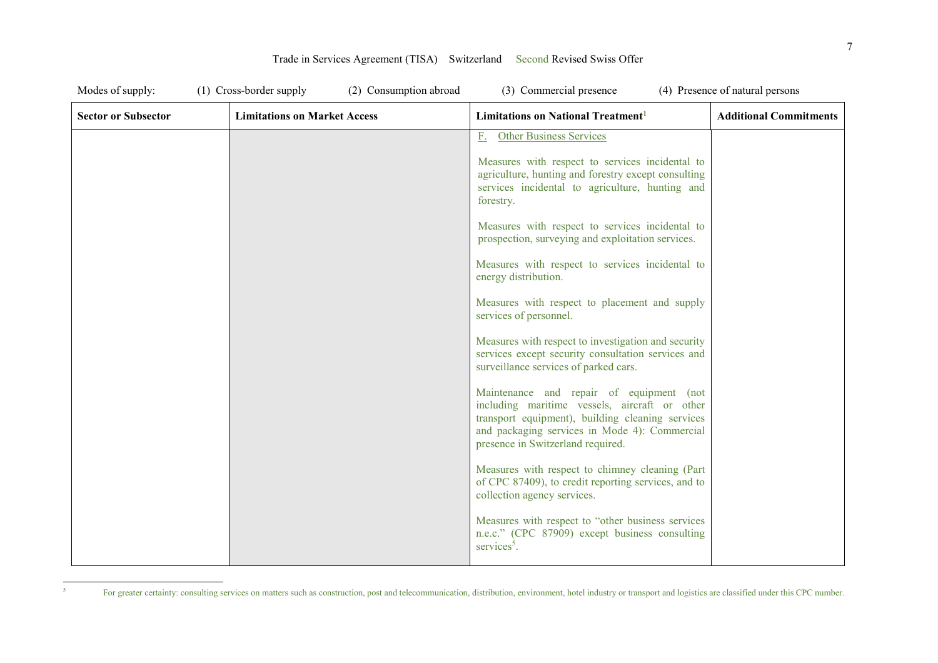| Modes of supply:           | (1) Cross-border supply<br>(2) Consumption abroad | (3) Commercial presence                                                                                                                                                                                                             | (4) Presence of natural persons |
|----------------------------|---------------------------------------------------|-------------------------------------------------------------------------------------------------------------------------------------------------------------------------------------------------------------------------------------|---------------------------------|
| <b>Sector or Subsector</b> | <b>Limitations on Market Access</b>               | Limitations on National Treatment <sup>1</sup>                                                                                                                                                                                      | <b>Additional Commitments</b>   |
|                            |                                                   | <b>Other Business Services</b><br>$E_{\star}$                                                                                                                                                                                       |                                 |
|                            |                                                   | Measures with respect to services incidental to<br>agriculture, hunting and forestry except consulting<br>services incidental to agriculture, hunting and<br>forestry.                                                              |                                 |
|                            |                                                   | Measures with respect to services incidental to<br>prospection, surveying and exploitation services.                                                                                                                                |                                 |
|                            |                                                   | Measures with respect to services incidental to<br>energy distribution.                                                                                                                                                             |                                 |
|                            |                                                   | Measures with respect to placement and supply<br>services of personnel.                                                                                                                                                             |                                 |
|                            |                                                   | Measures with respect to investigation and security<br>services except security consultation services and<br>surveillance services of parked cars.                                                                                  |                                 |
|                            |                                                   | Maintenance and repair of equipment (not<br>including maritime vessels, aircraft or other<br>transport equipment), building cleaning services<br>and packaging services in Mode 4): Commercial<br>presence in Switzerland required. |                                 |
|                            |                                                   | Measures with respect to chimney cleaning (Part<br>of CPC 87409), to credit reporting services, and to<br>collection agency services.                                                                                               |                                 |
|                            |                                                   | Measures with respect to "other business services<br>n.e.c." (CPC 87909) except business consulting<br>services $5$ .                                                                                                               |                                 |

5

For greater certainty: consulting services on matters such as construction, post and telecommunication, distribution, environment, hotel industry or transport and logistics are classified under this CPC number.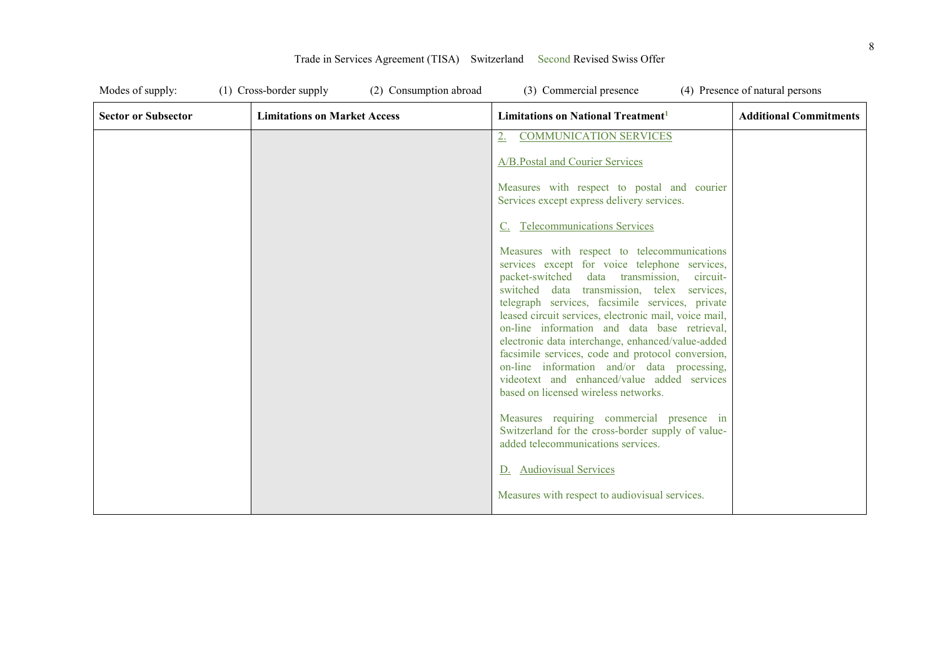| Modes of supply:           | (1) Cross-border supply<br>(2) Consumption abroad | (3) Commercial presence                                                                                                                                                                                                                                                                                                                                                                                                                                                                                                                                                                                      | (4) Presence of natural persons |
|----------------------------|---------------------------------------------------|--------------------------------------------------------------------------------------------------------------------------------------------------------------------------------------------------------------------------------------------------------------------------------------------------------------------------------------------------------------------------------------------------------------------------------------------------------------------------------------------------------------------------------------------------------------------------------------------------------------|---------------------------------|
| <b>Sector or Subsector</b> | <b>Limitations on Market Access</b>               | Limitations on National Treatment <sup>1</sup>                                                                                                                                                                                                                                                                                                                                                                                                                                                                                                                                                               | <b>Additional Commitments</b>   |
|                            |                                                   | <b>COMMUNICATION SERVICES</b>                                                                                                                                                                                                                                                                                                                                                                                                                                                                                                                                                                                |                                 |
|                            |                                                   | A/B. Postal and Courier Services                                                                                                                                                                                                                                                                                                                                                                                                                                                                                                                                                                             |                                 |
|                            |                                                   | Measures with respect to postal and courier<br>Services except express delivery services.                                                                                                                                                                                                                                                                                                                                                                                                                                                                                                                    |                                 |
|                            |                                                   | C. Telecommunications Services                                                                                                                                                                                                                                                                                                                                                                                                                                                                                                                                                                               |                                 |
|                            |                                                   | Measures with respect to telecommunications<br>services except for voice telephone services,<br>packet-switched<br>data transmission,<br>circuit-<br>switched data transmission, telex services,<br>telegraph services, facsimile services, private<br>leased circuit services, electronic mail, voice mail,<br>on-line information and data base retrieval,<br>electronic data interchange, enhanced/value-added<br>facsimile services, code and protocol conversion,<br>on-line information and/or data processing,<br>videotext and enhanced/value added services<br>based on licensed wireless networks. |                                 |
|                            |                                                   | Measures requiring commercial presence in<br>Switzerland for the cross-border supply of value-<br>added telecommunications services.                                                                                                                                                                                                                                                                                                                                                                                                                                                                         |                                 |
|                            |                                                   | D. Audiovisual Services                                                                                                                                                                                                                                                                                                                                                                                                                                                                                                                                                                                      |                                 |
|                            |                                                   | Measures with respect to audiovisual services.                                                                                                                                                                                                                                                                                                                                                                                                                                                                                                                                                               |                                 |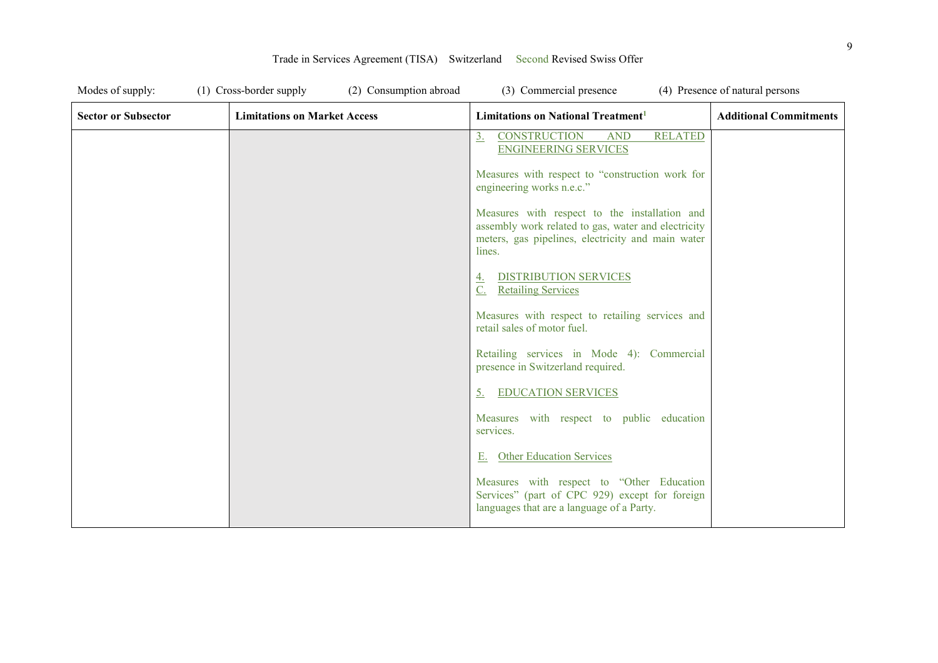| Modes of supply:           | (1) Cross-border supply<br>(2) Consumption abroad | (3) Commercial presence                                                                                                                                             | (4) Presence of natural persons |
|----------------------------|---------------------------------------------------|---------------------------------------------------------------------------------------------------------------------------------------------------------------------|---------------------------------|
| <b>Sector or Subsector</b> | <b>Limitations on Market Access</b>               | Limitations on National Treatment <sup>1</sup>                                                                                                                      | <b>Additional Commitments</b>   |
|                            |                                                   | <b>RELATED</b><br>3 <sub>1</sub><br><b>CONSTRUCTION</b><br><b>AND</b><br><b>ENGINEERING SERVICES</b>                                                                |                                 |
|                            |                                                   | Measures with respect to "construction work for<br>engineering works n.e.c."                                                                                        |                                 |
|                            |                                                   | Measures with respect to the installation and<br>assembly work related to gas, water and electricity<br>meters, gas pipelines, electricity and main water<br>lines. |                                 |
|                            |                                                   | <b>DISTRIBUTION SERVICES</b><br>4.<br><b>Retailing Services</b>                                                                                                     |                                 |
|                            |                                                   | Measures with respect to retailing services and<br>retail sales of motor fuel.                                                                                      |                                 |
|                            |                                                   | Retailing services in Mode 4): Commercial<br>presence in Switzerland required.                                                                                      |                                 |
|                            |                                                   | <b>EDUCATION SERVICES</b><br><u>5.</u>                                                                                                                              |                                 |
|                            |                                                   | Measures with respect to public education<br>services.                                                                                                              |                                 |
|                            |                                                   | <b>Other Education Services</b><br>Е.                                                                                                                               |                                 |
|                            |                                                   | Measures with respect to "Other Education<br>Services" (part of CPC 929) except for foreign<br>languages that are a language of a Party.                            |                                 |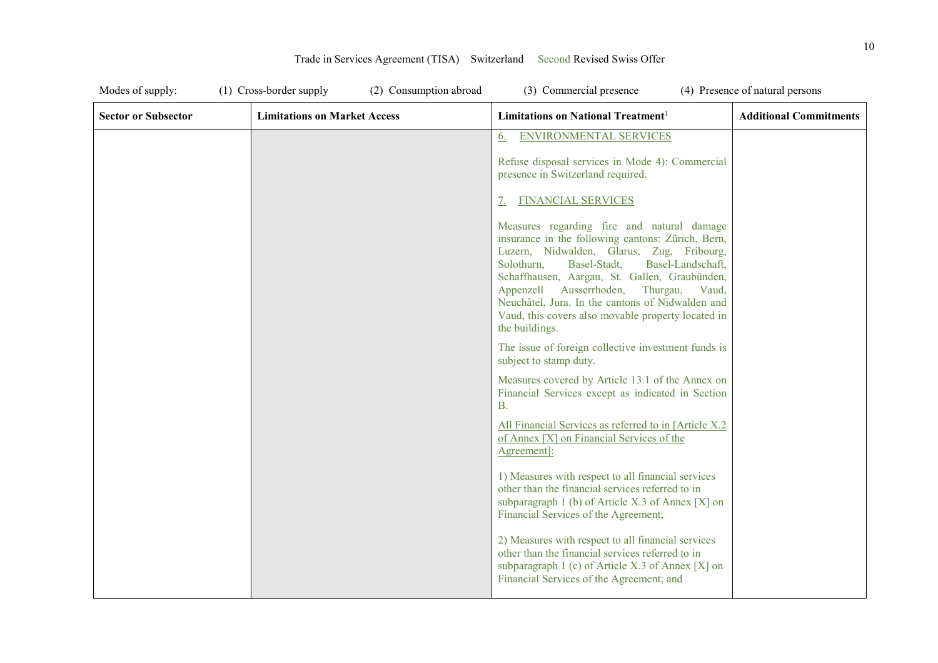| Modes of supply:           | (2) Consumption abroad<br>(1) Cross-border supply | (3) Commercial presence                                                                                                                                                                                                                                                                                                                                                                                                   | (4) Presence of natural persons |
|----------------------------|---------------------------------------------------|---------------------------------------------------------------------------------------------------------------------------------------------------------------------------------------------------------------------------------------------------------------------------------------------------------------------------------------------------------------------------------------------------------------------------|---------------------------------|
| <b>Sector or Subsector</b> | <b>Limitations on Market Access</b>               | Limitations on National Treatment <sup>1</sup>                                                                                                                                                                                                                                                                                                                                                                            | <b>Additional Commitments</b>   |
|                            |                                                   | <b>ENVIRONMENTAL SERVICES</b><br>6.                                                                                                                                                                                                                                                                                                                                                                                       |                                 |
|                            |                                                   | Refuse disposal services in Mode 4): Commercial<br>presence in Switzerland required.                                                                                                                                                                                                                                                                                                                                      |                                 |
|                            |                                                   | <b>FINANCIAL SERVICES</b><br><u>7.</u>                                                                                                                                                                                                                                                                                                                                                                                    |                                 |
|                            |                                                   | Measures regarding fire and natural damage<br>insurance in the following cantons: Zürich, Bern,<br>Luzern, Nidwalden, Glarus, Zug, Fribourg,<br>Basel-Stadt,<br>Basel-Landschaft,<br>Solothurn,<br>Schaffhausen, Aargau, St. Gallen, Graubünden,<br>Appenzell Ausserrhoden, Thurgau,<br>Vaud,<br>Neuchâtel, Jura. In the cantons of Nidwalden and<br>Vaud, this covers also movable property located in<br>the buildings. |                                 |
|                            |                                                   | The issue of foreign collective investment funds is<br>subject to stamp duty.                                                                                                                                                                                                                                                                                                                                             |                                 |
|                            |                                                   | Measures covered by Article 13.1 of the Annex on<br>Financial Services except as indicated in Section<br><b>B.</b>                                                                                                                                                                                                                                                                                                        |                                 |
|                            |                                                   | All Financial Services as referred to in [Article X.2]<br>of Annex [X] on Financial Services of the<br>Agreement]:                                                                                                                                                                                                                                                                                                        |                                 |
|                            |                                                   | 1) Measures with respect to all financial services<br>other than the financial services referred to in<br>subparagraph 1 (b) of Article X.3 of Annex [X] on<br>Financial Services of the Agreement;                                                                                                                                                                                                                       |                                 |
|                            |                                                   | 2) Measures with respect to all financial services<br>other than the financial services referred to in<br>subparagraph 1 (c) of Article X.3 of Annex [X] on<br>Financial Services of the Agreement; and                                                                                                                                                                                                                   |                                 |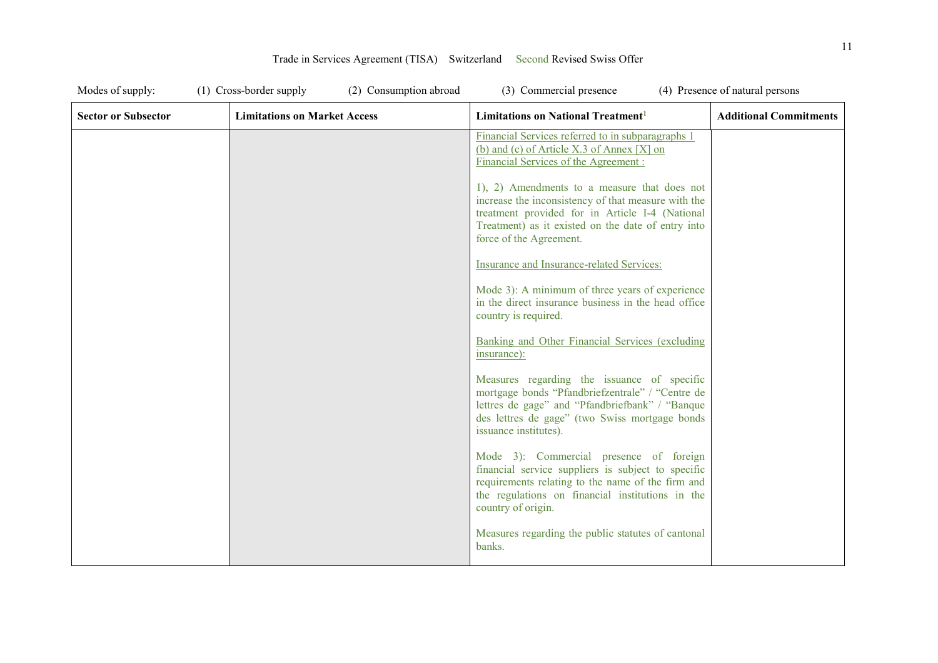| Modes of supply:           | (1) Cross-border supply<br>(2) Consumption abroad | (3) Commercial presence                                                                                                                                                                                                                 | (4) Presence of natural persons |
|----------------------------|---------------------------------------------------|-----------------------------------------------------------------------------------------------------------------------------------------------------------------------------------------------------------------------------------------|---------------------------------|
| <b>Sector or Subsector</b> | <b>Limitations on Market Access</b>               | Limitations on National Treatment <sup>1</sup>                                                                                                                                                                                          | <b>Additional Commitments</b>   |
|                            |                                                   | Financial Services referred to in subparagraphs 1<br>(b) and (c) of Article X.3 of Annex [X] on<br>Financial Services of the Agreement:                                                                                                 |                                 |
|                            |                                                   | 1), 2) Amendments to a measure that does not<br>increase the inconsistency of that measure with the<br>treatment provided for in Article I-4 (National<br>Treatment) as it existed on the date of entry into<br>force of the Agreement. |                                 |
|                            |                                                   | Insurance and Insurance-related Services:                                                                                                                                                                                               |                                 |
|                            |                                                   | Mode 3): A minimum of three years of experience<br>in the direct insurance business in the head office<br>country is required.                                                                                                          |                                 |
|                            |                                                   | Banking and Other Financial Services (excluding<br>insurance):                                                                                                                                                                          |                                 |
|                            |                                                   | Measures regarding the issuance of specific<br>mortgage bonds "Pfandbriefzentrale" / "Centre de<br>lettres de gage" and "Pfandbriefbank" / "Banque<br>des lettres de gage" (two Swiss mortgage bonds<br>issuance institutes).           |                                 |
|                            |                                                   | Mode 3): Commercial presence of foreign<br>financial service suppliers is subject to specific<br>requirements relating to the name of the firm and<br>the regulations on financial institutions in the<br>country of origin.            |                                 |
|                            |                                                   | Measures regarding the public statutes of cantonal<br>banks.                                                                                                                                                                            |                                 |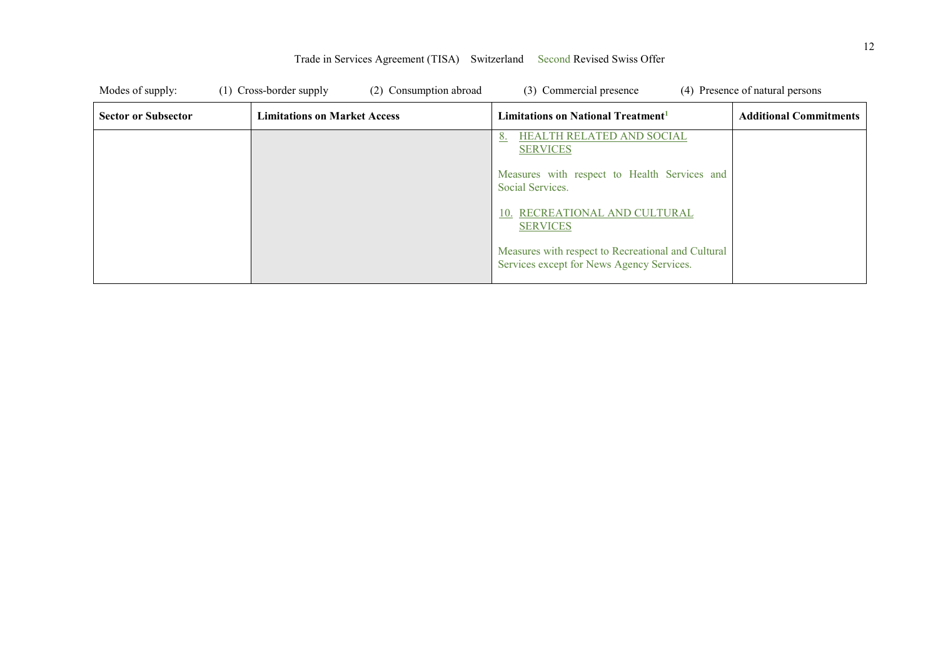| Modes of supply:           | (1) Cross-border supply             | (2) Consumption abroad | (3) Commercial presence                                                                         | (4) Presence of natural persons |
|----------------------------|-------------------------------------|------------------------|-------------------------------------------------------------------------------------------------|---------------------------------|
| <b>Sector or Subsector</b> | <b>Limitations on Market Access</b> |                        | Limitations on National Treatment <sup>1</sup>                                                  | <b>Additional Commitments</b>   |
|                            |                                     |                        | <b>HEALTH RELATED AND SOCIAL</b><br><b>SERVICES</b>                                             |                                 |
|                            |                                     |                        | Measures with respect to Health Services and<br>Social Services.                                |                                 |
|                            |                                     |                        | 10. RECREATIONAL AND CULTURAL<br><b>SERVICES</b>                                                |                                 |
|                            |                                     |                        | Measures with respect to Recreational and Cultural<br>Services except for News Agency Services. |                                 |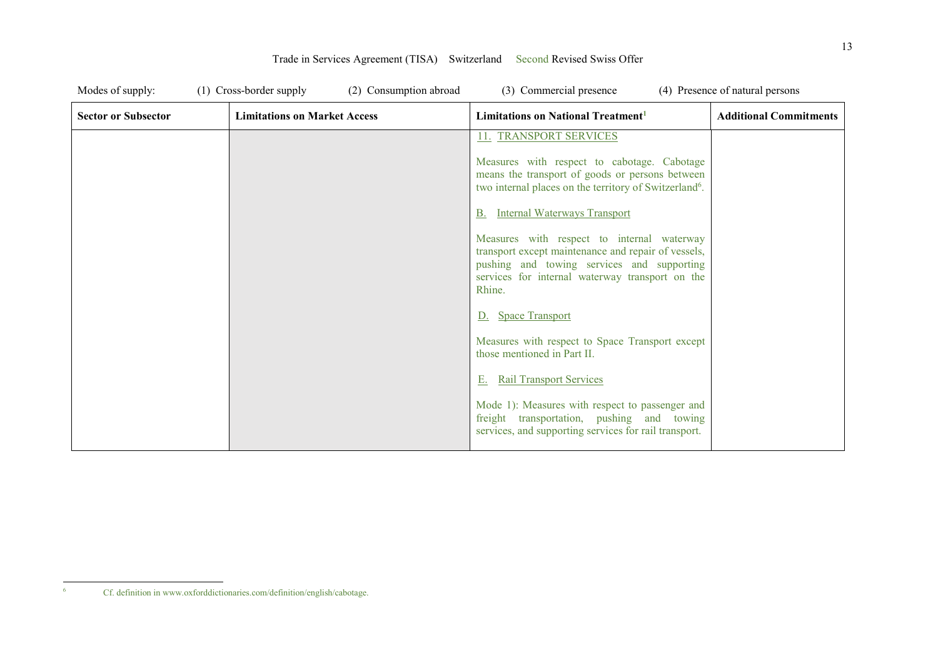| Modes of supply:           | (1) Cross-border supply<br>(2) Consumption abroad | (3) Commercial presence                                                                                                                                                                                      | (4) Presence of natural persons |
|----------------------------|---------------------------------------------------|--------------------------------------------------------------------------------------------------------------------------------------------------------------------------------------------------------------|---------------------------------|
| <b>Sector or Subsector</b> | <b>Limitations on Market Access</b>               | Limitations on National Treatment <sup>1</sup>                                                                                                                                                               | <b>Additional Commitments</b>   |
|                            |                                                   | 11. TRANSPORT SERVICES                                                                                                                                                                                       |                                 |
|                            |                                                   | Measures with respect to cabotage. Cabotage<br>means the transport of goods or persons between<br>two internal places on the territory of Switzerland <sup>6</sup> .                                         |                                 |
|                            |                                                   | <b>Internal Waterways Transport</b>                                                                                                                                                                          |                                 |
|                            |                                                   | Measures with respect to internal waterway<br>transport except maintenance and repair of vessels,<br>pushing and towing services and supporting<br>services for internal waterway transport on the<br>Rhine. |                                 |
|                            |                                                   | D. Space Transport                                                                                                                                                                                           |                                 |
|                            |                                                   | Measures with respect to Space Transport except<br>those mentioned in Part II.                                                                                                                               |                                 |
|                            |                                                   | <b>Rail Transport Services</b><br>Е.                                                                                                                                                                         |                                 |
|                            |                                                   | Mode 1): Measures with respect to passenger and<br>freight transportation, pushing and towing<br>services, and supporting services for rail transport.                                                       |                                 |

 $\frac{1}{6}$ Cf. definition in www.oxforddictionaries.com/definition/english/cabotage.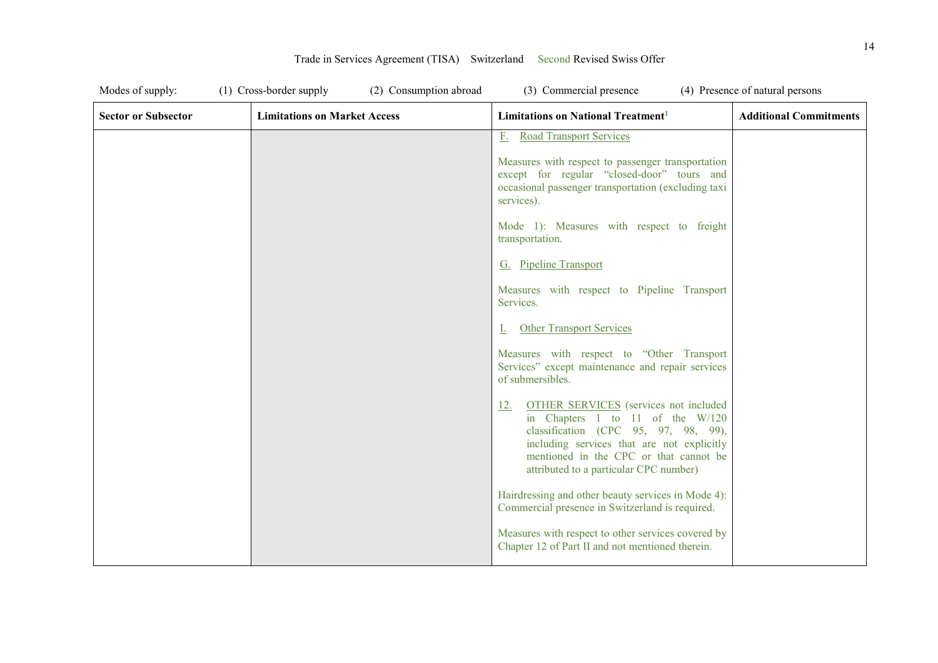| Modes of supply:           | (1) Cross-border supply             | (2) Consumption abroad<br>(3) Commercial presence                                                                                                                                                                                                                        | (4) Presence of natural persons |
|----------------------------|-------------------------------------|--------------------------------------------------------------------------------------------------------------------------------------------------------------------------------------------------------------------------------------------------------------------------|---------------------------------|
| <b>Sector or Subsector</b> | <b>Limitations on Market Access</b> | Limitations on National Treatment <sup>1</sup>                                                                                                                                                                                                                           | <b>Additional Commitments</b>   |
|                            |                                     | <b>Road Transport Services</b><br>$F_{\rm c}$                                                                                                                                                                                                                            |                                 |
|                            |                                     | Measures with respect to passenger transportation<br>except for regular "closed-door" tours and<br>occasional passenger transportation (excluding taxi<br>services).                                                                                                     |                                 |
|                            |                                     | Mode 1): Measures with respect to freight<br>transportation.                                                                                                                                                                                                             |                                 |
|                            |                                     | G. Pipeline Transport                                                                                                                                                                                                                                                    |                                 |
|                            |                                     | Measures with respect to Pipeline Transport<br>Services.                                                                                                                                                                                                                 |                                 |
|                            |                                     | <b>Other Transport Services</b><br>L.                                                                                                                                                                                                                                    |                                 |
|                            |                                     | Measures with respect to "Other Transport<br>Services" except maintenance and repair services<br>of submersibles.                                                                                                                                                        |                                 |
|                            |                                     | <b>OTHER SERVICES</b> (services not included<br><u>12.</u><br>in Chapters 1 to 11 of the W/120<br>classification (CPC 95, 97, 98, 99),<br>including services that are not explicitly<br>mentioned in the CPC or that cannot be<br>attributed to a particular CPC number) |                                 |
|                            |                                     | Hairdressing and other beauty services in Mode 4):<br>Commercial presence in Switzerland is required.                                                                                                                                                                    |                                 |
|                            |                                     | Measures with respect to other services covered by<br>Chapter 12 of Part II and not mentioned therein.                                                                                                                                                                   |                                 |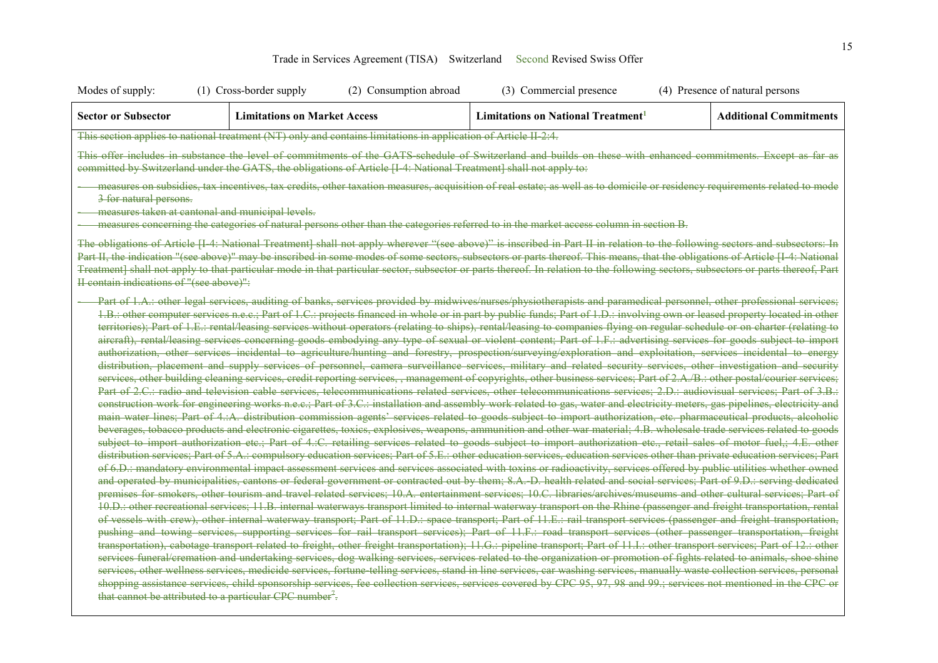| Modes of supply:                                                                                                                                                                                                                                                                                                                                                                                                                                                                                                                                                                                                                                                                                                                                                                                                                                                                                                                                                                                                                                                                                                                                                                                                                                                                                                                                                                                                                                                                                                                                                                                                                                                                                                                                                                                                                                                                                                                                                                                                                                                                                                                                                                                                                                                                                                                                                                                                                                                                                                                                                                                                                                                                                                                                                                                                                                                                                                                                                                                                                                                                                                                                                                                                                                                                                                                                                                                                                                                                                                                                                                                                                                                                                                                                                                                                                                                                                                                                                                                                                                                                                                    | (1) Cross-border supply                                                                                           | (2) Consumption abroad | (3) Commercial presence                                                                                                               | (4) Presence of natural persons                                                                                                                                                                                                                                                                                                                              |  |
|---------------------------------------------------------------------------------------------------------------------------------------------------------------------------------------------------------------------------------------------------------------------------------------------------------------------------------------------------------------------------------------------------------------------------------------------------------------------------------------------------------------------------------------------------------------------------------------------------------------------------------------------------------------------------------------------------------------------------------------------------------------------------------------------------------------------------------------------------------------------------------------------------------------------------------------------------------------------------------------------------------------------------------------------------------------------------------------------------------------------------------------------------------------------------------------------------------------------------------------------------------------------------------------------------------------------------------------------------------------------------------------------------------------------------------------------------------------------------------------------------------------------------------------------------------------------------------------------------------------------------------------------------------------------------------------------------------------------------------------------------------------------------------------------------------------------------------------------------------------------------------------------------------------------------------------------------------------------------------------------------------------------------------------------------------------------------------------------------------------------------------------------------------------------------------------------------------------------------------------------------------------------------------------------------------------------------------------------------------------------------------------------------------------------------------------------------------------------------------------------------------------------------------------------------------------------------------------------------------------------------------------------------------------------------------------------------------------------------------------------------------------------------------------------------------------------------------------------------------------------------------------------------------------------------------------------------------------------------------------------------------------------------------------------------------------------------------------------------------------------------------------------------------------------------------------------------------------------------------------------------------------------------------------------------------------------------------------------------------------------------------------------------------------------------------------------------------------------------------------------------------------------------------------------------------------------------------------------------------------------------------------------------------------------------------------------------------------------------------------------------------------------------------------------------------------------------------------------------------------------------------------------------------------------------------------------------------------------------------------------------------------------------------------------------------------------------------------------------------------------|-------------------------------------------------------------------------------------------------------------------|------------------------|---------------------------------------------------------------------------------------------------------------------------------------|--------------------------------------------------------------------------------------------------------------------------------------------------------------------------------------------------------------------------------------------------------------------------------------------------------------------------------------------------------------|--|
| <b>Sector or Subsector</b>                                                                                                                                                                                                                                                                                                                                                                                                                                                                                                                                                                                                                                                                                                                                                                                                                                                                                                                                                                                                                                                                                                                                                                                                                                                                                                                                                                                                                                                                                                                                                                                                                                                                                                                                                                                                                                                                                                                                                                                                                                                                                                                                                                                                                                                                                                                                                                                                                                                                                                                                                                                                                                                                                                                                                                                                                                                                                                                                                                                                                                                                                                                                                                                                                                                                                                                                                                                                                                                                                                                                                                                                                                                                                                                                                                                                                                                                                                                                                                                                                                                                                          | <b>Limitations on Market Access</b>                                                                               |                        | <b>Limitations on National Treatment</b> <sup>1</sup>                                                                                 | <b>Additional Commitments</b>                                                                                                                                                                                                                                                                                                                                |  |
|                                                                                                                                                                                                                                                                                                                                                                                                                                                                                                                                                                                                                                                                                                                                                                                                                                                                                                                                                                                                                                                                                                                                                                                                                                                                                                                                                                                                                                                                                                                                                                                                                                                                                                                                                                                                                                                                                                                                                                                                                                                                                                                                                                                                                                                                                                                                                                                                                                                                                                                                                                                                                                                                                                                                                                                                                                                                                                                                                                                                                                                                                                                                                                                                                                                                                                                                                                                                                                                                                                                                                                                                                                                                                                                                                                                                                                                                                                                                                                                                                                                                                                                     | This section applies to national treatment (NT) only and contains limitations in application of Article II 2:4.   |                        |                                                                                                                                       |                                                                                                                                                                                                                                                                                                                                                              |  |
|                                                                                                                                                                                                                                                                                                                                                                                                                                                                                                                                                                                                                                                                                                                                                                                                                                                                                                                                                                                                                                                                                                                                                                                                                                                                                                                                                                                                                                                                                                                                                                                                                                                                                                                                                                                                                                                                                                                                                                                                                                                                                                                                                                                                                                                                                                                                                                                                                                                                                                                                                                                                                                                                                                                                                                                                                                                                                                                                                                                                                                                                                                                                                                                                                                                                                                                                                                                                                                                                                                                                                                                                                                                                                                                                                                                                                                                                                                                                                                                                                                                                                                                     | committed by Switzerland under the GATS, the obligations of Article [I 4: National Treatment] shall not apply to: |                        |                                                                                                                                       | This offer includes in substance the level of commitments of the GATS schedule of Switzerland and builds on these with enhanced commitments. Except as far as                                                                                                                                                                                                |  |
| 3 for natural persons.                                                                                                                                                                                                                                                                                                                                                                                                                                                                                                                                                                                                                                                                                                                                                                                                                                                                                                                                                                                                                                                                                                                                                                                                                                                                                                                                                                                                                                                                                                                                                                                                                                                                                                                                                                                                                                                                                                                                                                                                                                                                                                                                                                                                                                                                                                                                                                                                                                                                                                                                                                                                                                                                                                                                                                                                                                                                                                                                                                                                                                                                                                                                                                                                                                                                                                                                                                                                                                                                                                                                                                                                                                                                                                                                                                                                                                                                                                                                                                                                                                                                                              |                                                                                                                   |                        |                                                                                                                                       | measures on subsidies, tax incentives, tax credits, other taxation measures, acquisition of real estate; as well as to domicile or residency requirements related to mode                                                                                                                                                                                    |  |
|                                                                                                                                                                                                                                                                                                                                                                                                                                                                                                                                                                                                                                                                                                                                                                                                                                                                                                                                                                                                                                                                                                                                                                                                                                                                                                                                                                                                                                                                                                                                                                                                                                                                                                                                                                                                                                                                                                                                                                                                                                                                                                                                                                                                                                                                                                                                                                                                                                                                                                                                                                                                                                                                                                                                                                                                                                                                                                                                                                                                                                                                                                                                                                                                                                                                                                                                                                                                                                                                                                                                                                                                                                                                                                                                                                                                                                                                                                                                                                                                                                                                                                                     | measures taken at cantonal and municipal levels.                                                                  |                        |                                                                                                                                       |                                                                                                                                                                                                                                                                                                                                                              |  |
|                                                                                                                                                                                                                                                                                                                                                                                                                                                                                                                                                                                                                                                                                                                                                                                                                                                                                                                                                                                                                                                                                                                                                                                                                                                                                                                                                                                                                                                                                                                                                                                                                                                                                                                                                                                                                                                                                                                                                                                                                                                                                                                                                                                                                                                                                                                                                                                                                                                                                                                                                                                                                                                                                                                                                                                                                                                                                                                                                                                                                                                                                                                                                                                                                                                                                                                                                                                                                                                                                                                                                                                                                                                                                                                                                                                                                                                                                                                                                                                                                                                                                                                     |                                                                                                                   |                        | measures concerning the categories of natural persons other than the categories referred to in the market access column in section B. |                                                                                                                                                                                                                                                                                                                                                              |  |
|                                                                                                                                                                                                                                                                                                                                                                                                                                                                                                                                                                                                                                                                                                                                                                                                                                                                                                                                                                                                                                                                                                                                                                                                                                                                                                                                                                                                                                                                                                                                                                                                                                                                                                                                                                                                                                                                                                                                                                                                                                                                                                                                                                                                                                                                                                                                                                                                                                                                                                                                                                                                                                                                                                                                                                                                                                                                                                                                                                                                                                                                                                                                                                                                                                                                                                                                                                                                                                                                                                                                                                                                                                                                                                                                                                                                                                                                                                                                                                                                                                                                                                                     |                                                                                                                   |                        |                                                                                                                                       | The obligations of Article [I 4: National Treatment] shall not apply wherever "(see above)" is inscribed in Part II in relation to the following sectors and subsectors: In<br>Part II, the indication "(see above)" may be inscribed in some modes of some sectors, subsectors or parts thereof. This means, that the obligations of Article [I 4: National |  |
|                                                                                                                                                                                                                                                                                                                                                                                                                                                                                                                                                                                                                                                                                                                                                                                                                                                                                                                                                                                                                                                                                                                                                                                                                                                                                                                                                                                                                                                                                                                                                                                                                                                                                                                                                                                                                                                                                                                                                                                                                                                                                                                                                                                                                                                                                                                                                                                                                                                                                                                                                                                                                                                                                                                                                                                                                                                                                                                                                                                                                                                                                                                                                                                                                                                                                                                                                                                                                                                                                                                                                                                                                                                                                                                                                                                                                                                                                                                                                                                                                                                                                                                     |                                                                                                                   |                        |                                                                                                                                       |                                                                                                                                                                                                                                                                                                                                                              |  |
| Treatment] shall not apply to that particular mode in that particular sector, subsector or parts thereof. In relation to the following sectors, subsectors or parts thereof, Part<br>II contain indications of "(see above)":<br>Part of 1.A.: other legal services, auditing of banks, services provided by midwives/nurses/physiotherapists and paramedical personnel, other professional services;<br>1.B.: other computer services n.e.c.; Part of 1.C.: projects financed in whole or in part by public funds; Part of 1.D.: involving own or leased property located in other<br>territories); Part of 1.E.: rental/leasing services without operators (relating to ships), rental/leasing to companies flying on regular schedule or on charter (relating to<br>aircraft), rental/leasing services concerning goods embodying any type of sexual or violent content; Part of 1.F.: advertising services for goods subject to import<br>authorization, other services incidental to agriculture/hunting and forestry, prospection/surveying/exploration and exploitation, services incidental to energy<br>distribution, placement and supply services of personnel, camera surveillance services, military and related security services, other investigation and security<br>services, other building cleaning services, credit reporting services,, management of copyrights, other business services; Part of 2.A./B.: other postal/courier services;<br>Part of 2.C.: radio and television cable services, telecommunications related services, other telecommunications services; 2.D.: audiovisual services; Part of 3.B.:<br>construction work for engineering works n.e.c.; Part of 3.C.: installation and assembly work related to gas, water and electricity meters, gas pipelines, electricity and<br>main water lines; Part of 4.:A. distribution commission agents' services related to goods subject to import authorization, etc. pharmaceutical products, alcoholic<br>beverages, tobacco products and electronic cigarettes, toxics, explosives, weapons, ammunition and other war material; 4.B. wholesale trade services related to goods<br>subject to import authorization etc.; Part of 4.:C. retailing services related to goods subject to import authorization etc., retail sales of motor fuel,; 4.E. other<br>distribution services; Part of 5.A.: compulsory education services; Part of 5.E.: other education services, education services other than private education services; Part<br>of 6.D.: mandatory environmental impact assessment services and services associated with toxins or radioactivity, services offered by public utilities whether owned<br>and operated by municipalities, cantons or federal government or contracted out by them; 8.A. D. health related and social services; Part of 9.D.: serving dedicated<br>premises for smokers, other tourism and travel related services; 10.A. entertainment services; 10.C. libraries/archives/museums and other cultural services; Part of<br>10.D.: other recreational services; 11.B. internal waterways transport limited to internal waterway transport on the Rhine (passenger and freight transportation, rental<br>of vessels with crew), other internal waterway transport; Part of 11.D.: space transport; Part of 11.E.: rail transport services (passenger and freight transportation,<br>pushing and towing services, supporting services for rail transport services); Part of 11.F.: road transport services (other passenger transportation, freight<br>transportation), cabotage transport related to freight, other freight transportation); 11.G.: pipeline transport; Part of 11.I.: other transport services; Part of 12.: other<br>services funeral/cremation and undertaking services, dog walking services, services related to the organization or promotion of fights related to animals, shoe shine<br>services, other wellness services, medicide services, fortune telling services, stand in line services, car washing services, manually waste collection services, personal |                                                                                                                   |                        |                                                                                                                                       |                                                                                                                                                                                                                                                                                                                                                              |  |
|                                                                                                                                                                                                                                                                                                                                                                                                                                                                                                                                                                                                                                                                                                                                                                                                                                                                                                                                                                                                                                                                                                                                                                                                                                                                                                                                                                                                                                                                                                                                                                                                                                                                                                                                                                                                                                                                                                                                                                                                                                                                                                                                                                                                                                                                                                                                                                                                                                                                                                                                                                                                                                                                                                                                                                                                                                                                                                                                                                                                                                                                                                                                                                                                                                                                                                                                                                                                                                                                                                                                                                                                                                                                                                                                                                                                                                                                                                                                                                                                                                                                                                                     | that cannot be attributed to a particular CPC number <sup>7</sup> .                                               |                        |                                                                                                                                       | shopping assistance services, child sponsorship services, fee collection services, services covered by CPC 95, 97, 98 and 99.; services not mentioned in the CPC or                                                                                                                                                                                          |  |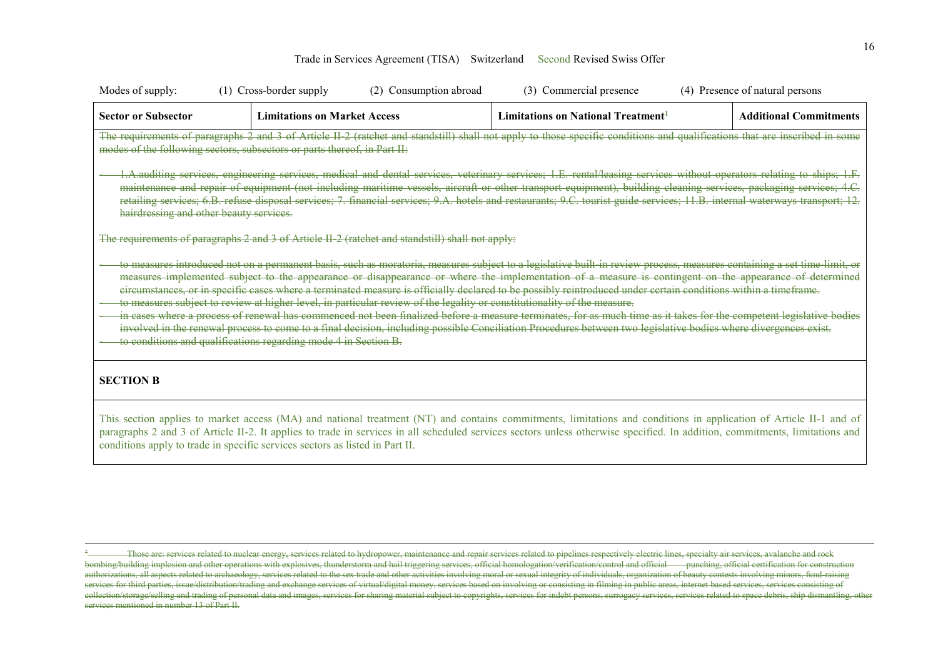| Modes of supply:                        | (1) Cross-border supply                                                                                                                                                                     | (2) Consumption abroad | (3) Commercial presence                                                                                                                                                                                                                                                                                                                                                                                                                                                                                                                                                                                                                                                                                                                                                                                                                       | (4) Presence of natural persons |
|-----------------------------------------|---------------------------------------------------------------------------------------------------------------------------------------------------------------------------------------------|------------------------|-----------------------------------------------------------------------------------------------------------------------------------------------------------------------------------------------------------------------------------------------------------------------------------------------------------------------------------------------------------------------------------------------------------------------------------------------------------------------------------------------------------------------------------------------------------------------------------------------------------------------------------------------------------------------------------------------------------------------------------------------------------------------------------------------------------------------------------------------|---------------------------------|
| <b>Sector or Subsector</b>              | <b>Limitations on Market Access</b>                                                                                                                                                         |                        | Limitations on National Treatment <sup>1</sup>                                                                                                                                                                                                                                                                                                                                                                                                                                                                                                                                                                                                                                                                                                                                                                                                | <b>Additional Commitments</b>   |
|                                         | modes of the following sectors, subsectors or parts thereof, in Part II:                                                                                                                    |                        | The requirements of paragraphs 2 and 3 of Article II 2 (ratchet and standstill) shall not apply to those specific conditions and qualifications that are inscribed in some                                                                                                                                                                                                                                                                                                                                                                                                                                                                                                                                                                                                                                                                    |                                 |
| hairdressing and other beauty services. | The requirements of paragraphs 2 and 3 of Article II 2 (ratchet and standstill) shall not apply:                                                                                            |                        | 1.A.auditing services, engineering services, medical and dental services, veterinary services; 1.E. rental/leasing services without operators relating to ships; 1.F.<br>maintenance and repair of equipment (not including maritime vessels, aircraft or other transport equipment), building cleaning services, packaging services; 4.C.<br>retailing services; 6.B. refuse disposal services; 7. financial services; 9.A. hotels and restaurants; 9.C. tourist guide services; 11.B. internal waterways transport; 12.                                                                                                                                                                                                                                                                                                                     |                                 |
|                                         | to measures subject to review at higher level, in particular review of the legality or constitutionality of the measure.<br>to conditions and qualifications regarding mode 4 in Section B. |                        | to measures introduced not on a permanent basis, such as moratoria, measures subject to a legislative built in review process, measures containing a set time limit, or<br>measures implemented subject to the appearance or disappearance or where the implementation of a measure is contingent on the appearance of determined<br>eircumstances, or in specific cases where a terminated measure is officially declared to be possibly reintroduced under certain conditions within a timeframe.<br>in cases where a process of renewal has commenced not been finalized before a measure terminates, for as much time as it takes for the competent legislative bodies<br>involved in the renewal process to come to a final decision, including possible Conciliation Procedures between two legislative bodies where divergences exist. |                                 |
| <b>SECTION B</b>                        |                                                                                                                                                                                             |                        |                                                                                                                                                                                                                                                                                                                                                                                                                                                                                                                                                                                                                                                                                                                                                                                                                                               |                                 |
|                                         | conditions apply to trade in specific services sectors as listed in Part II.                                                                                                                |                        | This section applies to market access (MA) and national treatment (NT) and contains commitments, limitations and conditions in application of Article II-1 and of<br>paragraphs 2 and 3 of Article II-2. It applies to trade in services in all scheduled services sectors unless otherwise specified. In addition, commitments, limitations and                                                                                                                                                                                                                                                                                                                                                                                                                                                                                              |                                 |

 $\overline{a}$ 

<sup>7</sup> Those are: services related to nuclear energy, services related to hydropower, maintenance and repair services related to pipelines respectively electric lines, specialty air services, avalanche and rock bombing/building implosion and other operations with explosives, thunderstorm and hail triggering services, official homologation/verification/control and official punching, official certification for construction authorizations, all aspects related to archaeology, services related to the sex trade and other activities involving moral or sexual integrity of individuals, organization of beauty contests involving minors, fund-raising services for third parties, issue/distribution/trading and exchange services of virtual/digital money, services based on involving or consisting in filming in public areas, internet based services, services consisting of collection/storage/selling and trading of personal data and images, services for sharing material subject to copyrights, services for indebt persons, surrogacy services, services related to space debris, ship dismantling, services mentioned in number 13 of Part II.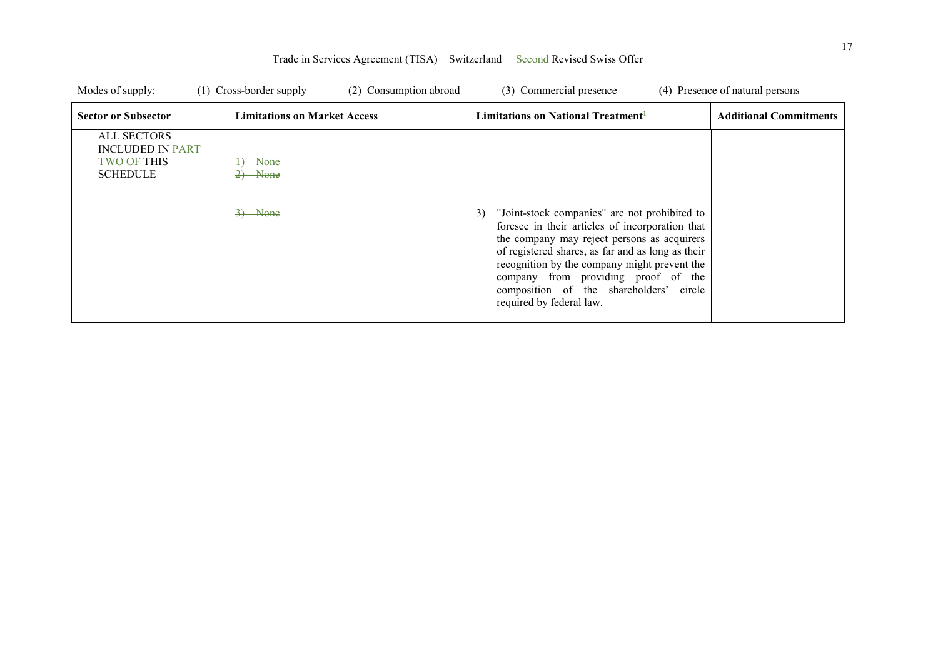| Modes of supply:                                                                       | (1) Cross-border supply<br>(2) Consumption abroad | (3) Commercial presence                                                                                                                                                                                         | (4) Presence of natural persons |
|----------------------------------------------------------------------------------------|---------------------------------------------------|-----------------------------------------------------------------------------------------------------------------------------------------------------------------------------------------------------------------|---------------------------------|
| <b>Sector or Subsector</b>                                                             | <b>Limitations on Market Access</b>               | Limitations on National Treatment <sup>1</sup>                                                                                                                                                                  | <b>Additional Commitments</b>   |
| <b>ALL SECTORS</b><br><b>INCLUDED IN PART</b><br><b>TWO OF THIS</b><br><b>SCHEDULE</b> | $\rightarrow$ None<br>None<br>$3)$ None           | 3)<br>"Joint-stock companies" are not prohibited to<br>foresee in their articles of incorporation that<br>the company may reject persons as acquirers                                                           |                                 |
|                                                                                        |                                                   | of registered shares, as far and as long as their<br>recognition by the company might prevent the<br>company from providing proof of the<br>composition of the shareholders' circle<br>required by federal law. |                                 |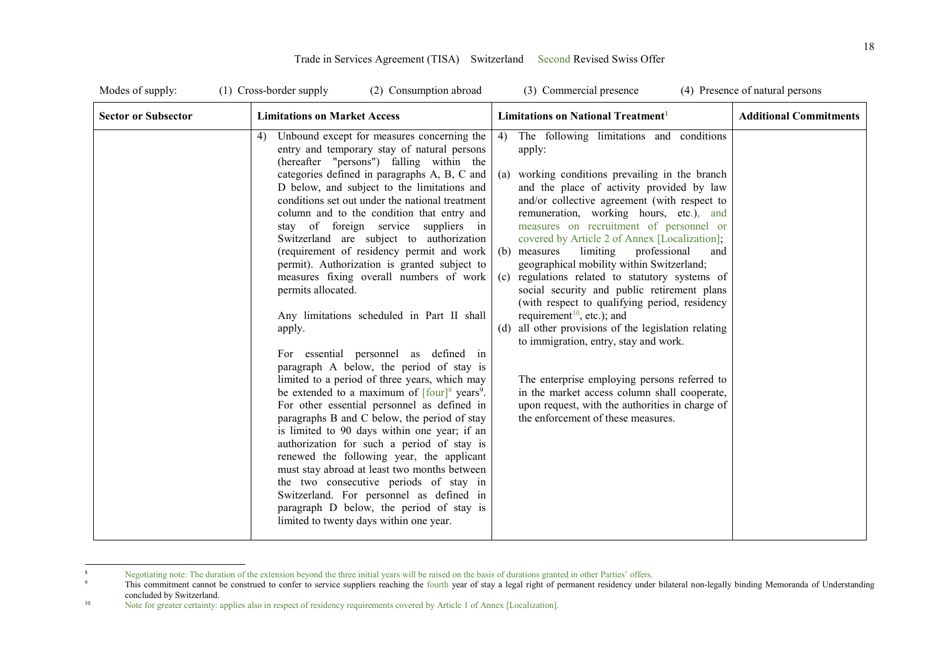| Modes of supply:           | (1) Cross-border supply<br>(2) Consumption abroad                                                                                                                                                                                                                                                                                                                                                                                                                                                                                                                                                                                                                                                                                                                                                                                                                                                                                                                                                                                                                                                                                                                                                                                                                                                                                                          | (3) Commercial presence                                                                                                                                                                                                                                                                                                                                                                                                                                                                                                                                                                                                                                                                                                                                                                                                                                                                                                                | (4) Presence of natural persons |
|----------------------------|------------------------------------------------------------------------------------------------------------------------------------------------------------------------------------------------------------------------------------------------------------------------------------------------------------------------------------------------------------------------------------------------------------------------------------------------------------------------------------------------------------------------------------------------------------------------------------------------------------------------------------------------------------------------------------------------------------------------------------------------------------------------------------------------------------------------------------------------------------------------------------------------------------------------------------------------------------------------------------------------------------------------------------------------------------------------------------------------------------------------------------------------------------------------------------------------------------------------------------------------------------------------------------------------------------------------------------------------------------|----------------------------------------------------------------------------------------------------------------------------------------------------------------------------------------------------------------------------------------------------------------------------------------------------------------------------------------------------------------------------------------------------------------------------------------------------------------------------------------------------------------------------------------------------------------------------------------------------------------------------------------------------------------------------------------------------------------------------------------------------------------------------------------------------------------------------------------------------------------------------------------------------------------------------------------|---------------------------------|
| <b>Sector or Subsector</b> | <b>Limitations on Market Access</b>                                                                                                                                                                                                                                                                                                                                                                                                                                                                                                                                                                                                                                                                                                                                                                                                                                                                                                                                                                                                                                                                                                                                                                                                                                                                                                                        | Limitations on National Treatment <sup>1</sup>                                                                                                                                                                                                                                                                                                                                                                                                                                                                                                                                                                                                                                                                                                                                                                                                                                                                                         | <b>Additional Commitments</b>   |
|                            | Unbound except for measures concerning the<br>4)<br>entry and temporary stay of natural persons<br>(hereafter "persons") falling within the<br>categories defined in paragraphs A, B, C and<br>D below, and subject to the limitations and<br>conditions set out under the national treatment<br>column and to the condition that entry and<br>stay of foreign service suppliers in<br>Switzerland are subject to authorization<br>(requirement of residency permit and work<br>permit). Authorization is granted subject to<br>measures fixing overall numbers of work<br>permits allocated.<br>Any limitations scheduled in Part II shall<br>apply.<br>For essential personnel as defined in<br>paragraph A below, the period of stay is<br>limited to a period of three years, which may<br>be extended to a maximum of $\lceil$ four $\rceil$ <sup>8</sup> years <sup>9</sup> .<br>For other essential personnel as defined in<br>paragraphs B and C below, the period of stay<br>is limited to 90 days within one year; if an<br>authorization for such a period of stay is<br>renewed the following year, the applicant<br>must stay abroad at least two months between<br>the two consecutive periods of stay in<br>Switzerland. For personnel as defined in<br>paragraph D below, the period of stay is<br>limited to twenty days within one year. | The following limitations and conditions<br>4)<br>apply:<br>(a) working conditions prevailing in the branch<br>and the place of activity provided by law<br>and/or collective agreement (with respect to<br>remuneration, working hours, etc.), and<br>measures on recruitment of personnel or<br>covered by Article 2 of Annex [Localization];<br>professional<br>(b) measures<br>limiting<br>and<br>geographical mobility within Switzerland;<br>(c) regulations related to statutory systems of<br>social security and public retirement plans<br>(with respect to qualifying period, residency<br>requirement <sup>10</sup> , etc.); and<br>(d) all other provisions of the legislation relating<br>to immigration, entry, stay and work.<br>The enterprise employing persons referred to<br>in the market access column shall cooperate,<br>upon request, with the authorities in charge of<br>the enforcement of these measures. |                                 |

 $\frac{1}{8}$ Negotiating note: The duration of the extension beyond the three initial years will be raised on the basis of durations granted in other Parties' offers.

<sup>9</sup> This commitment cannot be construed to confer to service suppliers reaching the fourth year of stay a legal right of permanent residency under bilateral non-legally binding Memoranda of Understanding concluded by Switzerland.

<sup>10</sup> Note for greater certainty: applies also in respect of residency requirements covered by Article 1 of Annex [Localization].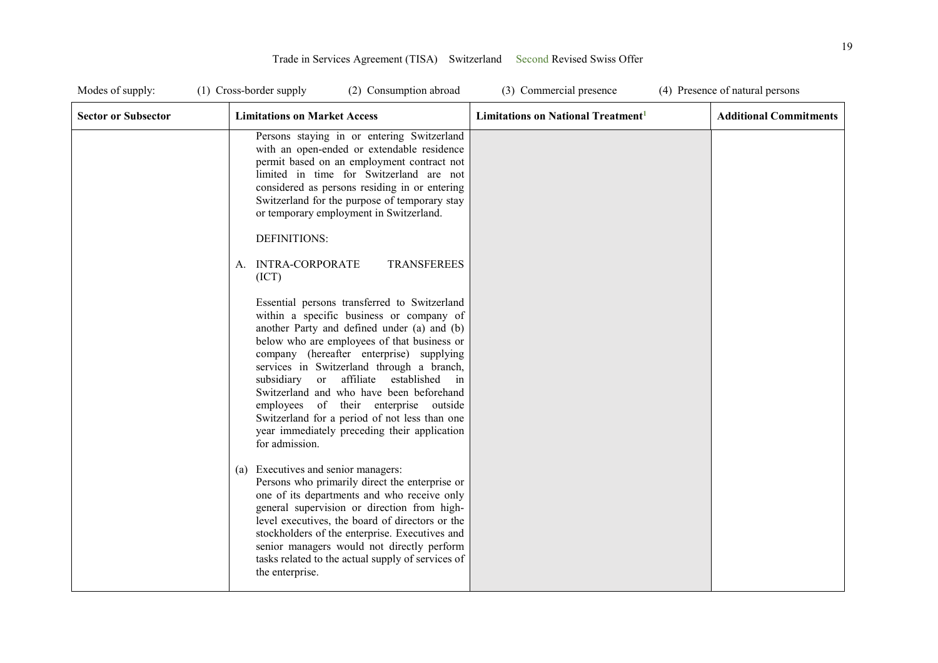| Modes of supply:           | (1) Cross-border supply                                                  | (2) Consumption abroad                                                                                                                                                                                                                                                                                                                                                                                                                                                                                                                                                                                                                                                                                                                                                                                                                                                     | (3) Commercial presence                        | (4) Presence of natural persons |
|----------------------------|--------------------------------------------------------------------------|----------------------------------------------------------------------------------------------------------------------------------------------------------------------------------------------------------------------------------------------------------------------------------------------------------------------------------------------------------------------------------------------------------------------------------------------------------------------------------------------------------------------------------------------------------------------------------------------------------------------------------------------------------------------------------------------------------------------------------------------------------------------------------------------------------------------------------------------------------------------------|------------------------------------------------|---------------------------------|
| <b>Sector or Subsector</b> | <b>Limitations on Market Access</b>                                      |                                                                                                                                                                                                                                                                                                                                                                                                                                                                                                                                                                                                                                                                                                                                                                                                                                                                            | Limitations on National Treatment <sup>1</sup> | <b>Additional Commitments</b>   |
|                            | DEFINITIONS:<br>A. INTRA-CORPORATE<br>(ICT)                              | Persons staying in or entering Switzerland<br>with an open-ended or extendable residence<br>permit based on an employment contract not<br>limited in time for Switzerland are not<br>considered as persons residing in or entering<br>Switzerland for the purpose of temporary stay<br>or temporary employment in Switzerland.<br><b>TRANSFEREES</b><br>Essential persons transferred to Switzerland<br>within a specific business or company of<br>another Party and defined under (a) and (b)<br>below who are employees of that business or<br>company (hereafter enterprise) supplying<br>services in Switzerland through a branch,<br>subsidiary or affiliate established<br>in<br>Switzerland and who have been beforehand<br>employees of their enterprise outside<br>Switzerland for a period of not less than one<br>year immediately preceding their application |                                                |                                 |
|                            | for admission.<br>(a) Executives and senior managers:<br>the enterprise. | Persons who primarily direct the enterprise or<br>one of its departments and who receive only<br>general supervision or direction from high-<br>level executives, the board of directors or the<br>stockholders of the enterprise. Executives and<br>senior managers would not directly perform<br>tasks related to the actual supply of services of                                                                                                                                                                                                                                                                                                                                                                                                                                                                                                                       |                                                |                                 |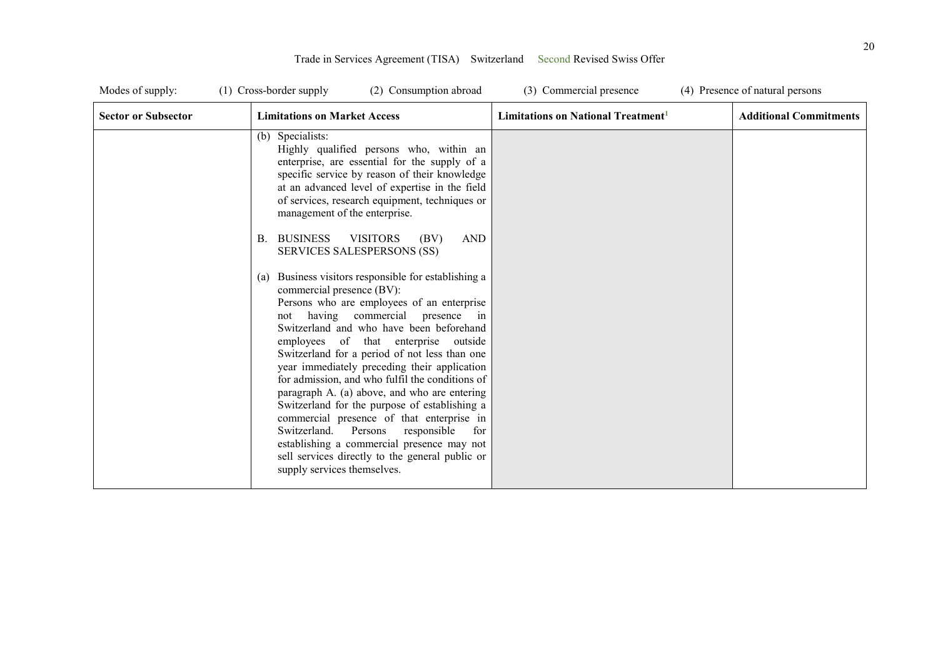| Modes of supply:           | (1) Cross-border supply                                                                                                                                       | (2) Consumption abroad                                                                                                                                                                                                                                                                                                                                                                                                                                                                                                                                                                                                                                                                                                                                                                                                                                                                                                                                                              | (3) Commercial presence                        | (4) Presence of natural persons |
|----------------------------|---------------------------------------------------------------------------------------------------------------------------------------------------------------|-------------------------------------------------------------------------------------------------------------------------------------------------------------------------------------------------------------------------------------------------------------------------------------------------------------------------------------------------------------------------------------------------------------------------------------------------------------------------------------------------------------------------------------------------------------------------------------------------------------------------------------------------------------------------------------------------------------------------------------------------------------------------------------------------------------------------------------------------------------------------------------------------------------------------------------------------------------------------------------|------------------------------------------------|---------------------------------|
| <b>Sector or Subsector</b> | <b>Limitations on Market Access</b>                                                                                                                           |                                                                                                                                                                                                                                                                                                                                                                                                                                                                                                                                                                                                                                                                                                                                                                                                                                                                                                                                                                                     | Limitations on National Treatment <sup>1</sup> | <b>Additional Commitments</b>   |
|                            | (b) Specialists:<br>management of the enterprise.<br><b>BUSINESS</b><br>В.<br>(a)<br>commercial presence (BV):<br>Switzerland.<br>supply services themselves. | Highly qualified persons who, within an<br>enterprise, are essential for the supply of a<br>specific service by reason of their knowledge<br>at an advanced level of expertise in the field<br>of services, research equipment, techniques or<br><b>AND</b><br><b>VISITORS</b><br>(BV)<br>SERVICES SALESPERSONS (SS)<br>Business visitors responsible for establishing a<br>Persons who are employees of an enterprise<br>not having commercial presence in<br>Switzerland and who have been beforehand<br>employees of that enterprise outside<br>Switzerland for a period of not less than one<br>year immediately preceding their application<br>for admission, and who fulfil the conditions of<br>paragraph A. (a) above, and who are entering<br>Switzerland for the purpose of establishing a<br>commercial presence of that enterprise in<br>Persons<br>responsible<br>for<br>establishing a commercial presence may not<br>sell services directly to the general public or |                                                |                                 |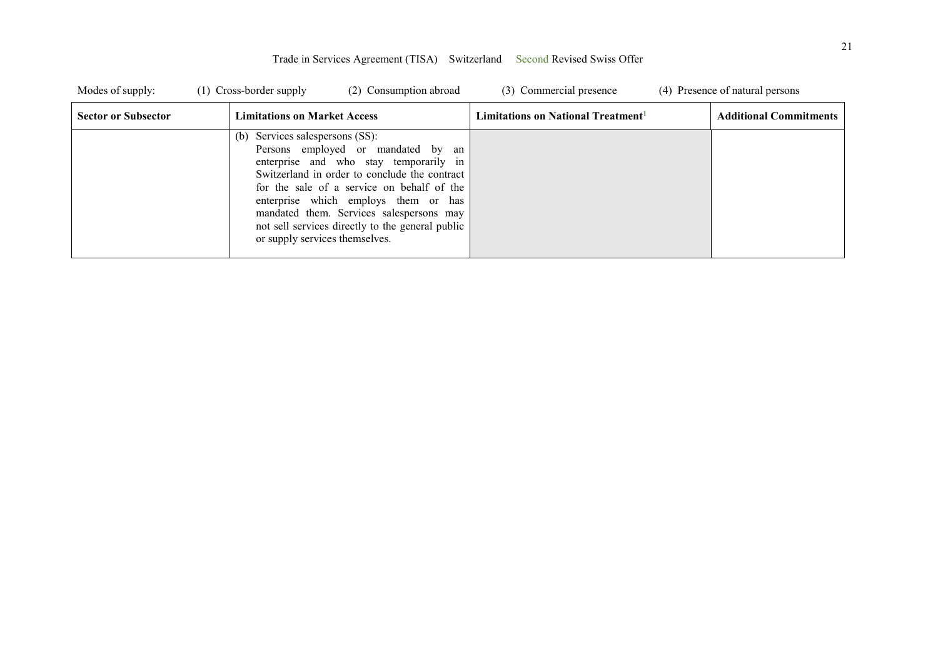| Modes of supply:           | (2) Consumption abroad<br>(1) Cross-border supply                                                                                                                                                                                                                                                                                                                                              | (3) Commercial presence                        | (4) Presence of natural persons |
|----------------------------|------------------------------------------------------------------------------------------------------------------------------------------------------------------------------------------------------------------------------------------------------------------------------------------------------------------------------------------------------------------------------------------------|------------------------------------------------|---------------------------------|
| <b>Sector or Subsector</b> | <b>Limitations on Market Access</b>                                                                                                                                                                                                                                                                                                                                                            | Limitations on National Treatment <sup>1</sup> | <b>Additional Commitments</b>   |
|                            | Services salespersons (SS):<br>(b)<br>Persons employed or mandated by<br>an<br>enterprise and who stay temporarily in<br>Switzerland in order to conclude the contract<br>for the sale of a service on behalf of the<br>enterprise which employs them or has<br>mandated them. Services salespersons may<br>not sell services directly to the general public<br>or supply services themselves. |                                                |                                 |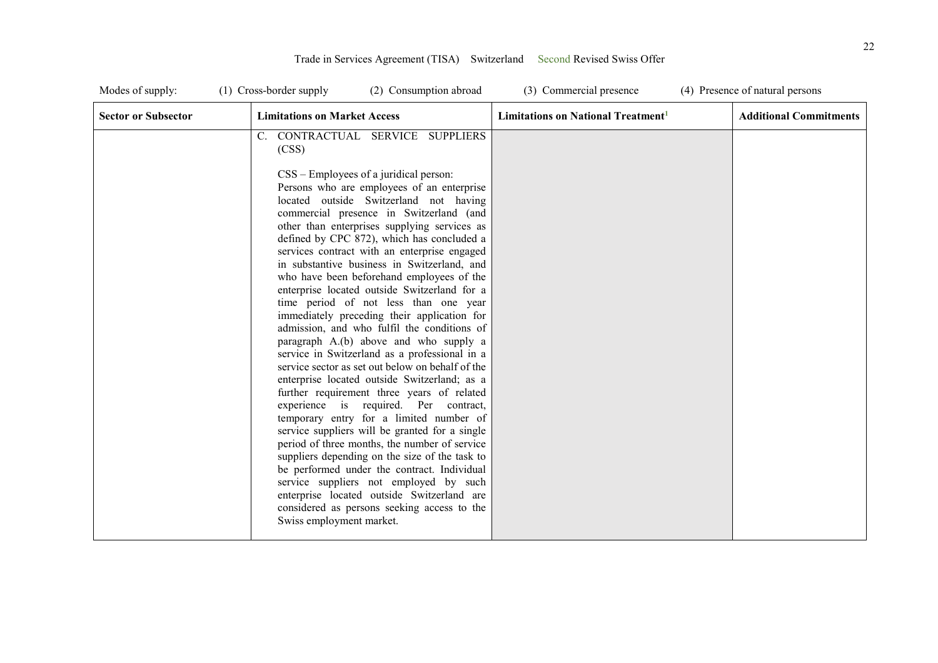| Modes of supply:           | (1) Cross-border supply<br>(2) Consumption abroad                                                                                                                                                                                                                                                                                                                                                                                                                                                                                                                                                                                                                                                                                                                                                                                                                                                                                                                                                                                                                                                                                                                                                                                                                                                                                                               | (3) Commercial presence                        | (4) Presence of natural persons |
|----------------------------|-----------------------------------------------------------------------------------------------------------------------------------------------------------------------------------------------------------------------------------------------------------------------------------------------------------------------------------------------------------------------------------------------------------------------------------------------------------------------------------------------------------------------------------------------------------------------------------------------------------------------------------------------------------------------------------------------------------------------------------------------------------------------------------------------------------------------------------------------------------------------------------------------------------------------------------------------------------------------------------------------------------------------------------------------------------------------------------------------------------------------------------------------------------------------------------------------------------------------------------------------------------------------------------------------------------------------------------------------------------------|------------------------------------------------|---------------------------------|
| <b>Sector or Subsector</b> | <b>Limitations on Market Access</b>                                                                                                                                                                                                                                                                                                                                                                                                                                                                                                                                                                                                                                                                                                                                                                                                                                                                                                                                                                                                                                                                                                                                                                                                                                                                                                                             | Limitations on National Treatment <sup>1</sup> | <b>Additional Commitments</b>   |
|                            | C. CONTRACTUAL SERVICE SUPPLIERS<br>(CSS)<br>CSS – Employees of a juridical person:<br>Persons who are employees of an enterprise<br>located outside Switzerland not having<br>commercial presence in Switzerland (and<br>other than enterprises supplying services as<br>defined by CPC 872), which has concluded a<br>services contract with an enterprise engaged<br>in substantive business in Switzerland, and<br>who have been beforehand employees of the<br>enterprise located outside Switzerland for a<br>time period of not less than one year<br>immediately preceding their application for<br>admission, and who fulfil the conditions of<br>paragraph A.(b) above and who supply a<br>service in Switzerland as a professional in a<br>service sector as set out below on behalf of the<br>enterprise located outside Switzerland; as a<br>further requirement three years of related<br>experience is required. Per contract,<br>temporary entry for a limited number of<br>service suppliers will be granted for a single<br>period of three months, the number of service<br>suppliers depending on the size of the task to<br>be performed under the contract. Individual<br>service suppliers not employed by such<br>enterprise located outside Switzerland are<br>considered as persons seeking access to the<br>Swiss employment market. |                                                |                                 |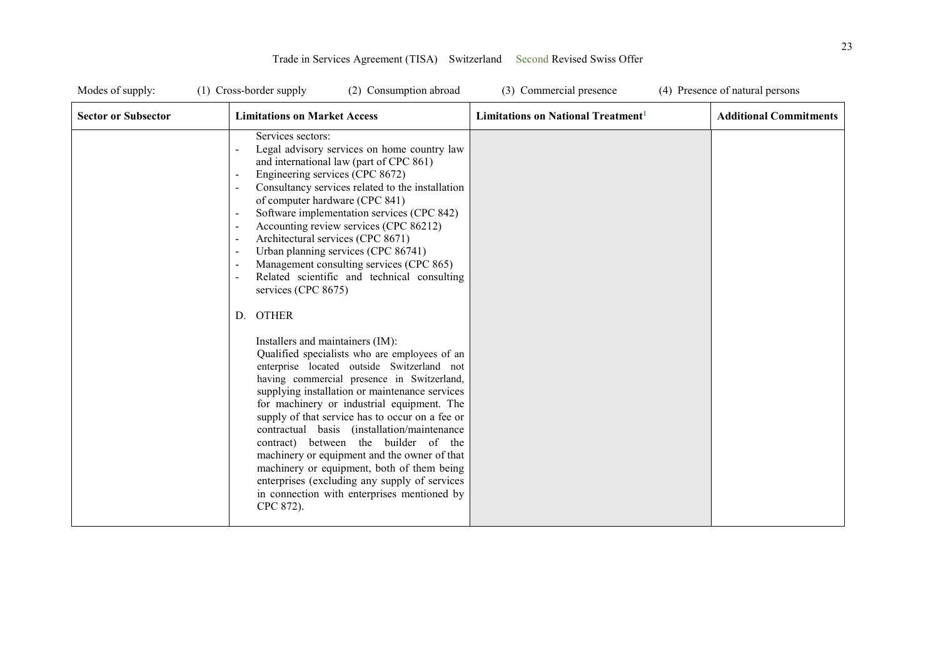| Modes of supply:           | (1) Cross-border supply                                           | (2) Consumption abroad                                                                                                                                                                                                                                                                                                                                                                                                                                                                                                                                                                                                                                                                                                                                                                                                                                                                                                                                                                                                                                                                                  | (3) Commercial presence                        | (4) Presence of natural persons |
|----------------------------|-------------------------------------------------------------------|---------------------------------------------------------------------------------------------------------------------------------------------------------------------------------------------------------------------------------------------------------------------------------------------------------------------------------------------------------------------------------------------------------------------------------------------------------------------------------------------------------------------------------------------------------------------------------------------------------------------------------------------------------------------------------------------------------------------------------------------------------------------------------------------------------------------------------------------------------------------------------------------------------------------------------------------------------------------------------------------------------------------------------------------------------------------------------------------------------|------------------------------------------------|---------------------------------|
| <b>Sector or Subsector</b> | <b>Limitations on Market Access</b>                               |                                                                                                                                                                                                                                                                                                                                                                                                                                                                                                                                                                                                                                                                                                                                                                                                                                                                                                                                                                                                                                                                                                         | Limitations on National Treatment <sup>1</sup> | <b>Additional Commitments</b>   |
|                            | Services sectors:<br>services (CPC 8675)<br>D. OTHER<br>CPC 872). | Legal advisory services on home country law<br>and international law (part of CPC 861)<br>Engineering services (CPC 8672)<br>Consultancy services related to the installation<br>of computer hardware (CPC 841)<br>Software implementation services (CPC 842)<br>Accounting review services (CPC 86212)<br>Architectural services (CPC 8671)<br>Urban planning services (CPC 86741)<br>Management consulting services (CPC 865)<br>Related scientific and technical consulting<br>Installers and maintainers (IM):<br>Qualified specialists who are employees of an<br>enterprise located outside Switzerland not<br>having commercial presence in Switzerland,<br>supplying installation or maintenance services<br>for machinery or industrial equipment. The<br>supply of that service has to occur on a fee or<br>contractual basis (installation/maintenance<br>contract) between the builder of the<br>machinery or equipment and the owner of that<br>machinery or equipment, both of them being<br>enterprises (excluding any supply of services<br>in connection with enterprises mentioned by |                                                |                                 |
|                            |                                                                   |                                                                                                                                                                                                                                                                                                                                                                                                                                                                                                                                                                                                                                                                                                                                                                                                                                                                                                                                                                                                                                                                                                         |                                                |                                 |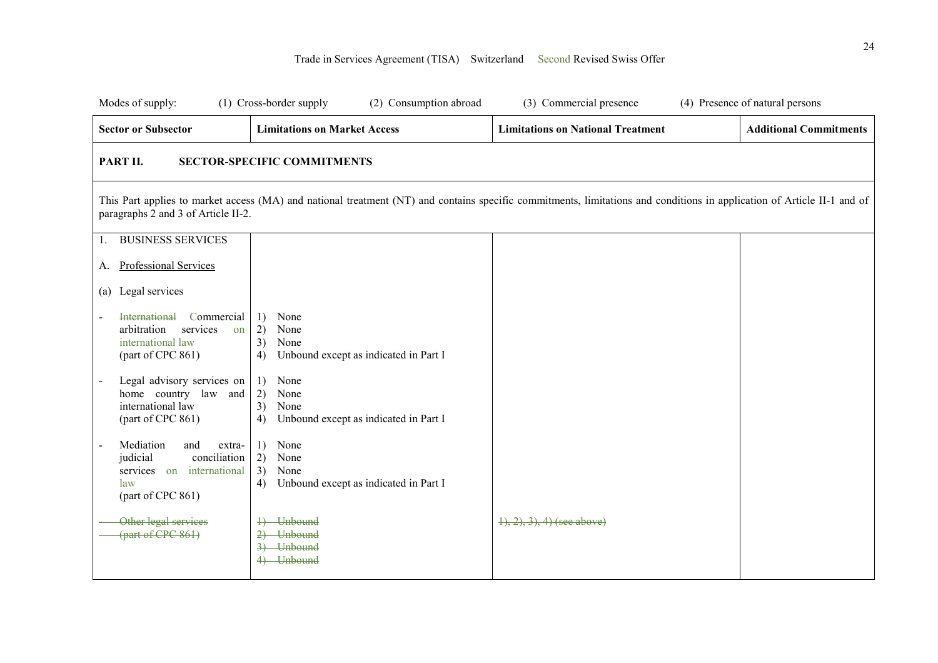| Modes of supply:                                                                                                | (1) Cross-border supply<br>(2) Consumption abroad                                     | (3) Commercial presence                                                                                                                                                 | (4) Presence of natural persons |
|-----------------------------------------------------------------------------------------------------------------|---------------------------------------------------------------------------------------|-------------------------------------------------------------------------------------------------------------------------------------------------------------------------|---------------------------------|
| <b>Sector or Subsector</b>                                                                                      | <b>Limitations on Market Access</b>                                                   | <b>Limitations on National Treatment</b>                                                                                                                                | <b>Additional Commitments</b>   |
| PART II.                                                                                                        | <b>SECTOR-SPECIFIC COMMITMENTS</b>                                                    |                                                                                                                                                                         |                                 |
| paragraphs 2 and 3 of Article II-2.                                                                             |                                                                                       | This Part applies to market access (MA) and national treatment (NT) and contains specific commitments, limitations and conditions in application of Article II-1 and of |                                 |
| <b>BUSINESS SERVICES</b><br>1.                                                                                  |                                                                                       |                                                                                                                                                                         |                                 |
| Professional Services<br>A.                                                                                     |                                                                                       |                                                                                                                                                                         |                                 |
| Legal services<br>(a)                                                                                           |                                                                                       |                                                                                                                                                                         |                                 |
| <b>International</b><br>Commercial<br>arbitration<br>services<br>on<br>international law<br>(part of CPC 861)   | None<br>1)<br>2)<br>None<br>3)<br>None<br>Unbound except as indicated in Part I<br>4) |                                                                                                                                                                         |                                 |
| Legal advisory services on<br>home country law<br>and<br>international law<br>(part of CPC 861)                 | None<br>1)<br>2)<br>None<br>3)<br>None<br>Unbound except as indicated in Part I<br>4) |                                                                                                                                                                         |                                 |
| Mediation<br>and<br>extra-<br>conciliation<br>judicial<br>services on international<br>law<br>(part of CPC 861) | None<br>1)<br>2)<br>None<br>3)<br>None<br>Unbound except as indicated in Part I<br>4) |                                                                                                                                                                         |                                 |
| Other legal services<br>(part of CPC 861)                                                                       | <b>Unbound</b><br><b>Unbound</b><br>$\rightarrow$<br>3) Unbound<br>4) Unbound         | $(1), (2), (3), (4)$ (see above)                                                                                                                                        |                                 |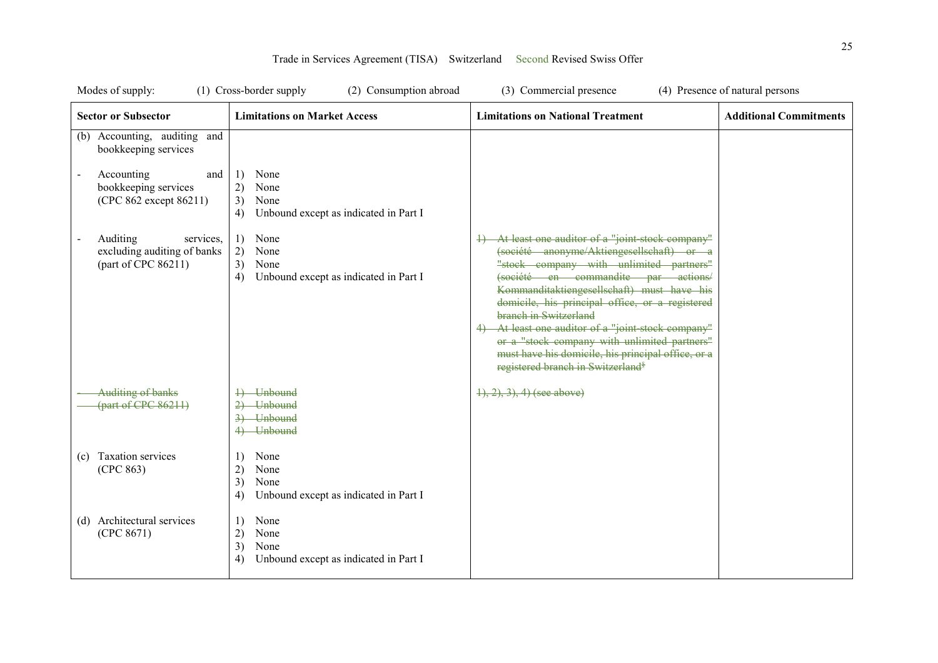| Modes of supply:                                                            | (1) Cross-border supply<br>(2) Consumption abroad                                     | (3) Commercial presence                                                                                                                                                                                                                                                                                                                                                                                                                                                                                            | (4) Presence of natural persons |
|-----------------------------------------------------------------------------|---------------------------------------------------------------------------------------|--------------------------------------------------------------------------------------------------------------------------------------------------------------------------------------------------------------------------------------------------------------------------------------------------------------------------------------------------------------------------------------------------------------------------------------------------------------------------------------------------------------------|---------------------------------|
| <b>Sector or Subsector</b>                                                  | <b>Limitations on Market Access</b>                                                   | <b>Limitations on National Treatment</b>                                                                                                                                                                                                                                                                                                                                                                                                                                                                           | <b>Additional Commitments</b>   |
| (b) Accounting, auditing and<br>bookkeeping services                        |                                                                                       |                                                                                                                                                                                                                                                                                                                                                                                                                                                                                                                    |                                 |
| Accounting<br>and<br>bookkeeping services<br>(CPC 862 except 86211)         | 1)<br>None<br>2)<br>None<br>3)<br>None<br>Unbound except as indicated in Part I<br>4) |                                                                                                                                                                                                                                                                                                                                                                                                                                                                                                                    |                                 |
| Auditing<br>services,<br>excluding auditing of banks<br>(part of CPC 86211) | None<br>1)<br>2)<br>None<br>3)<br>None<br>Unbound except as indicated in Part I<br>4) | At least one auditor of a "joint stock company"<br>(société anonyme/Aktiengesellschaft) or a<br>"stock company with unlimited partners"<br>(société en commandite par actions/<br>Kommanditaktiengesellschaft) must have his<br>domicile, his principal office, or a registered<br>branch in Switzerland<br>At least one auditor of a "joint stock company"<br>or a "stock company with unlimited partners"<br>must have his domicile, his principal office, or a<br>registered branch in Switzerland <sup>§</sup> |                                 |
| <b>Auditing of banks</b><br>${\rm (part of CPC 86211)}$                     | 4) Unbound<br>2) Unbound<br>3) Unbound<br>4) Unbound                                  | $(1), (2), (3), (4)$ (see above)                                                                                                                                                                                                                                                                                                                                                                                                                                                                                   |                                 |
| Taxation services<br>(c)<br>(CPC 863)                                       | None<br>1)<br>2)<br>None<br>3)<br>None<br>Unbound except as indicated in Part I<br>4) |                                                                                                                                                                                                                                                                                                                                                                                                                                                                                                                    |                                 |
| (d) Architectural services<br>(CPC 8671)                                    | None<br>1)<br>2)<br>None<br>3)<br>None<br>Unbound except as indicated in Part I<br>4) |                                                                                                                                                                                                                                                                                                                                                                                                                                                                                                                    |                                 |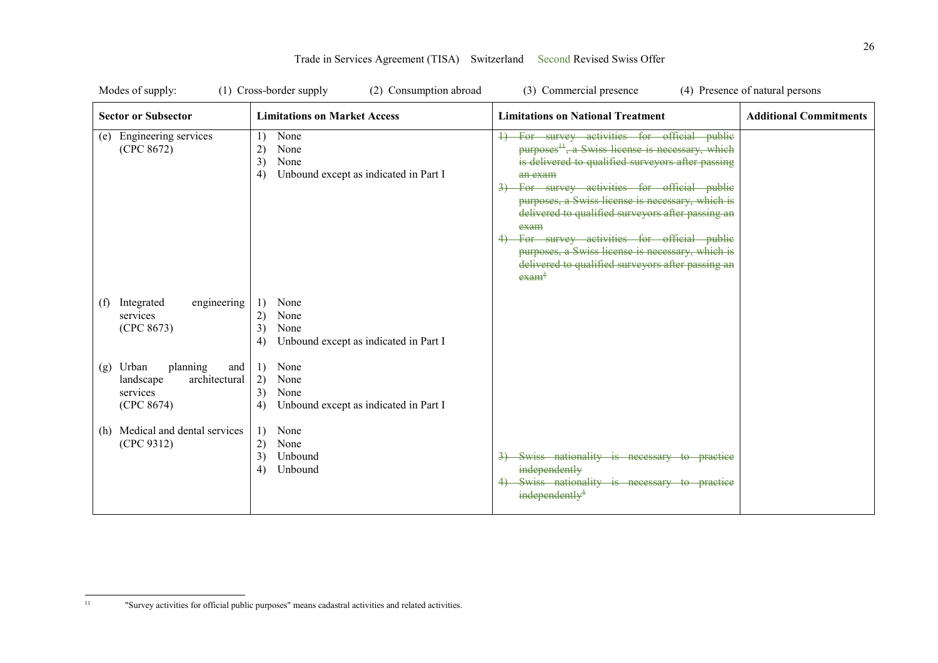| Modes of supply:                                                                        | (1) Cross-border supply<br>(2) Consumption abroad                                     | (3) Commercial presence                                                                                                                                                                                                                                                                                                                                                                                                                                                                                               | (4) Presence of natural persons |
|-----------------------------------------------------------------------------------------|---------------------------------------------------------------------------------------|-----------------------------------------------------------------------------------------------------------------------------------------------------------------------------------------------------------------------------------------------------------------------------------------------------------------------------------------------------------------------------------------------------------------------------------------------------------------------------------------------------------------------|---------------------------------|
| <b>Sector or Subsector</b>                                                              | <b>Limitations on Market Access</b>                                                   | <b>Limitations on National Treatment</b>                                                                                                                                                                                                                                                                                                                                                                                                                                                                              | <b>Additional Commitments</b>   |
| Engineering services<br>(e)<br>(CPC 8672)                                               | None<br>1)<br>2)<br>None<br>3)<br>None<br>Unbound except as indicated in Part I<br>4) | For survey activities for official public<br>purposes <sup>11</sup> , a Swiss license is necessary, which<br>is delivered to qualified surveyors after passing<br>an exam<br>3) For survey activities for official public<br>purposes, a Swiss license is necessary, which is<br>delivered to qualified surveyors after passing an<br>exam<br>For survey activities for official public<br>purposes, a Swiss license is necessary, which is<br>delivered to qualified surveyors after passing an<br>exam <sup>§</sup> |                                 |
| Integrated<br>engineering<br>(f)<br>services<br>(CPC 8673)                              | 1)<br>None<br>2)<br>None<br>3)<br>None<br>Unbound except as indicated in Part I<br>4) |                                                                                                                                                                                                                                                                                                                                                                                                                                                                                                                       |                                 |
| Urban<br>planning<br>(g)<br>and<br>architectural<br>landscape<br>services<br>(CPC 8674) | None<br>1)<br>2)<br>None<br>3)<br>None<br>Unbound except as indicated in Part I<br>4) |                                                                                                                                                                                                                                                                                                                                                                                                                                                                                                                       |                                 |
| (h) Medical and dental services<br>(CPC 9312)                                           | None<br>1)<br>2)<br>None<br>3)<br>Unbound<br>Unbound<br>4)                            | Swiss nationality is necessary to practice<br>independently<br>4) Swiss nationality is necessary to practice<br>independently <sup>§</sup>                                                                                                                                                                                                                                                                                                                                                                            |                                 |

 $11\,$ 11 "Survey activities for official public purposes" means cadastral activities and related activities.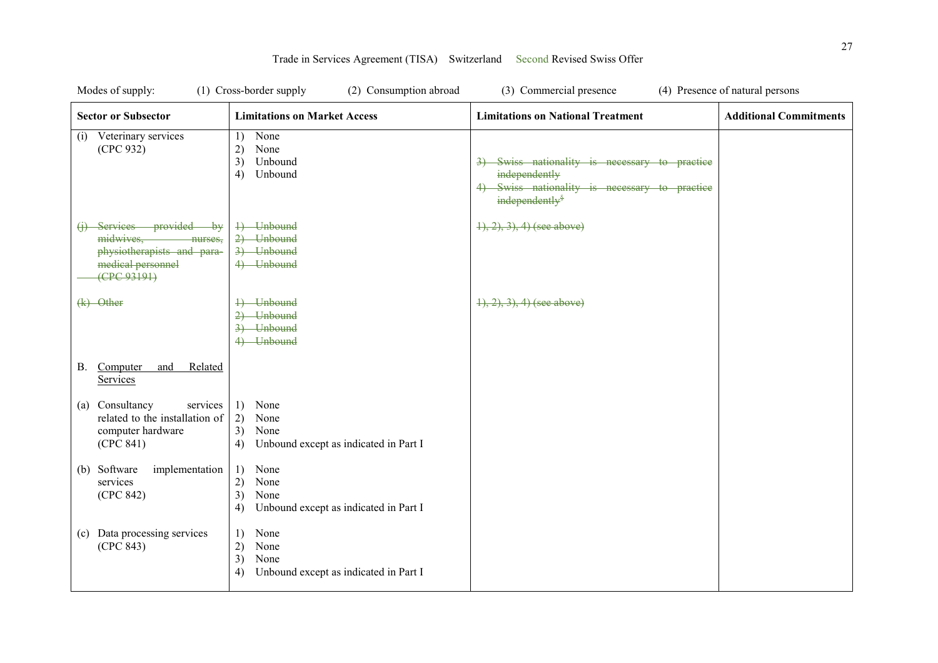| Modes of supply:                                                                                                  | (1) Cross-border supply<br>(2) Consumption abroad                                     | (3) Commercial presence                                                                                                                    | (4) Presence of natural persons |
|-------------------------------------------------------------------------------------------------------------------|---------------------------------------------------------------------------------------|--------------------------------------------------------------------------------------------------------------------------------------------|---------------------------------|
| <b>Sector or Subsector</b>                                                                                        | <b>Limitations on Market Access</b>                                                   | <b>Limitations on National Treatment</b>                                                                                                   | <b>Additional Commitments</b>   |
| (i) Veterinary services<br>(CPC 932)                                                                              | None<br>1)<br>2)<br>None<br>3)<br>Unbound<br>4)<br>Unbound                            | Swiss nationality is necessary to practice<br>independently<br>4) Swiss nationality is necessary to practice<br>independently <sup>§</sup> |                                 |
| Services provided<br>⊣θ₩<br>midwives.<br>nurses.<br>physiotherapists and para-<br>medical personnel<br>(CPC93191) | +) Unbound<br>$2)$ Unbound<br>3) Unbound<br>4) Unbound                                | $(1), (2), (3), (4)$ (see above)                                                                                                           |                                 |
| $(k)$ Other                                                                                                       | 4) Unbound<br>2) Unbound<br>3) Unbound<br>4) Unbound                                  | $(1), (2), (3), (4)$ (see above)                                                                                                           |                                 |
| Computer<br>Related<br>В.<br>and<br><b>Services</b>                                                               |                                                                                       |                                                                                                                                            |                                 |
| Consultancy<br>services<br>(a)<br>related to the installation of<br>computer hardware<br>(CPC 841)                | None<br>1)<br>2)<br>None<br>3)<br>None<br>Unbound except as indicated in Part I<br>4) |                                                                                                                                            |                                 |
| Software<br>implementation<br>(b)<br>services<br>(CPC 842)                                                        | None<br>1)<br>2)<br>None<br>3)<br>None<br>Unbound except as indicated in Part I<br>4) |                                                                                                                                            |                                 |
| Data processing services<br>(c)<br>(CPC 843)                                                                      | None<br>1)<br>2)<br>None<br>3)<br>None<br>Unbound except as indicated in Part I<br>4) |                                                                                                                                            |                                 |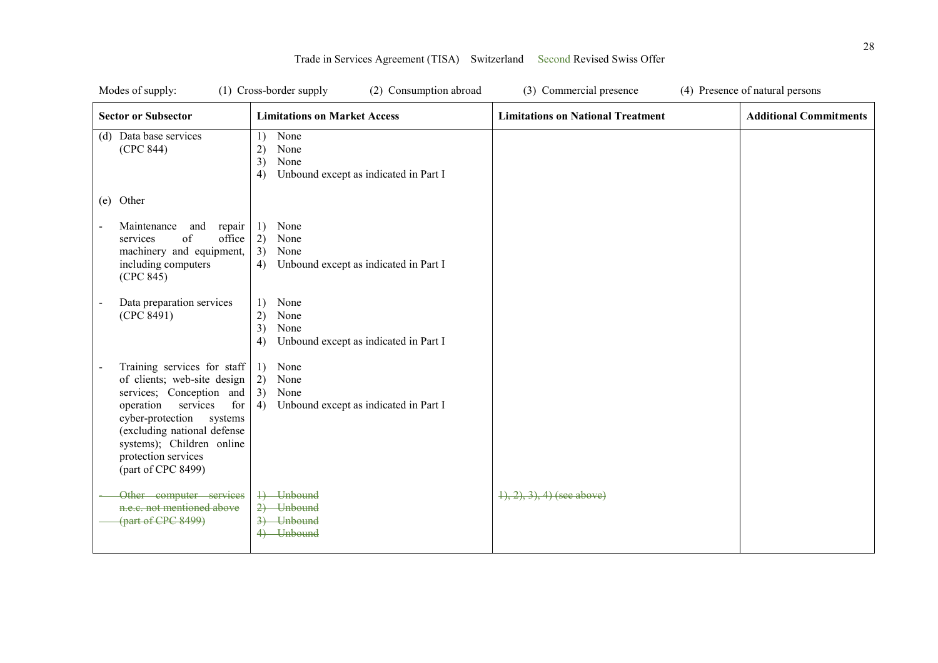| Modes of supply:                                                                                                                                                                                                                                            | (1) Cross-border supply<br>(2) Consumption abroad                                     | (3) Commercial presence                  | (4) Presence of natural persons |
|-------------------------------------------------------------------------------------------------------------------------------------------------------------------------------------------------------------------------------------------------------------|---------------------------------------------------------------------------------------|------------------------------------------|---------------------------------|
| <b>Sector or Subsector</b>                                                                                                                                                                                                                                  | <b>Limitations on Market Access</b>                                                   | <b>Limitations on National Treatment</b> | <b>Additional Commitments</b>   |
| (d) Data base services<br>(CPC 844)                                                                                                                                                                                                                         | None<br>1)<br>2)<br>None<br>3)<br>None<br>Unbound except as indicated in Part I<br>4) |                                          |                                 |
| (e) Other                                                                                                                                                                                                                                                   |                                                                                       |                                          |                                 |
| Maintenance<br>and<br>repair<br>of<br>office<br>services<br>machinery and equipment,<br>including computers<br>(CPC 845)                                                                                                                                    | None<br>1)<br>2)<br>None<br>3)<br>None<br>Unbound except as indicated in Part I<br>4) |                                          |                                 |
| Data preparation services<br>(CPC 8491)                                                                                                                                                                                                                     | 1)<br>None<br>2)<br>None<br>3)<br>None<br>4)<br>Unbound except as indicated in Part I |                                          |                                 |
| Training services for staff<br>of clients; web-site design<br>services; Conception and<br>operation<br>services<br>for<br>cyber-protection systems<br>(excluding national defense<br>systems); Children online<br>protection services<br>(part of CPC 8499) | 1)<br>None<br>2)<br>None<br>3)<br>None<br>4)<br>Unbound except as indicated in Part I |                                          |                                 |
| Other computer services<br>n.e.c. not mentioned above<br>(part of CPC 8499)                                                                                                                                                                                 | 1) Unbound<br>2) Unbound<br>3) Unbound<br>4) Unbound                                  | $\{1, 2, 3, 4\}$ (see above)             |                                 |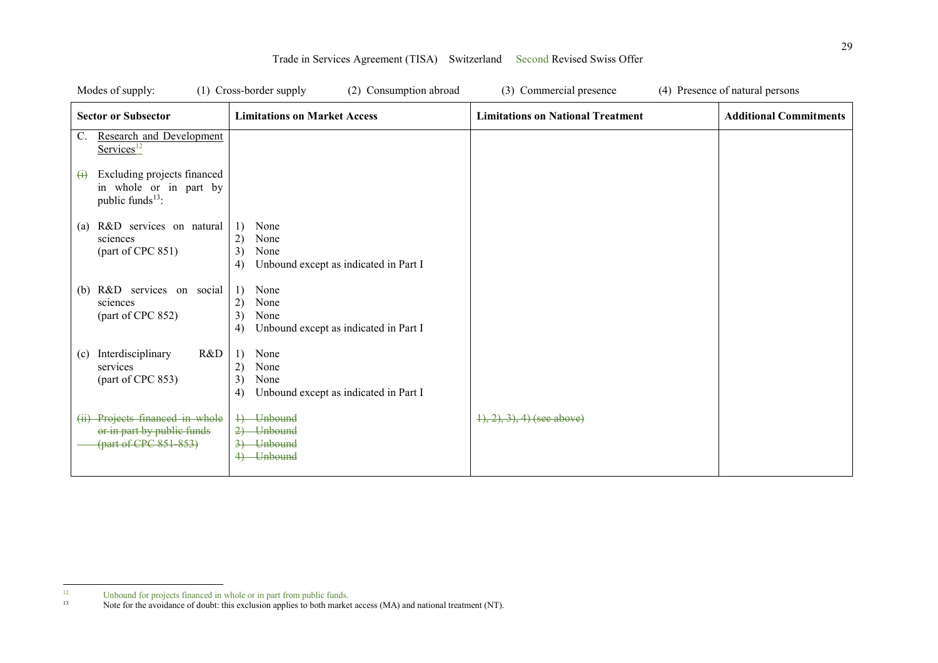| Modes of supply:                                                                                           | (1) Cross-border supply<br>(2) Consumption abroad                                     | (3) Commercial presence                  | (4) Presence of natural persons |
|------------------------------------------------------------------------------------------------------------|---------------------------------------------------------------------------------------|------------------------------------------|---------------------------------|
| <b>Sector or Subsector</b>                                                                                 | <b>Limitations on Market Access</b>                                                   | <b>Limitations on National Treatment</b> | <b>Additional Commitments</b>   |
| <b>Research and Development</b><br>$\mathbb{C}$ .<br>$S$ ervices <sup>12</sup>                             |                                                                                       |                                          |                                 |
| Excluding projects financed<br>$\leftrightarrow$<br>in whole or in part by<br>public funds <sup>13</sup> : |                                                                                       |                                          |                                 |
| R&D services on natural<br>(a)<br>sciences<br>(part of CPC 851)                                            | 1)<br>None<br>2)<br>None<br>3)<br>None<br>4)<br>Unbound except as indicated in Part I |                                          |                                 |
| R&D services on social<br>(b)<br>sciences<br>(part of CPC 852)                                             | None<br>1)<br>2)<br>None<br>3)<br>None<br>Unbound except as indicated in Part I<br>4) |                                          |                                 |
| Interdisciplinary<br>R&D<br>(c)<br>services<br>(part of CPC 853)                                           | 1)<br>None<br>2)<br>None<br>3)<br>None<br>Unbound except as indicated in Part I<br>4) |                                          |                                 |
| (ii) Projects financed in whole<br>or in part by public funds<br>(part of CPC 851-853)                     | 4) Unbound<br>2) Unbound<br>3) Unbound<br><b>Unbound</b><br>4                         | $(1), (2), (3), (4)$ (see above)         |                                 |

 $12$ <sup>12</sup> Unbound for projects financed in whole or in part from public funds.

<sup>&</sup>lt;sup>13</sup> Note for the avoidance of doubt: this exclusion applies to both market access (MA) and national treatment (NT).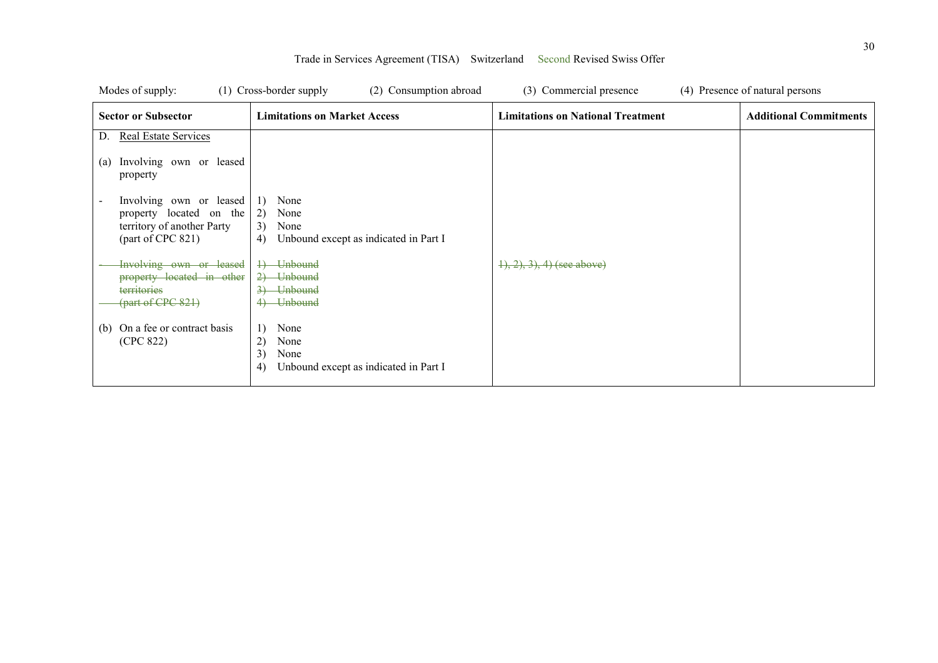| Modes of supply:                                   | $(1)$ Cross-border supply<br>(2) Consumption abroad       | (3) Commercial presence                  | (4) Presence of natural persons |
|----------------------------------------------------|-----------------------------------------------------------|------------------------------------------|---------------------------------|
| <b>Sector or Subsector</b>                         | <b>Limitations on Market Access</b>                       | <b>Limitations on National Treatment</b> | <b>Additional Commitments</b>   |
| <b>Real Estate Services</b><br>D.                  |                                                           |                                          |                                 |
| Involving own or leased<br>(a)<br>property         |                                                           |                                          |                                 |
| Involving own or leased<br>property located on the | None<br>1)<br>2)<br>None                                  |                                          |                                 |
| territory of another Party                         | 3)<br>None                                                |                                          |                                 |
| (part of CPC 821)                                  | 4)<br>Unbound except as indicated in Part I               |                                          |                                 |
| Involving own or leased                            | <b>Unbound</b><br>$\downarrow$                            | $1, 2, 3, 4$ (see above)                 |                                 |
| property located in other                          | <b>Unbound</b><br>$\rightarrow$                           |                                          |                                 |
| territories<br>${\rm (part of CPC 821)}$           | <b>Unbound</b><br><b>Unbound</b>                          |                                          |                                 |
|                                                    |                                                           |                                          |                                 |
| On a fee or contract basis<br>(b)                  | None<br>1)                                                |                                          |                                 |
| (CPC 822)                                          | 2)<br>None                                                |                                          |                                 |
|                                                    | 3)<br>None<br>Unbound except as indicated in Part I<br>4) |                                          |                                 |
|                                                    |                                                           |                                          |                                 |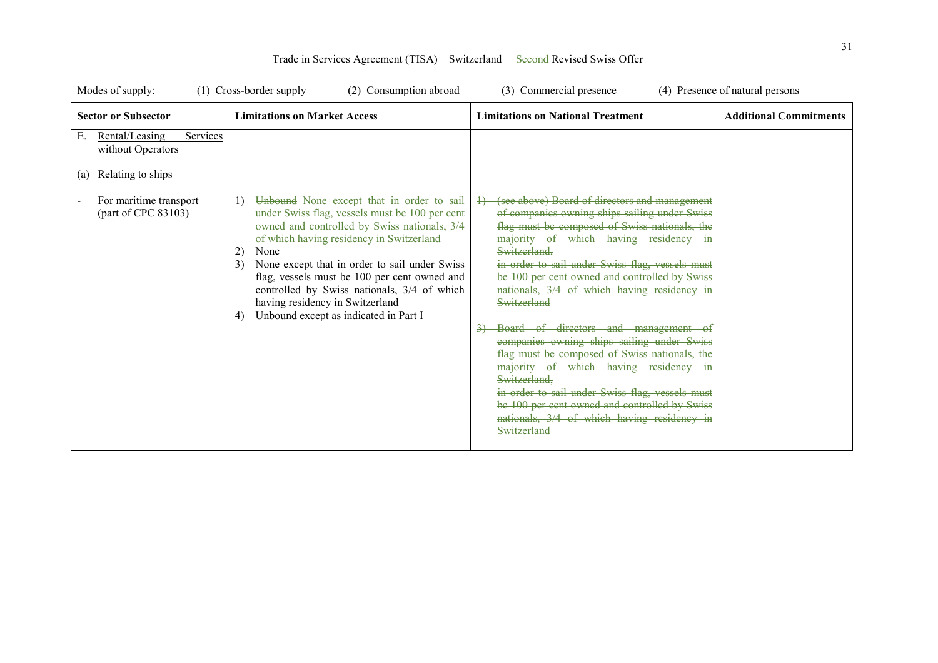| Modes of supply:                                                                                                                   | (1) Cross-border supply<br>(2) Consumption abroad                                                                                                                                                                                                                                                                                                                                                                                                   | (3) Commercial presence                                                                                                                                                                                                                                                                                                                                                                                                                                                                                                                                                                                                                                                                                                                      | (4) Presence of natural persons |
|------------------------------------------------------------------------------------------------------------------------------------|-----------------------------------------------------------------------------------------------------------------------------------------------------------------------------------------------------------------------------------------------------------------------------------------------------------------------------------------------------------------------------------------------------------------------------------------------------|----------------------------------------------------------------------------------------------------------------------------------------------------------------------------------------------------------------------------------------------------------------------------------------------------------------------------------------------------------------------------------------------------------------------------------------------------------------------------------------------------------------------------------------------------------------------------------------------------------------------------------------------------------------------------------------------------------------------------------------------|---------------------------------|
| <b>Sector or Subsector</b>                                                                                                         | <b>Limitations on Market Access</b>                                                                                                                                                                                                                                                                                                                                                                                                                 | <b>Limitations on National Treatment</b>                                                                                                                                                                                                                                                                                                                                                                                                                                                                                                                                                                                                                                                                                                     | <b>Additional Commitments</b>   |
| Rental/Leasing<br>Services<br>Е.<br>without Operators<br>Relating to ships<br>(a)<br>For maritime transport<br>(part of CPC 83103) | Unbound None except that in order to sail<br>1)<br>under Swiss flag, vessels must be 100 per cent<br>owned and controlled by Swiss nationals, 3/4<br>of which having residency in Switzerland<br>2)<br>None<br>3)<br>None except that in order to sail under Swiss<br>flag, vessels must be 100 per cent owned and<br>controlled by Swiss nationals, 3/4 of which<br>having residency in Switzerland<br>Unbound except as indicated in Part I<br>4) | (see above) Board of directors and management<br>of companies owning ships sailing under Swiss<br>flag must be composed of Swiss nationals, the<br>majority of which having residency in<br>Switzerland.<br>in order to sail under Swiss flag, vessels must<br>be 100 per cent owned and controlled by Swiss<br>nationals, 3/4 of which having residency in<br>Switzerland<br>Board of directors and management of<br>companies owning ships sailing under Swiss<br>flag must be composed of Swiss nationals, the<br>majority of which having residency in<br>Switzerland.<br>in order to sail under Swiss flag, vessels must<br>be 100 per cent owned and controlled by Swiss<br>nationals, 3/4 of which having residency in<br>Switzerland |                                 |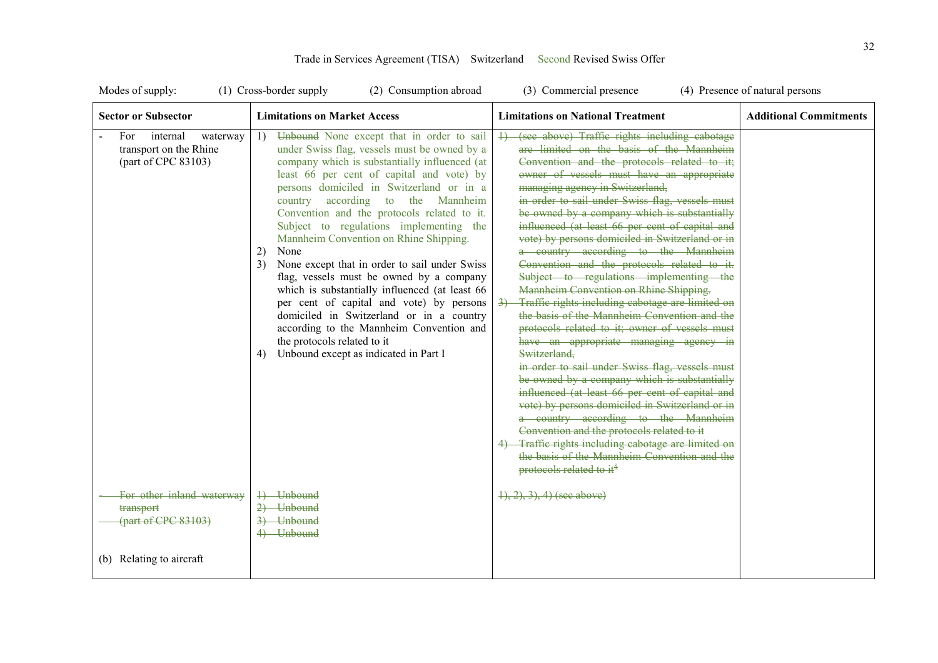| Modes of supply:                                                             | (1) Cross-border supply<br>(2) Consumption abroad                                                                                                                                                                                                                                                                                                                                                                                                                                                                                                                                                                                                                                                                                                                                                       | (3) Commercial presence                                                                                                                                                                                                                                                                                                                                                                                                                                                                                                                                                                                                                                                                                                                                                                                                                                                                                                                                                                                                                                                                                                                                                                                                                                                | (4) Presence of natural persons |
|------------------------------------------------------------------------------|---------------------------------------------------------------------------------------------------------------------------------------------------------------------------------------------------------------------------------------------------------------------------------------------------------------------------------------------------------------------------------------------------------------------------------------------------------------------------------------------------------------------------------------------------------------------------------------------------------------------------------------------------------------------------------------------------------------------------------------------------------------------------------------------------------|------------------------------------------------------------------------------------------------------------------------------------------------------------------------------------------------------------------------------------------------------------------------------------------------------------------------------------------------------------------------------------------------------------------------------------------------------------------------------------------------------------------------------------------------------------------------------------------------------------------------------------------------------------------------------------------------------------------------------------------------------------------------------------------------------------------------------------------------------------------------------------------------------------------------------------------------------------------------------------------------------------------------------------------------------------------------------------------------------------------------------------------------------------------------------------------------------------------------------------------------------------------------|---------------------------------|
| <b>Sector or Subsector</b>                                                   | <b>Limitations on Market Access</b>                                                                                                                                                                                                                                                                                                                                                                                                                                                                                                                                                                                                                                                                                                                                                                     | <b>Limitations on National Treatment</b>                                                                                                                                                                                                                                                                                                                                                                                                                                                                                                                                                                                                                                                                                                                                                                                                                                                                                                                                                                                                                                                                                                                                                                                                                               | <b>Additional Commitments</b>   |
| For<br>internal<br>waterway<br>transport on the Rhine<br>(part of CPC 83103) | Unbound None except that in order to sail<br>1)<br>under Swiss flag, vessels must be owned by a<br>company which is substantially influenced (at<br>least 66 per cent of capital and vote) by<br>persons domiciled in Switzerland or in a<br>country according to the Mannheim<br>Convention and the protocols related to it.<br>Subject to regulations implementing the<br>Mannheim Convention on Rhine Shipping.<br>2)<br>None<br>None except that in order to sail under Swiss<br>3)<br>flag, vessels must be owned by a company<br>which is substantially influenced (at least 66<br>per cent of capital and vote) by persons<br>domiciled in Switzerland or in a country<br>according to the Mannheim Convention and<br>the protocols related to it<br>Unbound except as indicated in Part I<br>4) | (see above) Traffic rights including cabotage<br>are limited on the basis of the Mannheim<br>Convention and the protocols related to it;<br>owner of vessels must have an appropriate<br>managing agency in Switzerland,<br>in order to sail under Swiss flag, vessels must<br>be owned by a company which is substantially<br>influenced (at least 66 per cent of capital and<br>vote) by persons domiciled in Switzerland or in<br>a country according to the Mannheim<br>Convention and the protocols related to it.<br>Subject to regulations implementing the<br>Mannheim Convention on Rhine Shipping.<br>Traffic rights including cabotage are limited on<br>the basis of the Mannheim Convention and the<br>protocols related to it; owner of vessels must<br>have an appropriate managing agency in<br>Switzerland,<br>in order to sail under Swiss flag, vessels must<br>be owned by a company which is substantially<br>influenced (at least 66 per cent of capital and<br>vote) by persons domiciled in Switzerland or in<br>a country according to the Mannheim<br>Convention and the protocols related to it<br>Traffic rights including cabotage are limited on<br>the basis of the Mannheim Convention and the<br>protocols related to it <sup>§</sup> |                                 |
| For other inland waterway<br>transport<br>(part of CPC 83103)                | 1) Unbound<br>2) Unbound<br>3) Unbound<br>4) Unbound                                                                                                                                                                                                                                                                                                                                                                                                                                                                                                                                                                                                                                                                                                                                                    | $\{1, 2, 3\}$ , 4) (see above)                                                                                                                                                                                                                                                                                                                                                                                                                                                                                                                                                                                                                                                                                                                                                                                                                                                                                                                                                                                                                                                                                                                                                                                                                                         |                                 |
| (b) Relating to aircraft                                                     |                                                                                                                                                                                                                                                                                                                                                                                                                                                                                                                                                                                                                                                                                                                                                                                                         |                                                                                                                                                                                                                                                                                                                                                                                                                                                                                                                                                                                                                                                                                                                                                                                                                                                                                                                                                                                                                                                                                                                                                                                                                                                                        |                                 |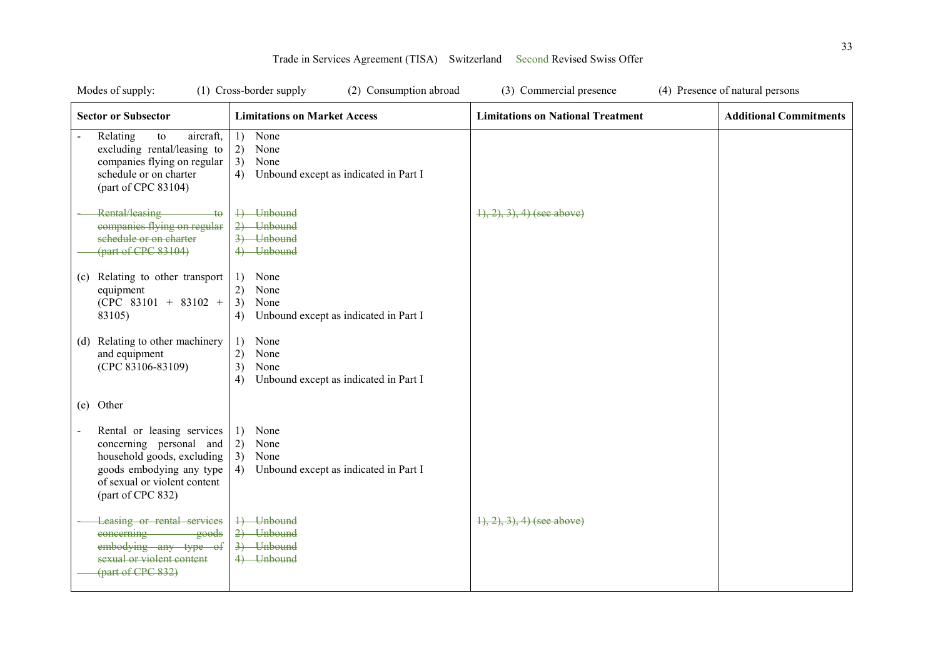| Modes of supply:                                                                                                                                                     | (1) Cross-border supply<br>(2) Consumption abroad                                     | (3) Commercial presence                  | (4) Presence of natural persons |
|----------------------------------------------------------------------------------------------------------------------------------------------------------------------|---------------------------------------------------------------------------------------|------------------------------------------|---------------------------------|
| <b>Sector or Subsector</b>                                                                                                                                           | <b>Limitations on Market Access</b>                                                   | <b>Limitations on National Treatment</b> | <b>Additional Commitments</b>   |
| Relating<br>to<br>aircraft,<br>excluding rental/leasing to<br>companies flying on regular<br>schedule or on charter<br>(part of CPC 83104)                           | None<br>1)<br>2)<br>None<br>3)<br>None<br>Unbound except as indicated in Part I<br>4) |                                          |                                 |
| Rental/leasing<br>$+\theta$<br>companies flying on regular<br>schedule or on charter<br>${\rm (part of CPC 83104)}$                                                  | 4) Unbound<br>2) Unbound<br>3) Unbound<br>4) Unbound                                  | $\{1, 2, 3\}$ , 4) (see above)           |                                 |
| Relating to other transport<br>(c)<br>equipment<br>$(CPC 83101 + 83102 +$<br>83105)                                                                                  | None<br>1)<br>2)<br>None<br>3)<br>None<br>Unbound except as indicated in Part I<br>4) |                                          |                                 |
| (d) Relating to other machinery<br>and equipment<br>(CPC 83106-83109)                                                                                                | None<br>1)<br>2)<br>None<br>3)<br>None<br>Unbound except as indicated in Part I<br>4) |                                          |                                 |
| (e) Other                                                                                                                                                            |                                                                                       |                                          |                                 |
| Rental or leasing services<br>concerning personal and<br>household goods, excluding<br>goods embodying any type<br>of sexual or violent content<br>(part of CPC 832) | None<br>1)<br>2)<br>None<br>3)<br>None<br>Unbound except as indicated in Part I<br>4) |                                          |                                 |
| Leasing or rental services<br>concerning<br>goods<br>embodying any type of<br>sexual or violent content<br>(part of CPC 832)                                         | 4) Unbound<br>2) Unbound<br>3) Unbound<br>4) Unbound                                  | $(1), (2), (3), (4)$ (see above)         |                                 |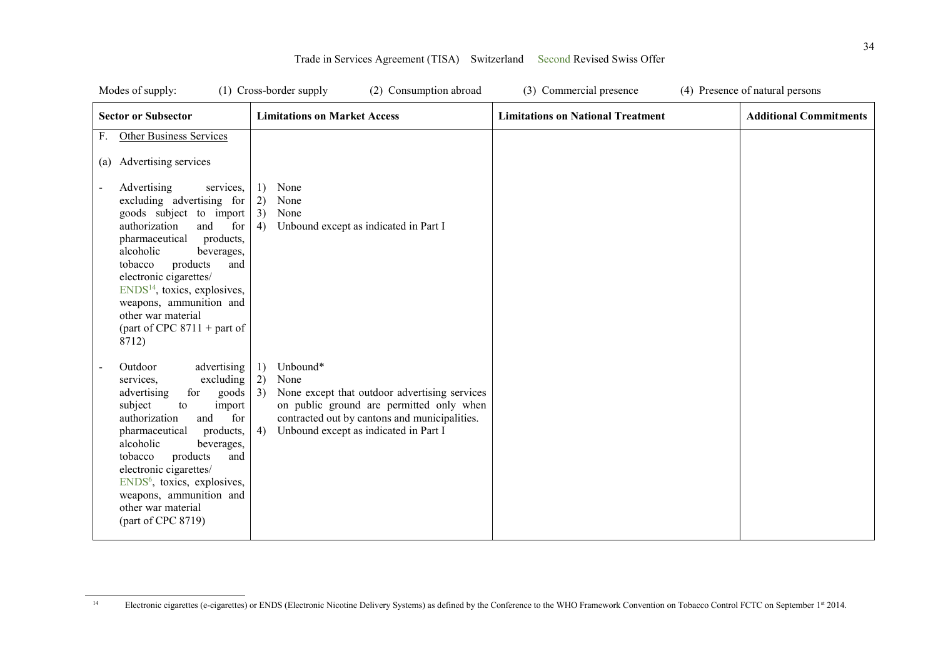| Modes of supply:                                                                                                                                                                                                                                                                                                                                                              | (2) Consumption abroad<br>(1) Cross-border supply                                                                                                                                                                               | (3) Commercial presence                  | (4) Presence of natural persons |
|-------------------------------------------------------------------------------------------------------------------------------------------------------------------------------------------------------------------------------------------------------------------------------------------------------------------------------------------------------------------------------|---------------------------------------------------------------------------------------------------------------------------------------------------------------------------------------------------------------------------------|------------------------------------------|---------------------------------|
| <b>Sector or Subsector</b>                                                                                                                                                                                                                                                                                                                                                    | <b>Limitations on Market Access</b>                                                                                                                                                                                             | <b>Limitations on National Treatment</b> | <b>Additional Commitments</b>   |
| <b>Other Business Services</b><br>F.<br>(a) Advertising services                                                                                                                                                                                                                                                                                                              |                                                                                                                                                                                                                                 |                                          |                                 |
| Advertising<br>services.<br>excluding advertising for<br>goods subject to import<br>authorization<br>and<br>for<br>products,<br>pharmaceutical<br>alcoholic<br>beverages,<br>products<br>tobacco<br>and<br>electronic cigarettes/<br>$ENDS14$ , toxics, explosives,<br>weapons, ammunition and<br>other war material<br>(part of CPC $8711 +$ part of<br>8712)                | 1)<br>None<br>2)<br>None<br>3)<br>None<br>4)<br>Unbound except as indicated in Part I                                                                                                                                           |                                          |                                 |
| Outdoor<br>advertising<br>excluding<br>services,<br>for<br>goods<br>advertising<br>subject<br>import<br>to<br>authorization<br>for<br>and<br>pharmaceutical<br>products,<br>alcoholic<br>beverages,<br>products<br>tobacco<br>and<br>electronic cigarettes/<br>ENDS <sup>6</sup> , toxics, explosives,<br>weapons, ammunition and<br>other war material<br>(part of CPC 8719) | Unbound*<br>1)<br>2)<br>None<br>3)<br>None except that outdoor advertising services<br>on public ground are permitted only when<br>contracted out by cantons and municipalities.<br>Unbound except as indicated in Part I<br>4) |                                          |                                 |

 $\overline{a}$ 

<sup>&</sup>lt;sup>14</sup> Electronic cigarettes (e-cigarettes) or ENDS (Electronic Nicotine Delivery Systems) as defined by the Conference to the WHO Framework Convention on Tobacco Control FCTC on September 1st 2014.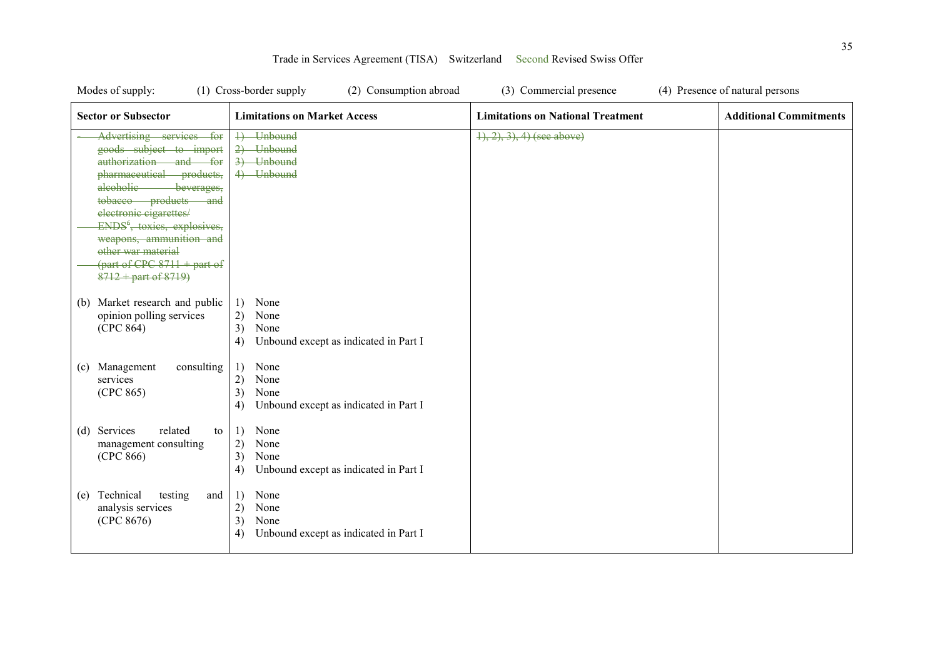| Modes of supply:                                                                                                                                                                                                                                                                                                                                                        | (2) Consumption abroad<br>(1) Cross-border supply                                     | (3) Commercial presence                  | (4) Presence of natural persons |
|-------------------------------------------------------------------------------------------------------------------------------------------------------------------------------------------------------------------------------------------------------------------------------------------------------------------------------------------------------------------------|---------------------------------------------------------------------------------------|------------------------------------------|---------------------------------|
| <b>Sector or Subsector</b>                                                                                                                                                                                                                                                                                                                                              | <b>Limitations on Market Access</b>                                                   | <b>Limitations on National Treatment</b> | <b>Additional Commitments</b>   |
| Advertising services for<br>goods subject to import<br>authorization and for<br>pharmaceutical products,<br>alcoholic-<br>beverages,<br>tobacco products<br><del>and</del><br>electronic cigarettes/<br>ENDS <sup>6</sup> , toxies, explosives,<br>weapons, ammunition and<br>other war material<br>$\frac{1}{2}$ (part of CPC 8711 + part of<br>$8712 +$ part of 8719) | 4) Unbound<br>2) Unbound<br>3) Unbound<br>4) Unbound                                  | $(1), (2), (3), (4)$ (see above)         |                                 |
| Market research and public<br>(b)<br>opinion polling services<br>(CPC 864)                                                                                                                                                                                                                                                                                              | 1)<br>None<br>2)<br>None<br>3)<br>None<br>Unbound except as indicated in Part I<br>4) |                                          |                                 |
| Management<br>consulting<br>(c)<br>services<br>(CPC 865)                                                                                                                                                                                                                                                                                                                | 1)<br>None<br>2)<br>None<br>3)<br>None<br>Unbound except as indicated in Part I<br>4) |                                          |                                 |
| Services<br>related<br>(d)<br>to<br>management consulting<br>(CPC 866)                                                                                                                                                                                                                                                                                                  | None<br>1)<br>2)<br>None<br>3)<br>None<br>4)<br>Unbound except as indicated in Part I |                                          |                                 |
| Technical<br>testing<br>and<br>(e)<br>analysis services<br>(CPC 8676)                                                                                                                                                                                                                                                                                                   | 1)<br>None<br>2)<br>None<br>3)<br>None<br>Unbound except as indicated in Part I<br>4) |                                          |                                 |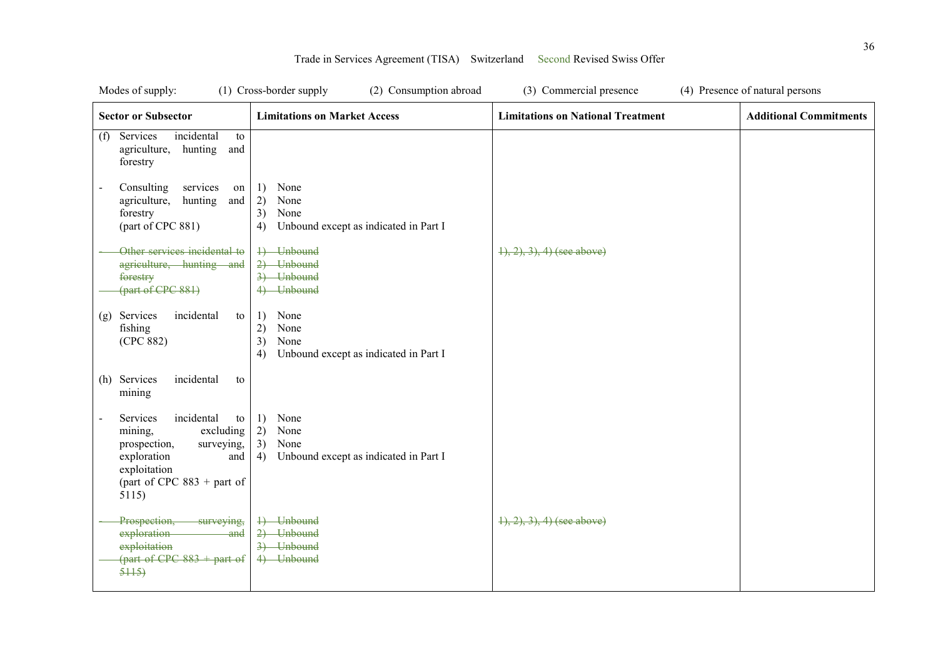| Modes of supply:                                                                                                                                                                    | (1) Cross-border supply<br>(2) Consumption abroad                                     | (3) Commercial presence                  | (4) Presence of natural persons |
|-------------------------------------------------------------------------------------------------------------------------------------------------------------------------------------|---------------------------------------------------------------------------------------|------------------------------------------|---------------------------------|
| <b>Sector or Subsector</b>                                                                                                                                                          | <b>Limitations on Market Access</b>                                                   | <b>Limitations on National Treatment</b> | <b>Additional Commitments</b>   |
| incidental<br>Services<br>to<br>(f)<br>agriculture,<br>hunting<br>and<br>forestry                                                                                                   |                                                                                       |                                          |                                 |
| Consulting<br>services<br>on<br>$\overline{a}$<br>agriculture,<br>hunting<br>and<br>forestry<br>(part of CPC 881)                                                                   | None<br>1)<br>2)<br>None<br>3)<br>None<br>Unbound except as indicated in Part I<br>4) |                                          |                                 |
| Other services incidental to<br>agriculture, hunting and<br>forestry<br>(part of CPC 881)                                                                                           | 4) Unbound<br>2) Unbound<br>3) Unbound<br>4) Unbound                                  | $\{1, 2, 3\}$ , 4) (see above)           |                                 |
| Services<br>incidental<br>to<br>(g)<br>fishing<br>(CPC 882)                                                                                                                         | None<br>1)<br>2)<br>None<br>3)<br>None<br>Unbound except as indicated in Part I<br>4) |                                          |                                 |
| (h) Services<br>incidental<br>to<br>mining                                                                                                                                          |                                                                                       |                                          |                                 |
| Services<br>incidental<br>to<br>$\overline{a}$<br>excluding<br>mining,<br>surveying,<br>prospection,<br>exploration<br>and<br>exploitation<br>(part of CPC $883 +$ part of<br>5115) | None<br>1)<br>2)<br>None<br>3)<br>None<br>4)<br>Unbound except as indicated in Part I |                                          |                                 |
| Prospection,<br>surveying,<br>exploration<br>-and<br>exploitation<br>(part of CPC $883 +$ part of<br>5115                                                                           | 4) Unbound<br>2) Unbound<br>3) Unbound<br>4) Unbound                                  | $(1), (2), (3), (4)$ (see above)         |                                 |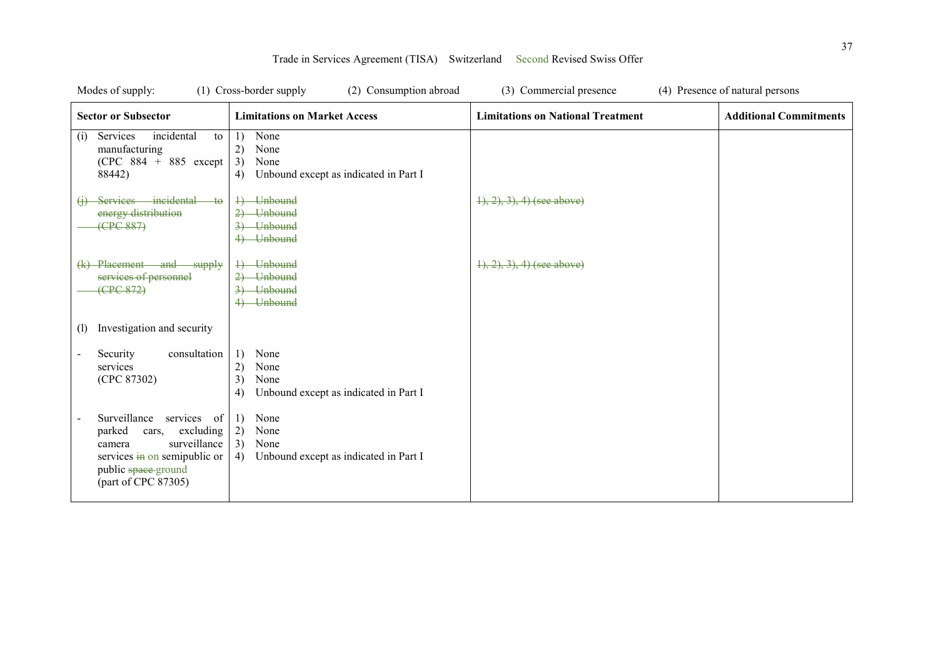| Modes of supply:                                                                                                                                                 | (1) Cross-border supply<br>(2) Consumption abroad                                     | (3) Commercial presence                  | (4) Presence of natural persons |
|------------------------------------------------------------------------------------------------------------------------------------------------------------------|---------------------------------------------------------------------------------------|------------------------------------------|---------------------------------|
| <b>Sector or Subsector</b>                                                                                                                                       | <b>Limitations on Market Access</b>                                                   | <b>Limitations on National Treatment</b> | <b>Additional Commitments</b>   |
| incidental<br>Services<br>to<br>(i)<br>manufacturing<br>$(CPC 884 + 885$ except<br>88442)                                                                        | None<br>1)<br>2)<br>None<br>3)<br>None<br>Unbound except as indicated in Part I<br>4) |                                          |                                 |
| Services incidental<br>$+\theta$<br>energy distribution<br>(FPC 887)                                                                                             | 4) Unbound<br>2) Unbound<br>3) Unbound<br>4) Unbound                                  | $\{1, 2, 3\}$ , 4) (see above)           |                                 |
| (k) Placement and supply<br>services of personnel<br>(CPC 872)                                                                                                   | 4) Unbound<br>2) Unbound<br>3) Unbound<br>4) Unbound                                  | $(1), (2), (3), (4)$ (see above)         |                                 |
| Investigation and security<br>(1)                                                                                                                                |                                                                                       |                                          |                                 |
| Security<br>consultation<br>services<br>(CPC 87302)                                                                                                              | 1)<br>None<br>2)<br>None<br>3)<br>None<br>Unbound except as indicated in Part I<br>4) |                                          |                                 |
| Surveillance services of<br>excluding<br>parked<br>cars,<br>surveillance<br>camera<br>services in on semipublic or<br>public space-ground<br>(part of CPC 87305) | None<br>1)<br>2)<br>None<br>3)<br>None<br>4)<br>Unbound except as indicated in Part I |                                          |                                 |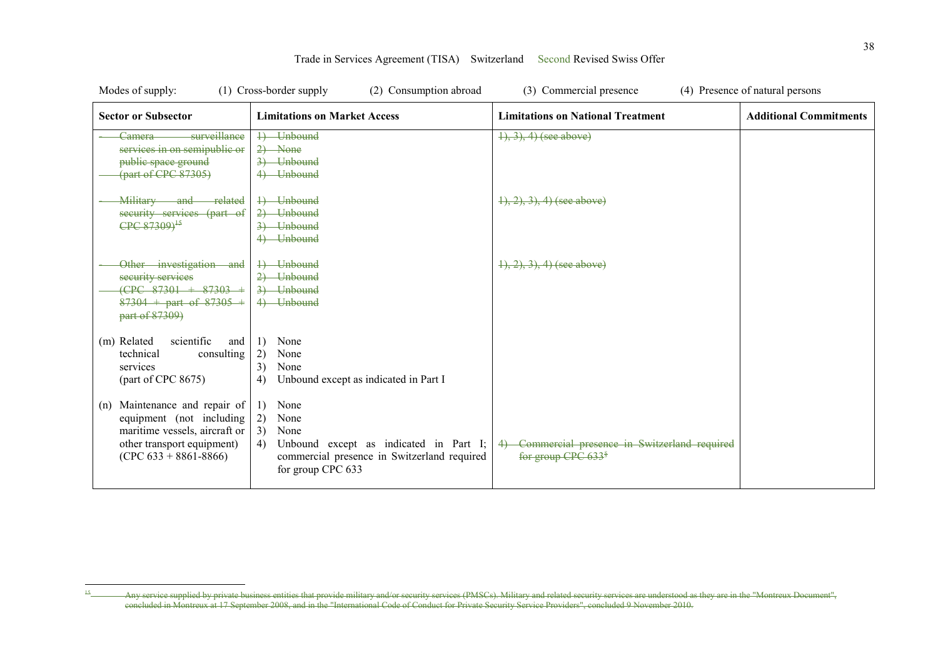| Modes of supply:                                                                                                                                         | (1) Cross-border supply<br>(2) Consumption abroad                                                                                                          | (3) Commercial presence                                                          | (4) Presence of natural persons |
|----------------------------------------------------------------------------------------------------------------------------------------------------------|------------------------------------------------------------------------------------------------------------------------------------------------------------|----------------------------------------------------------------------------------|---------------------------------|
| <b>Sector or Subsector</b>                                                                                                                               | <b>Limitations on Market Access</b>                                                                                                                        | <b>Limitations on National Treatment</b>                                         | <b>Additional Commitments</b>   |
| surveillance<br>Camera<br>services in on semipublic or<br>public space ground<br>${\rm (part of CPC 87305)}$                                             | 4) Unbound<br>$2)$ None<br>3) Unbound<br>4) Unbound                                                                                                        | $\{1, 3\}, 4$ (see above)                                                        |                                 |
| Military and related<br>security services (part of<br>CPC 87309) <sup>15</sup>                                                                           | 1) Unbound<br>2) Unbound<br>3) Unbound<br>4) Unbound                                                                                                       | $1, 2, 3, 4$ (see above)                                                         |                                 |
| Other investigation and<br>security services<br>$(CPC$ 87301 + 87303 +<br>$87304 +$ part of $87305 +$<br>part of 87309)                                  | 1) Unbound<br>2) Unbound<br>3) Unbound<br>4) Unbound                                                                                                       | $(1), (2), (3), (4)$ (see above)                                                 |                                 |
| scientific<br>(m) Related<br>and<br>consulting<br>technical<br>services<br>part of CPC 8675                                                              | None<br>1)<br>2)<br>None<br>3)<br>None<br>4)<br>Unbound except as indicated in Part I                                                                      |                                                                                  |                                 |
| Maintenance and repair of<br>(n)<br>equipment (not including<br>maritime vessels, aircraft or<br>other transport equipment)<br>$(CPC 633 + 8861 - 8866)$ | None<br>1)<br>2)<br>None<br>3)<br>None<br>Unbound except as indicated in Part I;<br>4)<br>commercial presence in Switzerland required<br>for group CPC 633 | 4) Commercial presence in Switzerland required<br>for group CPC 633 <sup>§</sup> |                                 |

 $\overline{a}$ 

<sup>&</sup>lt;sup>15</sup> Any service supplied by private business entities that provide military and/or security services (PMSCs). Military and related security services are understood as they are in the "Montreux Document", concluded in Montreux at 17 September 2008, and in the "International Code of Conduct for Private Security Service Providers", concluded 9 November 2010.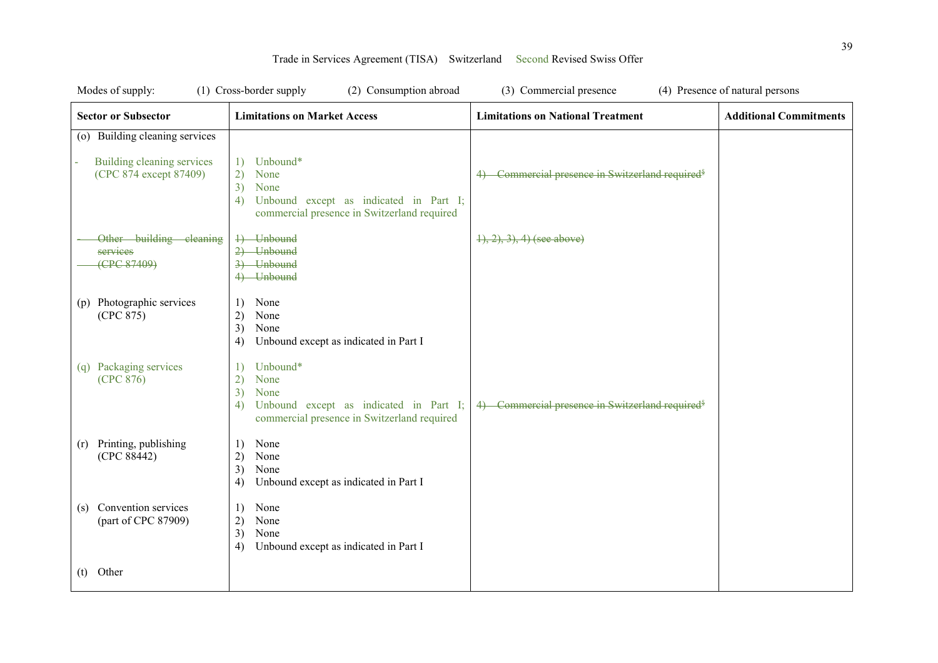| Modes of supply:                                     | (1) Cross-border supply<br>(2) Consumption abroad                                                                                                        | (3) Commercial presence                                      | (4) Presence of natural persons |
|------------------------------------------------------|----------------------------------------------------------------------------------------------------------------------------------------------------------|--------------------------------------------------------------|---------------------------------|
| <b>Sector or Subsector</b>                           | <b>Limitations on Market Access</b>                                                                                                                      | <b>Limitations on National Treatment</b>                     | <b>Additional Commitments</b>   |
| (o) Building cleaning services                       |                                                                                                                                                          |                                                              |                                 |
| Building cleaning services<br>(CPC 874 except 87409) | Unbound*<br>1)<br>$\left( 2\right)$<br>None<br>3)<br>None<br>Unbound except as indicated in Part I;<br>4)<br>commercial presence in Switzerland required | Commercial presence in Switzerland required <sup>§</sup>     |                                 |
| Other building cleaning<br>services<br>(CPC 87409)   | 4) Unbound<br>2) Unbound<br>3) Unbound<br>4) Unbound                                                                                                     | $\{1, 2, 3\}$ , 4) (see above)                               |                                 |
| (p) Photographic services<br>(CPC 875)               | None<br>1)<br>2)<br>None<br>3)<br>None<br>Unbound except as indicated in Part I<br>4)                                                                    |                                                              |                                 |
| Packaging services<br>(q)<br>(CPC 876)               | Unbound*<br>1)<br>2)<br>None<br>3)<br>None<br>Unbound except as indicated in Part I;<br>4)<br>commercial presence in Switzerland required                | 4) Commercial presence in Switzerland required <sup>\$</sup> |                                 |
| Printing, publishing<br>(r)<br>(CPC 88442)           | None<br>1)<br>2)<br>None<br>3)<br>None<br>Unbound except as indicated in Part I<br>4)                                                                    |                                                              |                                 |
| Convention services<br>(s)<br>(part of CPC 87909)    | None<br>1)<br>2)<br>None<br>3)<br>None<br>Unbound except as indicated in Part I<br>4)                                                                    |                                                              |                                 |
| $(t)$ Other                                          |                                                                                                                                                          |                                                              |                                 |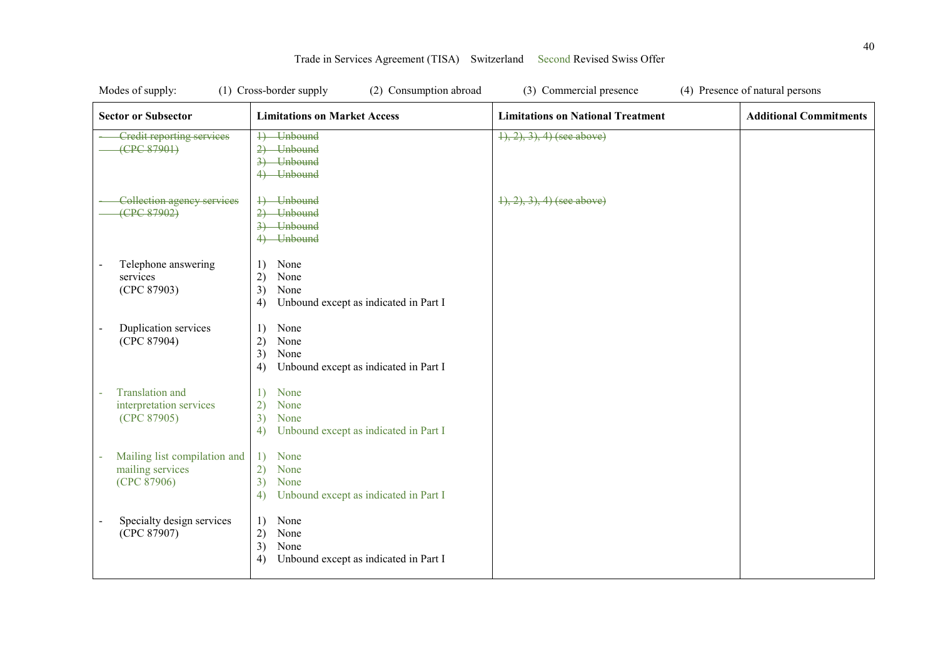| Modes of supply:                                                 | (1) Cross-border supply<br>(2) Consumption abroad                                     | (3) Commercial presence                  | (4) Presence of natural persons |
|------------------------------------------------------------------|---------------------------------------------------------------------------------------|------------------------------------------|---------------------------------|
| <b>Sector or Subsector</b>                                       | <b>Limitations on Market Access</b>                                                   | <b>Limitations on National Treatment</b> | <b>Additional Commitments</b>   |
| <b>Credit reporting services</b><br>(FPC 87901)                  | 1) Unbound<br>2) Unbound<br>3) Unbound<br>4) Unbound                                  | $1, 2, 3, 4$ (see above)                 |                                 |
| Collection agency services<br>(CPC 87902)                        | 4) Unbound<br>2) Unbound<br>3) Unbound<br>4) Unbound                                  | $(1), (2), (3), (4)$ (see above)         |                                 |
| Telephone answering<br>services<br>(CPC 87903)                   | None<br>1)<br>2)<br>None<br>3)<br>None<br>Unbound except as indicated in Part I<br>4) |                                          |                                 |
| Duplication services<br>(CPC 87904)                              | None<br>1)<br>2)<br>None<br>3)<br>None<br>Unbound except as indicated in Part I<br>4) |                                          |                                 |
| <b>Translation</b> and<br>interpretation services<br>(CPC 87905) | 1)<br>None<br>2)<br>None<br>3)<br>None<br>Unbound except as indicated in Part I<br>4) |                                          |                                 |
| Mailing list compilation and<br>mailing services<br>(CPC 87906)  | 1)<br>None<br>2)<br>None<br>3)<br>None<br>Unbound except as indicated in Part I<br>4) |                                          |                                 |
| Specialty design services<br>(CPC 87907)                         | 1)<br>None<br>2)<br>None<br>3)<br>None<br>4)<br>Unbound except as indicated in Part I |                                          |                                 |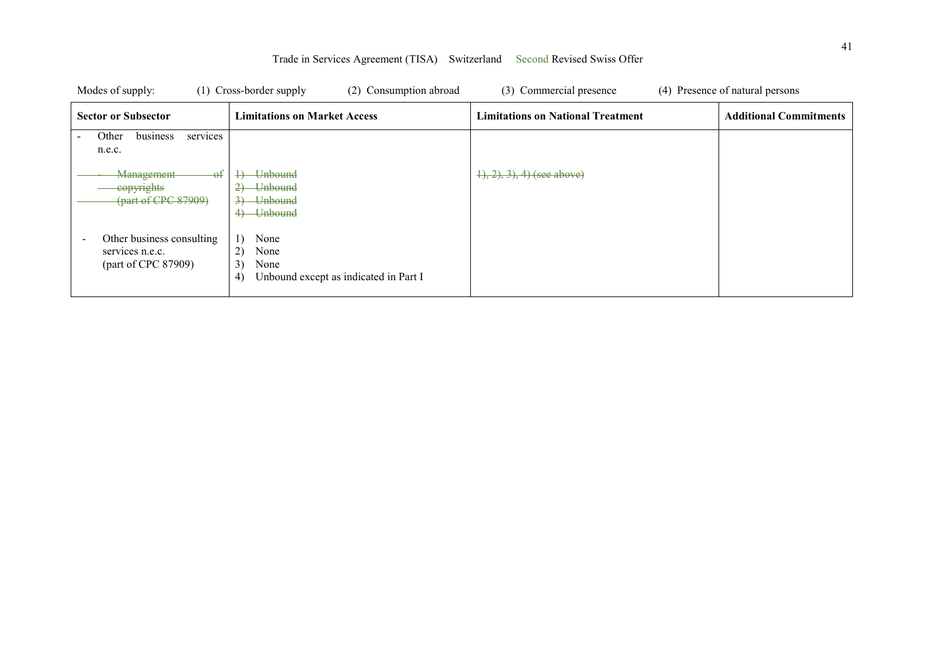| Modes of supply:                                                                                | (1) Cross-border supply<br>(2) Consumption abroad                                                                                     | (3) Commercial presence                  | (4) Presence of natural persons |
|-------------------------------------------------------------------------------------------------|---------------------------------------------------------------------------------------------------------------------------------------|------------------------------------------|---------------------------------|
| <b>Sector or Subsector</b>                                                                      | <b>Limitations on Market Access</b>                                                                                                   | <b>Limitations on National Treatment</b> | <b>Additional Commitments</b>   |
| Other<br>business<br>services<br>$\overline{\phantom{0}}$<br>n.e.c.                             |                                                                                                                                       |                                          |                                 |
| - <del>of</del><br><b>Management</b><br>eopyrights<br>$\left($ part of CPC 87909 $\right)$      | <b>Unbound</b><br><b>Unbound</b><br>$\overline{2}$<br>$\overline{3}$<br><del>Unbound</del><br><del>Unbound</del><br>$\leftrightarrow$ | $(1), (2), (3), (4)$ (see above)         |                                 |
| Other business consulting<br>$\overline{\phantom{a}}$<br>services n.e.c.<br>(part of CPC 87909) | 1)<br>None<br>2)<br>None<br>3)<br>None<br>4)<br>Unbound except as indicated in Part I                                                 |                                          |                                 |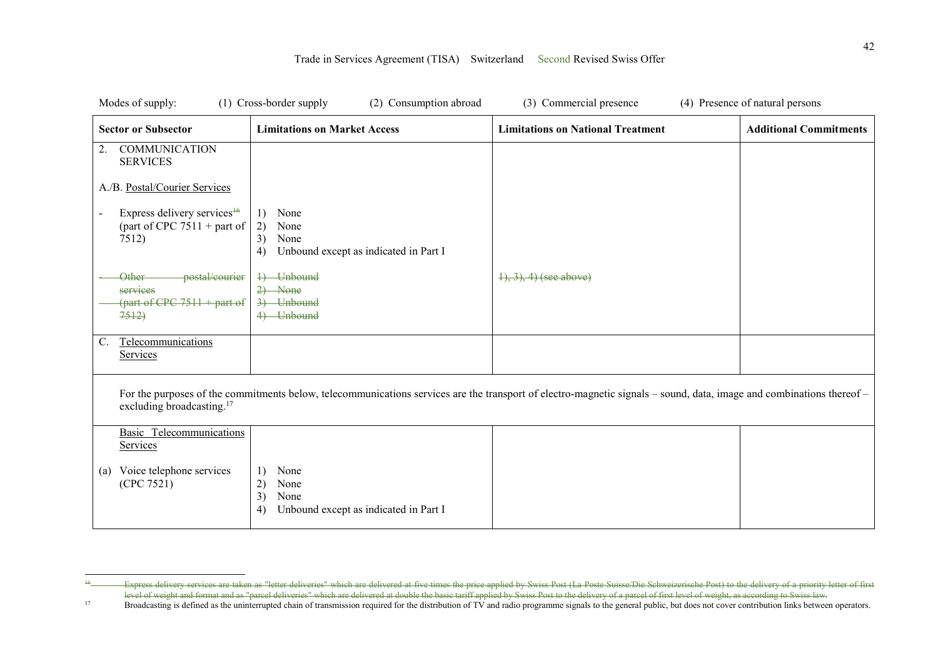| Modes of supply:                                                                                                                                                                                              | (1) Cross-border supply<br>(2) Consumption abroad                                     | (3) Commercial presence                  | (4) Presence of natural persons |  |
|---------------------------------------------------------------------------------------------------------------------------------------------------------------------------------------------------------------|---------------------------------------------------------------------------------------|------------------------------------------|---------------------------------|--|
| <b>Sector or Subsector</b>                                                                                                                                                                                    | <b>Limitations on Market Access</b>                                                   | <b>Limitations on National Treatment</b> | <b>Additional Commitments</b>   |  |
| <b>COMMUNICATION</b><br>2.<br><b>SERVICES</b>                                                                                                                                                                 |                                                                                       |                                          |                                 |  |
| A./B. Postal/Courier Services                                                                                                                                                                                 |                                                                                       |                                          |                                 |  |
| Express delivery services <sup>16</sup><br>(part of CPC $7511 +$ part of<br>7512)                                                                                                                             | None<br>1)<br>2)<br>None<br>3)<br>None<br>Unbound except as indicated in Part I<br>4) |                                          |                                 |  |
| postal/courier<br><b>Other</b><br>services<br>$\frac{1}{2}$ (part of CPC 7511 + part of<br>7512                                                                                                               | 4) Unbound<br>$2)$ None<br>3) Unbound<br>4) Unbound                                   | $1, 3, 4$ (see above)                    |                                 |  |
| Telecommunications<br>$\mathbb{C}$ .<br>Services                                                                                                                                                              |                                                                                       |                                          |                                 |  |
| For the purposes of the commitments below, telecommunications services are the transport of electro-magnetic signals – sound, data, image and combinations thereof –<br>excluding broadcasting. <sup>17</sup> |                                                                                       |                                          |                                 |  |
| <b>Basic Telecommunications</b><br>Services                                                                                                                                                                   |                                                                                       |                                          |                                 |  |
| Voice telephone services<br>(a)<br>(CPC 7521)                                                                                                                                                                 | None<br>1)<br>2)<br>None<br>3)<br>None<br>Unbound except as indicated in Part I<br>4) |                                          |                                 |  |

 $\overline{a}$ <sup>16</sup> Express delivery services are taken as "letter deliveries" which are delivered at five times the price applied by Swiss Post (La Poste Suisse/Die Schweizerische Post) to the delivery of a priority letter of first level of weight and format and as "parcel deliveries" which are delivered at double the basic tariff applied by Swiss Post to the delivery of a parcel of first level of weight, as according to Swiss law.

<sup>17</sup> Broadcasting is defined as the uninterrupted chain of transmission required for the distribution of TV and radio programme signals to the general public, but does not cover contribution links between operators.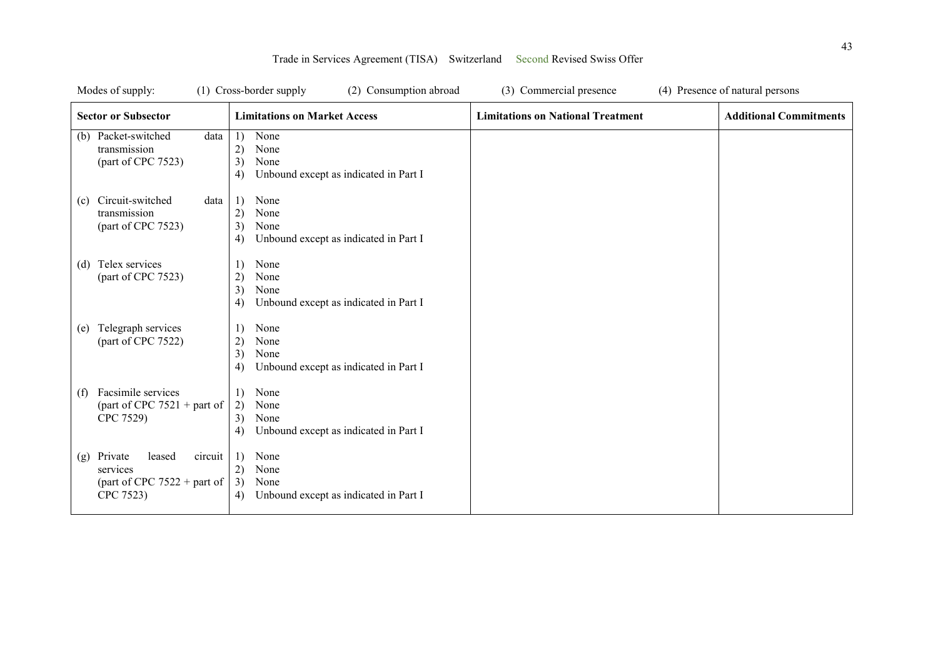|     | Modes of supply:                                                                       | (1) Cross-border supply<br>(2) Consumption abroad                                     | (3) Commercial presence                  | (4) Presence of natural persons |
|-----|----------------------------------------------------------------------------------------|---------------------------------------------------------------------------------------|------------------------------------------|---------------------------------|
|     | <b>Sector or Subsector</b>                                                             | <b>Limitations on Market Access</b>                                                   | <b>Limitations on National Treatment</b> | <b>Additional Commitments</b>   |
|     | (b) Packet-switched<br>data<br>transmission<br>(part of CPC 7523)                      | None<br>1)<br>2)<br>None<br>3)<br>None<br>Unbound except as indicated in Part I<br>4) |                                          |                                 |
| (c) | Circuit-switched<br>data<br>transmission<br>(part of CPC 7523)                         | 1)<br>None<br>2)<br>None<br>3)<br>None<br>Unbound except as indicated in Part I<br>4) |                                          |                                 |
| (d) | Telex services<br>(part of CPC 7523)                                                   | None<br>1)<br>2)<br>None<br>3)<br>None<br>Unbound except as indicated in Part I<br>4) |                                          |                                 |
| (e) | Telegraph services<br>(part of CPC 7522)                                               | None<br>1)<br>2)<br>None<br>3)<br>None<br>Unbound except as indicated in Part I<br>4) |                                          |                                 |
| (f) | Facsimile services<br>(part of CPC $7521 +$ part of<br>CPC 7529)                       | None<br>1)<br>2)<br>None<br>3)<br>None<br>Unbound except as indicated in Part I<br>4) |                                          |                                 |
| (g) | Private<br>leased<br>circuit<br>services<br>(part of CPC $7522 +$ part of<br>CPC 7523) | None<br>1)<br>None<br>2)<br>3)<br>None<br>Unbound except as indicated in Part I<br>4) |                                          |                                 |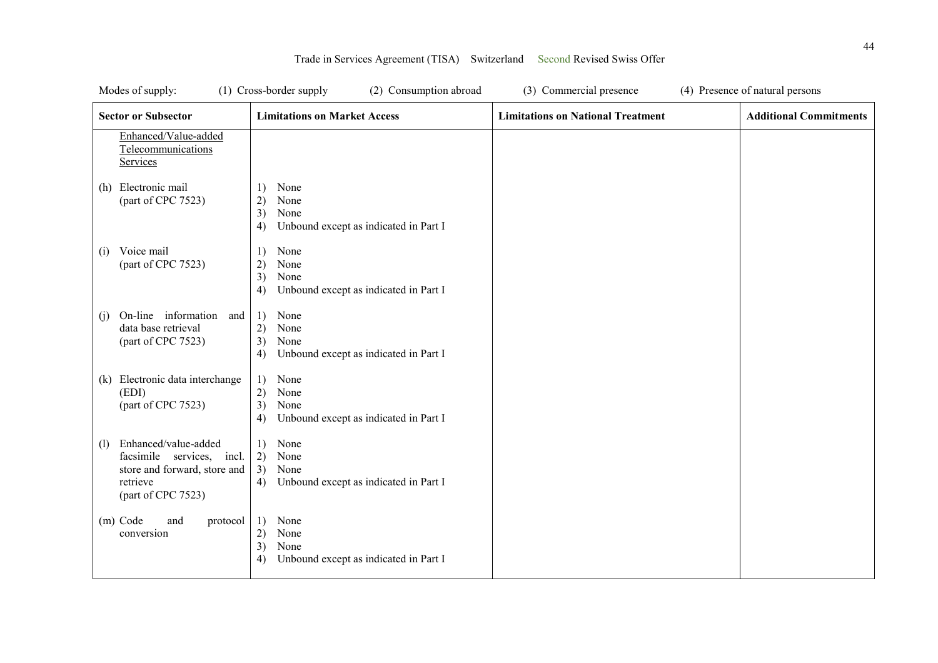| Modes of supply:                                                                                                           | (1) Cross-border supply<br>(2) Consumption abroad                                     | (3) Commercial presence                  | (4) Presence of natural persons |
|----------------------------------------------------------------------------------------------------------------------------|---------------------------------------------------------------------------------------|------------------------------------------|---------------------------------|
| <b>Sector or Subsector</b>                                                                                                 | <b>Limitations on Market Access</b>                                                   | <b>Limitations on National Treatment</b> | <b>Additional Commitments</b>   |
| Enhanced/Value-added<br>Telecommunications<br>Services                                                                     |                                                                                       |                                          |                                 |
| Electronic mail<br>(h)<br>(part of CPC 7523)                                                                               | 1)<br>None<br>2)<br>None<br>3)<br>None<br>Unbound except as indicated in Part I<br>4) |                                          |                                 |
| Voice mail<br>(i)<br>(part of CPC 7523)                                                                                    | None<br>1)<br>2)<br>None<br>3)<br>None<br>Unbound except as indicated in Part I<br>4) |                                          |                                 |
| On-line information and<br>(i)<br>data base retrieval<br>(part of CPC 7523)                                                | 1)<br>None<br>2)<br>None<br>3)<br>None<br>Unbound except as indicated in Part I<br>4) |                                          |                                 |
| Electronic data interchange<br>(k)<br>(EDI)<br>(part of CPC 7523)                                                          | 1)<br>None<br>2)<br>None<br>3)<br>None<br>Unbound except as indicated in Part I<br>4) |                                          |                                 |
| Enhanced/value-added<br>(1)<br>facsimile services, incl.<br>store and forward, store and<br>retrieve<br>(part of CPC 7523) | None<br>1)<br>2)<br>None<br>3)<br>None<br>Unbound except as indicated in Part I<br>4) |                                          |                                 |
| (m) Code<br>and<br>protocol<br>conversion                                                                                  | 1)<br>None<br>2)<br>None<br>3)<br>None<br>4)<br>Unbound except as indicated in Part I |                                          |                                 |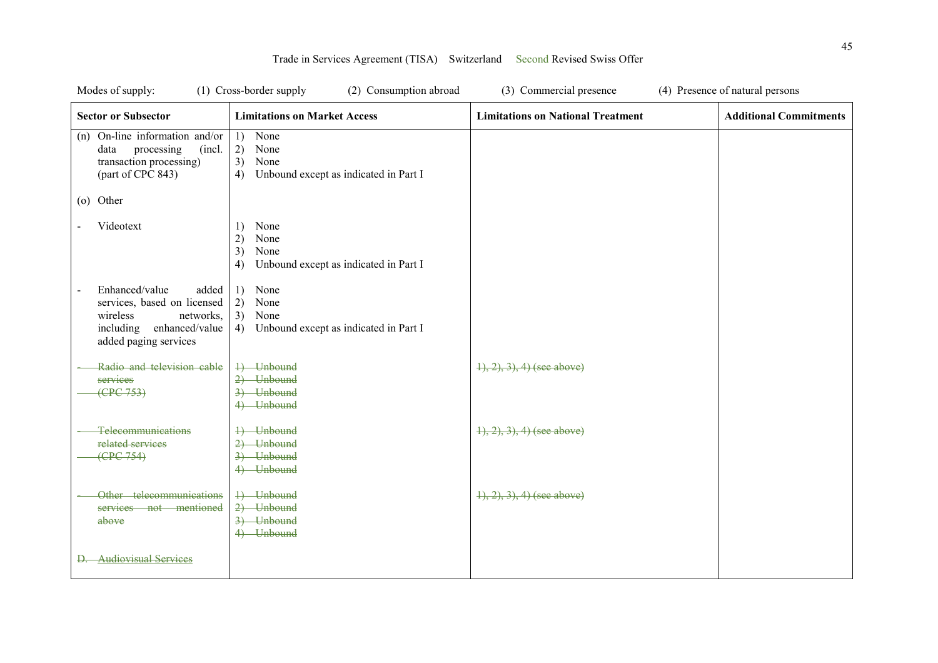| Modes of supply:                                                                                                                        | (1) Cross-border supply<br>(2) Consumption abroad                                     | (3) Commercial presence                  | (4) Presence of natural persons |
|-----------------------------------------------------------------------------------------------------------------------------------------|---------------------------------------------------------------------------------------|------------------------------------------|---------------------------------|
| <b>Sector or Subsector</b>                                                                                                              | <b>Limitations on Market Access</b>                                                   | <b>Limitations on National Treatment</b> | <b>Additional Commitments</b>   |
| On-line information and/or<br>(n)<br>data<br>processing<br>(incl.<br>transaction processing)<br>(part of CPC 843)                       | 1)<br>None<br>2)<br>None<br>3)<br>None<br>Unbound except as indicated in Part I<br>4) |                                          |                                 |
| (o) Other                                                                                                                               |                                                                                       |                                          |                                 |
| Videotext                                                                                                                               | None<br>1)<br>2)<br>None<br>3)<br>None<br>Unbound except as indicated in Part I<br>4) |                                          |                                 |
| Enhanced/value<br>added<br>services, based on licensed<br>wireless<br>networks,<br>enhanced/value<br>including<br>added paging services | None<br>1)<br>2)<br>None<br>3)<br>None<br>Unbound except as indicated in Part I<br>4) |                                          |                                 |
| Radio and television cable<br>services<br>(EPC 753)                                                                                     | 4) Unbound<br>2) Unbound<br>3) Unbound<br>4) Unbound                                  | $(1), (2), (3), (4)$ (see above)         |                                 |
| Telecommunications<br>related services<br>(EPC 754)                                                                                     | 4) Unbound<br>2) Unbound<br>3) Unbound<br>4) Unbound                                  | $\{1, 2, 3\}$ , 4) (see above)           |                                 |
| Other telecommunications<br>services not mentioned<br>above                                                                             | +) Unbound<br>2) Unbound<br>3) Unbound<br>4) Unbound                                  | $\{1, 2, 3, 4\}$ (see above)             |                                 |
| <b>Audiovisual Services</b>                                                                                                             |                                                                                       |                                          |                                 |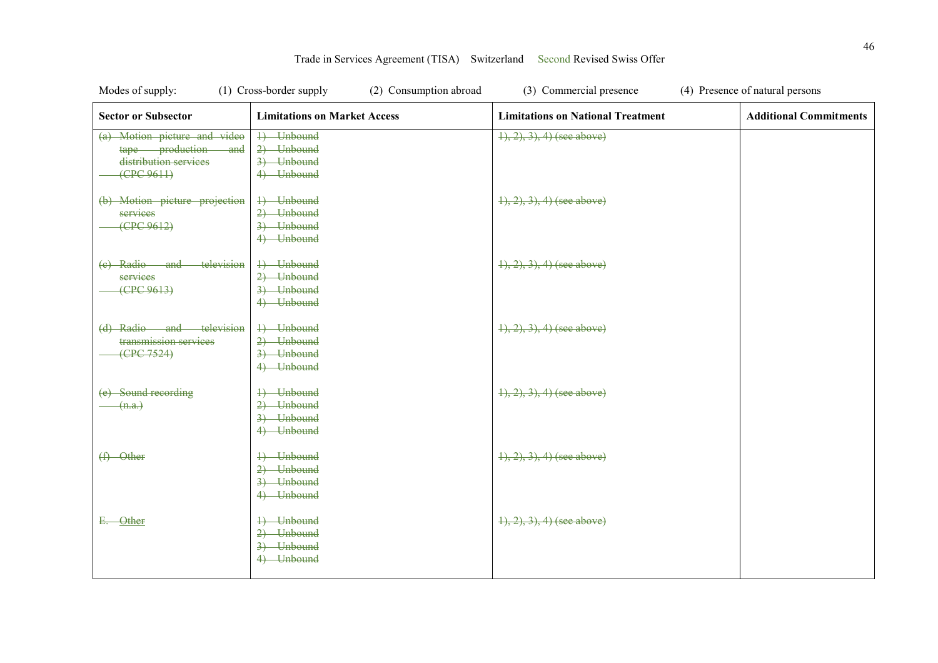| Modes of supply:                                                                                         | (1) Cross-border supply<br>(2) Consumption abroad      | (3) Commercial presence                  | (4) Presence of natural persons |
|----------------------------------------------------------------------------------------------------------|--------------------------------------------------------|------------------------------------------|---------------------------------|
| <b>Sector or Subsector</b>                                                                               | <b>Limitations on Market Access</b>                    | <b>Limitations on National Treatment</b> | <b>Additional Commitments</b>   |
| (a) Motion picture and video<br>tape production<br><del>and</del><br>distribution services<br>(CPC 9611) | 1) Unbound<br>$2)$ Unbound<br>3) Unbound<br>4) Unbound | $(1), (2), (3), (4)$ (see above)         |                                 |
| (b) Motion picture projection<br>services<br>(EPC 9612)                                                  | 4) Unbound<br>2) Unbound<br>3) Unbound<br>4) Unbound   | $\{1, 2, 3\}$ , 4) (see above)           |                                 |
| (e) Radio and<br>television<br>services<br>(EPC 9613)                                                    | 4) Unbound<br>2) Unbound<br>3) Unbound<br>4) Unbound   | $(1), (2), (3), (4)$ (see above)         |                                 |
| (d) Radio and television<br>transmission services<br>(CPC 7524)                                          | 4) Unbound<br>2) Unbound<br>3) Unbound<br>4) Unbound   | $(1), (2), (3), (4)$ (see above)         |                                 |
| (e) Sound recording<br>(n.a.)                                                                            | 4) Unbound<br>2) Unbound<br>3) Unbound<br>4) Unbound   | $\{1, 2, 3, 4\}$ (see above)             |                                 |
| $(f)$ Other                                                                                              | 4) Unbound<br>2) Unbound<br>3) Unbound<br>4) Unbound   | $(1), (2), (3), (4)$ (see above)         |                                 |
| E. Other                                                                                                 | 4) Unbound<br>2) Unbound<br>3) Unbound<br>4) Unbound   | $(1), (2), (3), (4)$ (see above)         |                                 |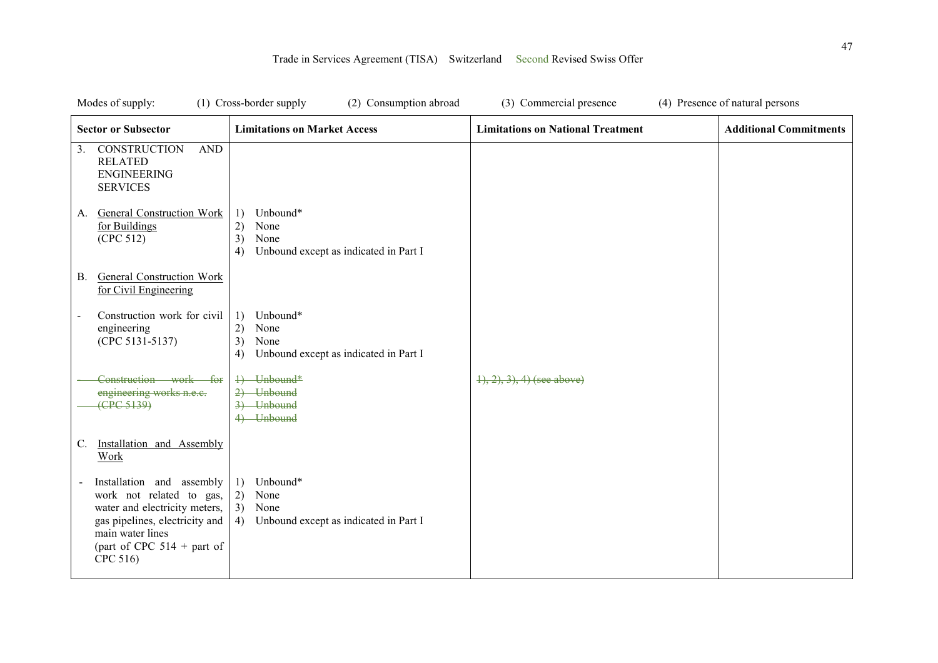| Modes of supply:                                                                                                                                                                                           | (1) Cross-border supply<br>(2) Consumption abroad                                                                   | (3) Commercial presence                  | (4) Presence of natural persons |
|------------------------------------------------------------------------------------------------------------------------------------------------------------------------------------------------------------|---------------------------------------------------------------------------------------------------------------------|------------------------------------------|---------------------------------|
| <b>Sector or Subsector</b>                                                                                                                                                                                 | <b>Limitations on Market Access</b>                                                                                 | <b>Limitations on National Treatment</b> | <b>Additional Commitments</b>   |
| 3. CONSTRUCTION<br><b>AND</b><br><b>RELATED</b><br><b>ENGINEERING</b><br><b>SERVICES</b>                                                                                                                   |                                                                                                                     |                                          |                                 |
| General Construction Work<br>А.<br>for Buildings<br>(CPC 512)                                                                                                                                              | Unbound*<br>1)<br>None<br>2)<br>None<br>3)<br>Unbound except as indicated in Part I<br>4)                           |                                          |                                 |
| <b>General Construction Work</b><br><b>B.</b><br>for Civil Engineering                                                                                                                                     |                                                                                                                     |                                          |                                 |
| Construction work for civil<br>engineering<br>(CPC 5131-5137)                                                                                                                                              | Unbound*<br>$\left( \frac{1}{2} \right)$<br>None<br>2)<br>None<br>3)<br>Unbound except as indicated in Part I<br>4) |                                          |                                 |
| Construction work for<br>engineering works n.e.c.<br>(CPC 5139)                                                                                                                                            | 4) Unbound*<br>2) Unbound<br>3) Unbound<br>4) Unbound                                                               | $(1), (2), (3), (4)$ (see above)         |                                 |
| Installation and Assembly<br>C.<br>Work                                                                                                                                                                    |                                                                                                                     |                                          |                                 |
| Installation and assembly<br>$\blacksquare$<br>work not related to gas,<br>water and electricity meters,<br>gas pipelines, electricity and<br>main water lines<br>(part of CPC $514 +$ part of<br>CPC 516) | Unbound*<br>1)<br>2)<br>None<br>3) None<br>Unbound except as indicated in Part I<br>4)                              |                                          |                                 |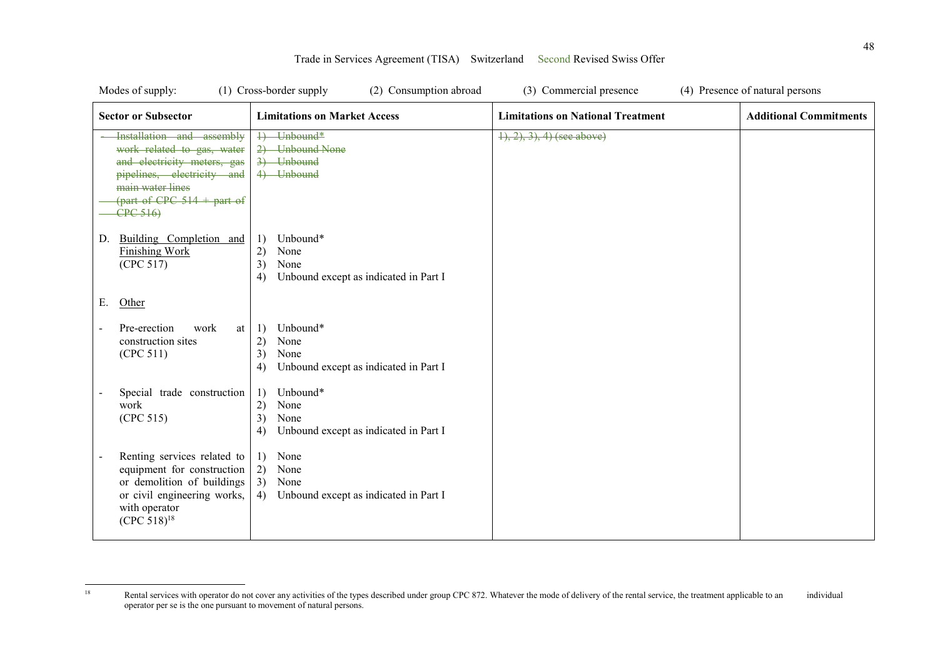| Modes of supply:                                                                                                                                                                     | (1) Cross-border supply<br>(2) Consumption abroad                                         | (3) Commercial presence                  | (4) Presence of natural persons |
|--------------------------------------------------------------------------------------------------------------------------------------------------------------------------------------|-------------------------------------------------------------------------------------------|------------------------------------------|---------------------------------|
| <b>Sector or Subsector</b>                                                                                                                                                           | <b>Limitations on Market Access</b>                                                       | <b>Limitations on National Treatment</b> | <b>Additional Commitments</b>   |
| Installation and assembly<br>work related to gas, water<br>and electricity meters, gas<br>pipelines, electricity and<br>main water lines<br>(part of CPC $514 +$ part of<br>CPC 516) | 1) Unbound*<br>2) Unbound None<br>3) Unbound<br>4) Unbound                                | $(1), (2), (3), (4)$ (see above)         |                                 |
| Building Completion and<br>D.<br><b>Finishing Work</b><br>(CPC 517)                                                                                                                  | Unbound*<br>1)<br>2)<br>None<br>3)<br>None<br>Unbound except as indicated in Part I<br>4) |                                          |                                 |
| Е.<br>Other                                                                                                                                                                          |                                                                                           |                                          |                                 |
| Pre-erection<br>work<br>at<br>construction sites<br>(CPC 511)                                                                                                                        | Unbound*<br>1)<br>2)<br>None<br>3)<br>None<br>Unbound except as indicated in Part I<br>4) |                                          |                                 |
| Special trade construction<br>work<br>(CPC 515)                                                                                                                                      | Unbound*<br>1)<br>2)<br>None<br>3)<br>None<br>Unbound except as indicated in Part I<br>4) |                                          |                                 |
| Renting services related to<br>equipment for construction<br>or demolition of buildings<br>or civil engineering works,<br>with operator<br>$(CPC 518)^{18}$                          | 1)<br>None<br>2)<br>None<br>3)<br>None<br>Unbound except as indicated in Part I<br>4)     |                                          |                                 |

 $18\,$ Rental services with operator do not cover any activities of the types described under group CPC 872. Whatever the mode of delivery of the rental service, the treatment applicable to an individual operator per se is the one pursuant to movement of natural persons.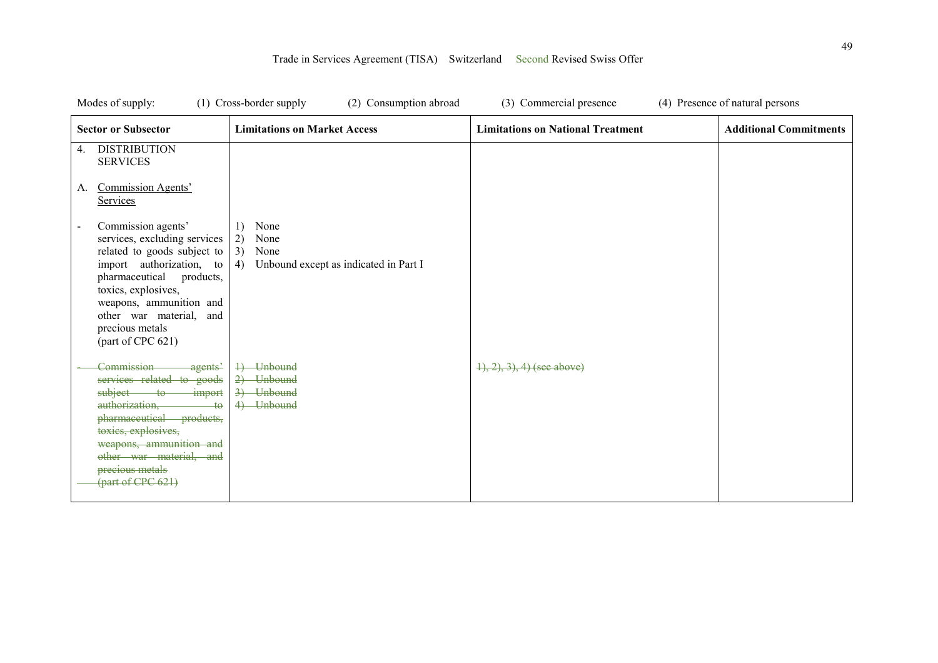| Modes of supply:                                                                                                                                                                                                                                                                                                                                                               | (1) Cross-border supply<br>(2) Consumption abroad                                     | (3) Commercial presence                  | (4) Presence of natural persons |
|--------------------------------------------------------------------------------------------------------------------------------------------------------------------------------------------------------------------------------------------------------------------------------------------------------------------------------------------------------------------------------|---------------------------------------------------------------------------------------|------------------------------------------|---------------------------------|
| <b>Sector or Subsector</b>                                                                                                                                                                                                                                                                                                                                                     | <b>Limitations on Market Access</b>                                                   | <b>Limitations on National Treatment</b> | <b>Additional Commitments</b>   |
| <b>DISTRIBUTION</b><br>4.<br><b>SERVICES</b><br>Commission Agents'<br>A.<br>Services<br>Commission agents'<br>$\blacksquare$<br>services, excluding services<br>related to goods subject to<br>import authorization, to<br>pharmaceutical<br>products,<br>toxics, explosives,<br>weapons, ammunition and<br>other war material,<br>and<br>precious metals<br>(part of CPC 621) | 1)<br>None<br>2)<br>None<br>3)<br>None<br>4)<br>Unbound except as indicated in Part I |                                          |                                 |
| Commission<br>-agents'<br>services related to goods<br>subject<br>$\frac{1}{2}$ import<br>$-$ to<br>authorization,<br>$+\theta$<br>pharmaceutical<br>products,<br>toxics, explosives,<br>weapons, ammunition and<br>other war material, and<br>precious metals<br>$\frac{1}{2}$ (part of CPC 621)                                                                              | 4) Unbound<br>2) Unbound<br>3) Unbound<br>4) Unbound                                  | $(1), (2), (3), (4)$ (see above)         |                                 |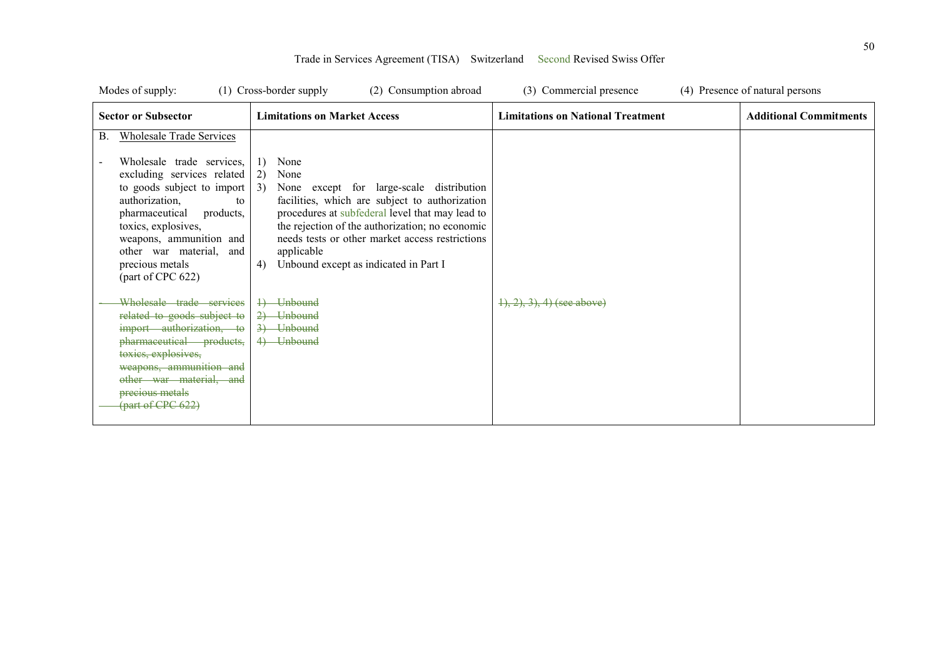| Modes of supply: |                                                                                                                                                                                                                                                                                                                                                                                                                                                                                                                                                 | (1) Cross-border supply<br>(2) Consumption abroad                                                                                                                                                                                                                                                                                                                                                                    | (3) Commercial presence                  | (4) Presence of natural persons |
|------------------|-------------------------------------------------------------------------------------------------------------------------------------------------------------------------------------------------------------------------------------------------------------------------------------------------------------------------------------------------------------------------------------------------------------------------------------------------------------------------------------------------------------------------------------------------|----------------------------------------------------------------------------------------------------------------------------------------------------------------------------------------------------------------------------------------------------------------------------------------------------------------------------------------------------------------------------------------------------------------------|------------------------------------------|---------------------------------|
|                  | <b>Sector or Subsector</b>                                                                                                                                                                                                                                                                                                                                                                                                                                                                                                                      | <b>Limitations on Market Access</b>                                                                                                                                                                                                                                                                                                                                                                                  | <b>Limitations on National Treatment</b> | <b>Additional Commitments</b>   |
| <b>B.</b>        | <b>Wholesale Trade Services</b><br>Wholesale trade services,<br>excluding services related<br>to goods subject to import<br>authorization,<br>to<br>products,<br>pharmaceutical<br>toxics, explosives,<br>weapons, ammunition and<br>other war material,<br>and<br>precious metals<br>(part of CPC 622)<br>Wholesale trade services<br>related to goods subject to<br>import authorization, to<br>pharmaceutical products,<br>toxics, explosives,<br>weapons, ammunition and<br>other war material, and<br>precious metals<br>(part of CPC 622) | None<br>1)<br>None<br>2)<br><sup>3</sup><br>None except for large-scale distribution<br>facilities, which are subject to authorization<br>procedures at subfederal level that may lead to<br>the rejection of the authorization; no economic<br>needs tests or other market access restrictions<br>applicable<br>Unbound except as indicated in Part I<br>4)<br>4) Unbound<br>2) Unbound<br>3) Unbound<br>4) Unbound | $\{1, 2, 3\}$ , 4) (see above)           |                                 |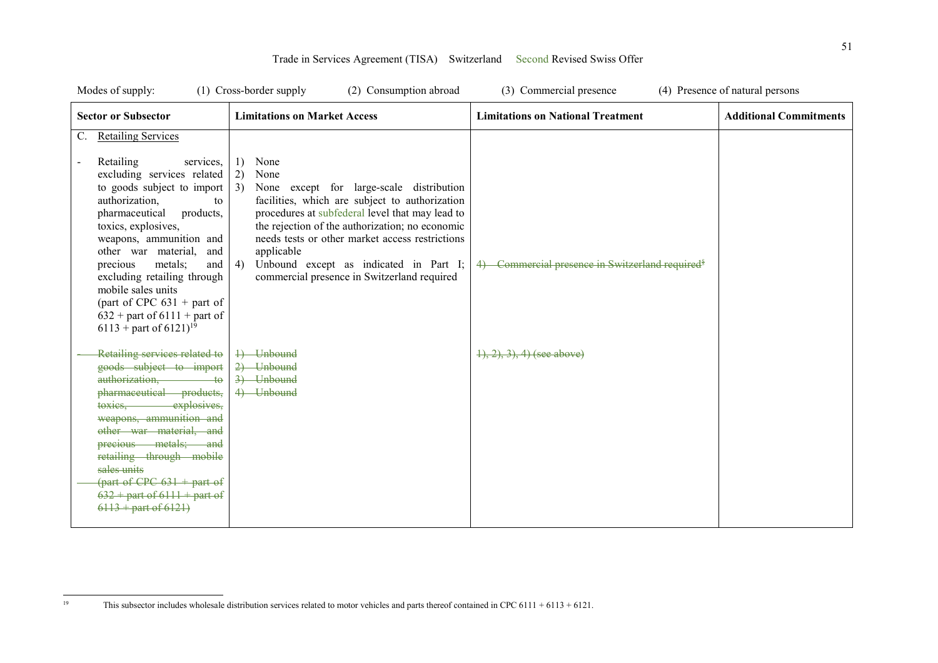| Modes of supply:                                                                                                                                                                                                                                                                                                                                                                                                                                           | $(1)$ Cross-border supply<br>(2) Consumption abroad                                                                                                                                                                                                                                                                                                                                                | (3) Commercial presence                                      | (4) Presence of natural persons |
|------------------------------------------------------------------------------------------------------------------------------------------------------------------------------------------------------------------------------------------------------------------------------------------------------------------------------------------------------------------------------------------------------------------------------------------------------------|----------------------------------------------------------------------------------------------------------------------------------------------------------------------------------------------------------------------------------------------------------------------------------------------------------------------------------------------------------------------------------------------------|--------------------------------------------------------------|---------------------------------|
| <b>Sector or Subsector</b>                                                                                                                                                                                                                                                                                                                                                                                                                                 | <b>Limitations on Market Access</b>                                                                                                                                                                                                                                                                                                                                                                | <b>Limitations on National Treatment</b>                     | <b>Additional Commitments</b>   |
| <b>Retailing Services</b><br>C.<br>Retailing<br>services.<br>excluding services related<br>to goods subject to import<br>authorization,<br>to<br>pharmaceutical<br>products,<br>toxics, explosives,<br>weapons, ammunition and<br>other war material,<br>and<br>metals;<br>precious<br>and<br>excluding retailing through<br>mobile sales units<br>(part of CPC $631 +$ part of<br>$632$ + part of 6111 + part of<br>$6113$ + part of $6121$ <sup>19</sup> | None<br>1)<br>2)<br>None<br>3)<br>None except for large-scale distribution<br>facilities, which are subject to authorization<br>procedures at subfederal level that may lead to<br>the rejection of the authorization; no economic<br>needs tests or other market access restrictions<br>applicable<br>Unbound except as indicated in Part I;<br>4)<br>commercial presence in Switzerland required | 4) Commercial presence in Switzerland required <sup>\$</sup> |                                 |
| Retailing services related to<br>goods subject to import<br>authorization, to<br>pharmaceutical products,<br>toxies, explosives,<br>weapons, ammunition and<br>other war material, and<br>precious metals; and<br>retailing through mobile<br>sales units<br>$\frac{1}{2}$ (part of CPC 631 + part of<br>$632 +$ part of $6111 +$ part of<br>$6113 +$ part of $6121$ )                                                                                     | 4) Unbound<br>2) Unbound<br>3) Unbound<br>4) Unbound                                                                                                                                                                                                                                                                                                                                               | $(1), (2), (3), (4)$ (see above)                             |                                 |

 $19\,$ 19 This subsector includes wholesale distribution services related to motor vehicles and parts thereof contained in CPC 6111 + 6113 + 6121.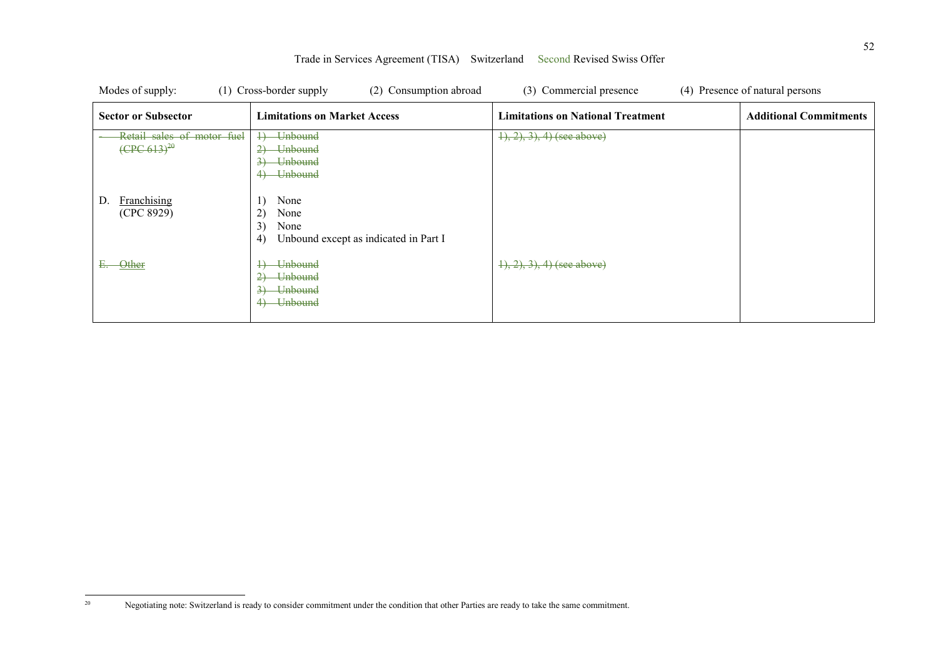| Modes of supply:                                       | (1) Cross-border supply<br>(2) Consumption abroad                                                             | (3) Commercial presence                  | (4) Presence of natural persons |
|--------------------------------------------------------|---------------------------------------------------------------------------------------------------------------|------------------------------------------|---------------------------------|
| <b>Sector or Subsector</b>                             | <b>Limitations on Market Access</b>                                                                           | <b>Limitations on National Treatment</b> | <b>Additional Commitments</b>   |
| Retail sales of motor fuel<br>$(\text{CPC } 613)^{20}$ | Unbound<br>$\downarrow$<br><del>Unbound</del><br><b>Unbound</b><br>$\rightarrow$<br><del>Unbound</del><br>4   | $(1), (2), (3), (4)$ (see above)         |                                 |
| Franchising<br>D.<br>(CPC 8929)                        | None<br>2)<br>None<br>3)<br>None<br>Unbound except as indicated in Part I<br>4)                               |                                          |                                 |
| Other<br>Е.                                            | <b>Unbound</b><br>$\downarrow$<br><b>Unbound</b><br>$\rightarrow$<br><b>Unbound</b><br>$3+$<br><b>Unbound</b> | $\{1, 2, 3\}$ , 4) (see above)           |                                 |

 $20\,$ 20 Negotiating note: Switzerland is ready to consider commitment under the condition that other Parties are ready to take the same commitment.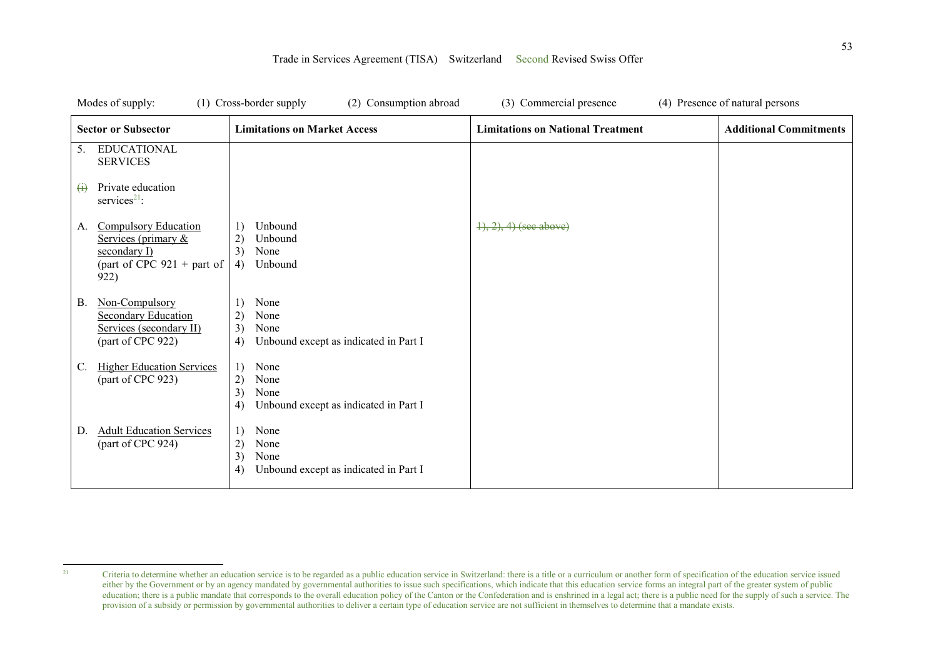|    | Modes of supply:                                                                                                 | (1) Cross-border supply<br>(2) Consumption abroad                                                    | (3) Commercial presence                  | (4) Presence of natural persons |
|----|------------------------------------------------------------------------------------------------------------------|------------------------------------------------------------------------------------------------------|------------------------------------------|---------------------------------|
|    | <b>Sector or Subsector</b>                                                                                       | <b>Limitations on Market Access</b>                                                                  | <b>Limitations on National Treatment</b> | <b>Additional Commitments</b>   |
|    | <b>EDUCATIONAL</b><br>5.<br><b>SERVICES</b>                                                                      |                                                                                                      |                                          |                                 |
|    | Private education<br>$\leftrightarrow$<br>services <sup>21</sup> :                                               |                                                                                                      |                                          |                                 |
|    | <b>Compulsory Education</b><br>A.<br>Services (primary &<br>secondary I)<br>(part of CPC $921 +$ part of<br>922) | Unbound<br>1)<br>2)<br>Unbound<br>3)<br>None<br>4)<br>Unbound                                        | $\{1, 2\}, 4$ (see above)                |                                 |
| В. | Non-Compulsory<br><b>Secondary Education</b><br>Services (secondary II)<br>(part of CPC 922)                     | 1)<br>None<br>2)<br>None<br>3)<br>None<br>Unbound except as indicated in Part I<br>4)                |                                          |                                 |
| C. | <b>Higher Education Services</b><br>(part of CPC 923)                                                            | 1)<br>None<br>2)<br>None<br>3)<br>None<br>Unbound except as indicated in Part I<br>4)                |                                          |                                 |
| D. | <b>Adult Education Services</b><br>(part of CPC 924)                                                             | 1)<br>None<br>2)<br>None<br>3)<br>None<br>$\left( 4\right)$<br>Unbound except as indicated in Part I |                                          |                                 |

 $21$ <sup>21</sup> Criteria to determine whether an education service is to be regarded as a public education service in Switzerland: there is a title or a curriculum or another form of specification of the education service issued either by the Government or by an agency mandated by governmental authorities to issue such specifications, which indicate that this education service forms an integral part of the greater system of public education; there is a public mandate that corresponds to the overall education policy of the Canton or the Confederation and is enshrined in a legal act; there is a public need for the supply of such a service. The provision of a subsidy or permission by governmental authorities to deliver a certain type of education service are not sufficient in themselves to determine that a mandate exists.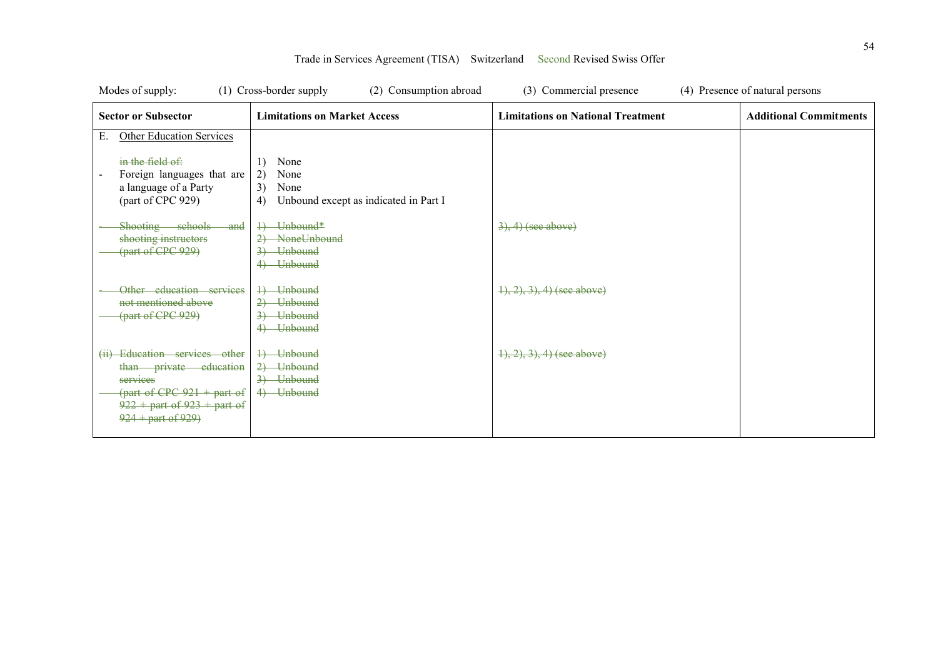| Modes of supply:                                                                                                                                                           | (1) Cross-border supply<br>(2) Consumption abroad                                                           | (3) Commercial presence                  | (4) Presence of natural persons |
|----------------------------------------------------------------------------------------------------------------------------------------------------------------------------|-------------------------------------------------------------------------------------------------------------|------------------------------------------|---------------------------------|
| <b>Sector or Subsector</b>                                                                                                                                                 | <b>Limitations on Market Access</b>                                                                         | <b>Limitations on National Treatment</b> | <b>Additional Commitments</b>   |
| <b>Other Education Services</b><br>Е.<br>in the field $\theta$ :<br>Foreign languages that are<br>a language of a Party<br>(part of CPC 929)<br>Shooting schools and       | None<br>1)<br>2)<br>None<br>3)<br>None<br>Unbound except as indicated in Part I<br>4)<br>+) Unbound*        | $\left(3\right), 4$ ) (see above)        |                                 |
| shooting instructors<br>(part of CPC 929)<br>Other education services<br>not mentioned above<br>(part of CPC 929)                                                          | NoneUnbound<br><b>Unbound</b><br>4) Unbound<br>4) Unbound<br>2) Unbound<br><del>Unbound</del><br>4) Unbound | $(1), (2), (3), (4)$ (see above)         |                                 |
| (ii) Education services other<br>than private education<br>services<br>$\frac{1}{2}$ (part of CPC 921 + part of<br>$922 +$ part of $923 +$ part of<br>$924 +$ part of 929) | 4) Unbound<br>2) Unbound<br>3) Unbound<br>4) Unbound                                                        | $\{1, 2, 3\}$ , 4) (see above)           |                                 |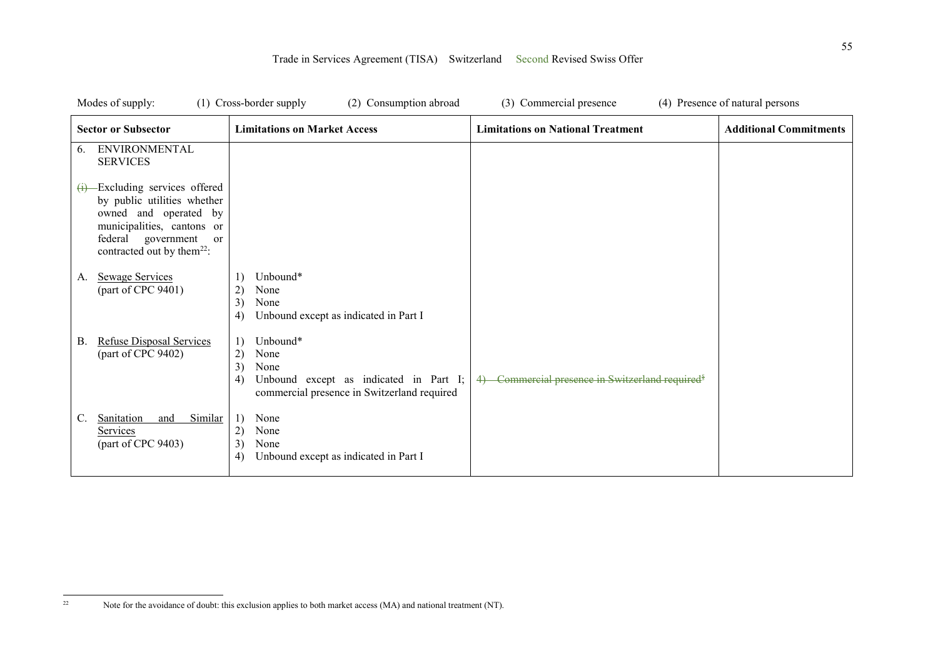| Modes of supply:                                                                                                                                                                                         | (1) Cross-border supply<br>(2) Consumption abroad                                                                                   | (3) Commercial presence                                     | (4) Presence of natural persons |
|----------------------------------------------------------------------------------------------------------------------------------------------------------------------------------------------------------|-------------------------------------------------------------------------------------------------------------------------------------|-------------------------------------------------------------|---------------------------------|
| <b>Sector or Subsector</b>                                                                                                                                                                               | <b>Limitations on Market Access</b>                                                                                                 | <b>Limitations on National Treatment</b>                    | <b>Additional Commitments</b>   |
| <b>ENVIRONMENTAL</b><br>6.<br><b>SERVICES</b>                                                                                                                                                            |                                                                                                                                     |                                                             |                                 |
| $(i)$ -Excluding services offered<br>by public utilities whether<br>owned and operated by<br>municipalities, cantons or<br>federal government<br><sub>or</sub><br>contracted out by them <sup>22</sup> : |                                                                                                                                     |                                                             |                                 |
| <b>Sewage Services</b><br>A.<br>(part of CPC 9401)                                                                                                                                                       | Unbound*<br>2)<br>None<br>3)<br>None<br>Unbound except as indicated in Part I<br>4)                                                 |                                                             |                                 |
| Refuse Disposal Services<br>В.<br>(part of CPC 9402)                                                                                                                                                     | Unbound*<br>2)<br>None<br>3)<br>None<br>Unbound except as indicated in Part I;<br>4)<br>commercial presence in Switzerland required | 4) Commercial presence in Switzerland required <sup>§</sup> |                                 |
| Sanitation<br>Similar<br>C.<br>and<br>Services<br>(part of CPC 9403)                                                                                                                                     | 1)<br>None<br>2)<br>None<br>3)<br>None<br>4)<br>Unbound except as indicated in Part I                                               |                                                             |                                 |

 $22\,$ Note for the avoidance of doubt: this exclusion applies to both market access (MA) and national treatment (NT).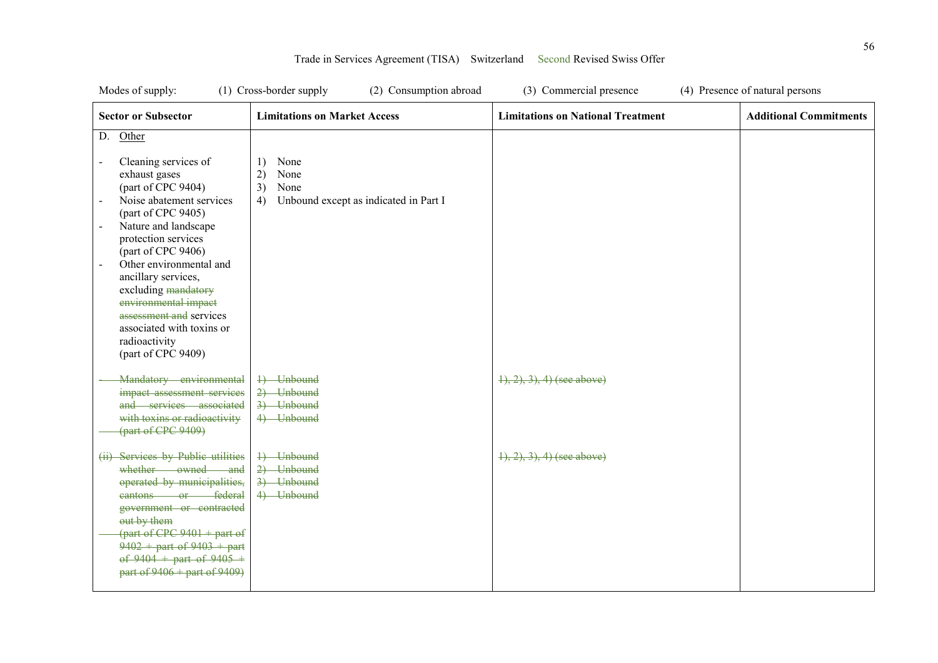| Modes of supply:                                                                                                                                                                                                                                                                                                                                                                                                                 | (1) Cross-border supply<br>(2) Consumption abroad                                     | (3) Commercial presence                  | (4) Presence of natural persons |
|----------------------------------------------------------------------------------------------------------------------------------------------------------------------------------------------------------------------------------------------------------------------------------------------------------------------------------------------------------------------------------------------------------------------------------|---------------------------------------------------------------------------------------|------------------------------------------|---------------------------------|
| <b>Sector or Subsector</b>                                                                                                                                                                                                                                                                                                                                                                                                       | <b>Limitations on Market Access</b>                                                   | <b>Limitations on National Treatment</b> | <b>Additional Commitments</b>   |
| Other<br>D.                                                                                                                                                                                                                                                                                                                                                                                                                      |                                                                                       |                                          |                                 |
| Cleaning services of<br>$\overline{\phantom{a}}$<br>exhaust gases<br>(part of CPC 9404)<br>Noise abatement services<br>(part of CPC 9405)<br>Nature and landscape<br>protection services<br>(part of CPC 9406)<br>Other environmental and<br>$\blacksquare$<br>ancillary services,<br>excluding mandatory<br>environmental impact<br>assessment and services<br>associated with toxins or<br>radioactivity<br>(part of CPC 9409) | None<br>1)<br>2)<br>None<br>3)<br>None<br>4)<br>Unbound except as indicated in Part I |                                          |                                 |
| Mandatory environmental<br>impact assessment services<br>and services associated<br>with toxins or radioactivity<br>(part of CPC 9409)                                                                                                                                                                                                                                                                                           | 1) Unbound<br>2) Unbound<br>3) Unbound<br>4) Unbound                                  | $1, 2, 3, 4$ (see above)                 |                                 |
| (ii) Services by Public utilities<br>whether owned and<br>operated by municipalities,<br>eantons or federal<br>government or contracted<br>out by them<br>$\frac{1}{2}$ (part of CPC 9401 + part of<br>$9402 +$ part of $9403 +$ part<br>of $9404 +$ part of $9405 +$<br>part of $9406 +$ part of $9409$                                                                                                                         | 4) Unbound<br>2) Unbound<br>3) Unbound<br>4) Unbound                                  | $\{1, 2, 3\}$ , 4) (see above)           |                                 |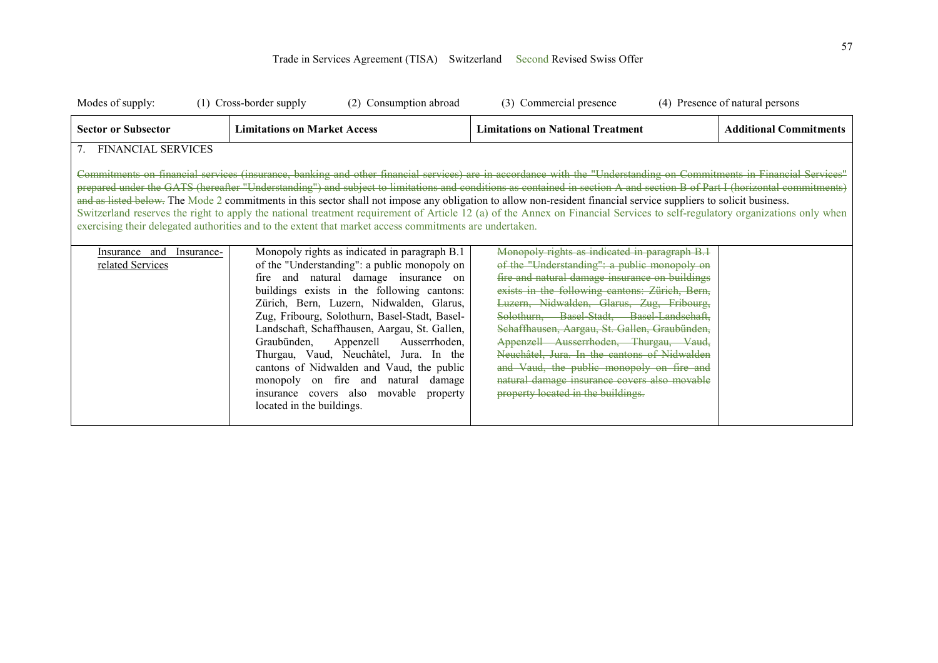| Modes of supply:                                                                                                                                                                                                                                                                                                                                                                                                                                                                                                                                                                                                                                                                                                                                                                                              | (1) Cross-border supply                                                                                                                                                                                                                                                                                                                                                                                                                                                                                                                                         | (2) Consumption abroad | (3) Commercial presence                                                                                                                                                                                                                                                                                                                                                                                                                                                                                                                                                   |  | (4) Presence of natural persons |
|---------------------------------------------------------------------------------------------------------------------------------------------------------------------------------------------------------------------------------------------------------------------------------------------------------------------------------------------------------------------------------------------------------------------------------------------------------------------------------------------------------------------------------------------------------------------------------------------------------------------------------------------------------------------------------------------------------------------------------------------------------------------------------------------------------------|-----------------------------------------------------------------------------------------------------------------------------------------------------------------------------------------------------------------------------------------------------------------------------------------------------------------------------------------------------------------------------------------------------------------------------------------------------------------------------------------------------------------------------------------------------------------|------------------------|---------------------------------------------------------------------------------------------------------------------------------------------------------------------------------------------------------------------------------------------------------------------------------------------------------------------------------------------------------------------------------------------------------------------------------------------------------------------------------------------------------------------------------------------------------------------------|--|---------------------------------|
| <b>Sector or Subsector</b>                                                                                                                                                                                                                                                                                                                                                                                                                                                                                                                                                                                                                                                                                                                                                                                    | <b>Limitations on Market Access</b>                                                                                                                                                                                                                                                                                                                                                                                                                                                                                                                             |                        | <b>Limitations on National Treatment</b>                                                                                                                                                                                                                                                                                                                                                                                                                                                                                                                                  |  | <b>Additional Commitments</b>   |
| <b>FINANCIAL SERVICES</b><br>7.                                                                                                                                                                                                                                                                                                                                                                                                                                                                                                                                                                                                                                                                                                                                                                               |                                                                                                                                                                                                                                                                                                                                                                                                                                                                                                                                                                 |                        |                                                                                                                                                                                                                                                                                                                                                                                                                                                                                                                                                                           |  |                                 |
| Commitments on financial services (insurance, banking and other financial services) are in accordance with the "Understanding on Commitments in Financial Services"<br>prepared under the GATS (hereafter "Understanding") and subject to limitations and conditions as contained in section A and section B of Part I (horizontal commitments)<br>and as listed below. The Mode 2 commitments in this sector shall not impose any obligation to allow non-resident financial service suppliers to solicit business.<br>Switzerland reserves the right to apply the national treatment requirement of Article 12 (a) of the Annex on Financial Services to self-regulatory organizations only when<br>exercising their delegated authorities and to the extent that market access commitments are undertaken. |                                                                                                                                                                                                                                                                                                                                                                                                                                                                                                                                                                 |                        |                                                                                                                                                                                                                                                                                                                                                                                                                                                                                                                                                                           |  |                                 |
| Insurance-<br>Insurance and<br>related Services                                                                                                                                                                                                                                                                                                                                                                                                                                                                                                                                                                                                                                                                                                                                                               | Monopoly rights as indicated in paragraph B.1<br>of the "Understanding": a public monopoly on<br>fire and natural damage insurance on<br>buildings exists in the following cantons:<br>Zürich, Bern, Luzern, Nidwalden, Glarus,<br>Zug, Fribourg, Solothurn, Basel-Stadt, Basel-<br>Landschaft, Schaffhausen, Aargau, St. Gallen,<br>Graubünden, Appenzell<br>Thurgau, Vaud, Neuchâtel, Jura. In the<br>cantons of Nidwalden and Vaud, the public<br>monopoly on fire and natural damage<br>insurance covers also movable property<br>located in the buildings. | Ausserrhoden,          | Monopoly rights as indicated in paragraph B.1<br>of the "Understanding": a public monopoly on<br>fire and natural damage insurance on buildings<br>exists in the following cantons: Zürich, Bern,<br>Luzern, Nidwalden, Glarus, Zug, Fribourg,<br>Solothurn, Basel Stadt, Basel Landschaft,<br>Schaffhausen, Aargau, St. Gallen, Graubünden,<br>Appenzell Ausserrhoden, Thurgau, Vaud,<br>Neuchâtel, Jura. In the cantons of Nidwalden<br>and Vaud, the public monopoly on fire and<br>natural damage insurance covers also movable<br>property located in the buildings. |  |                                 |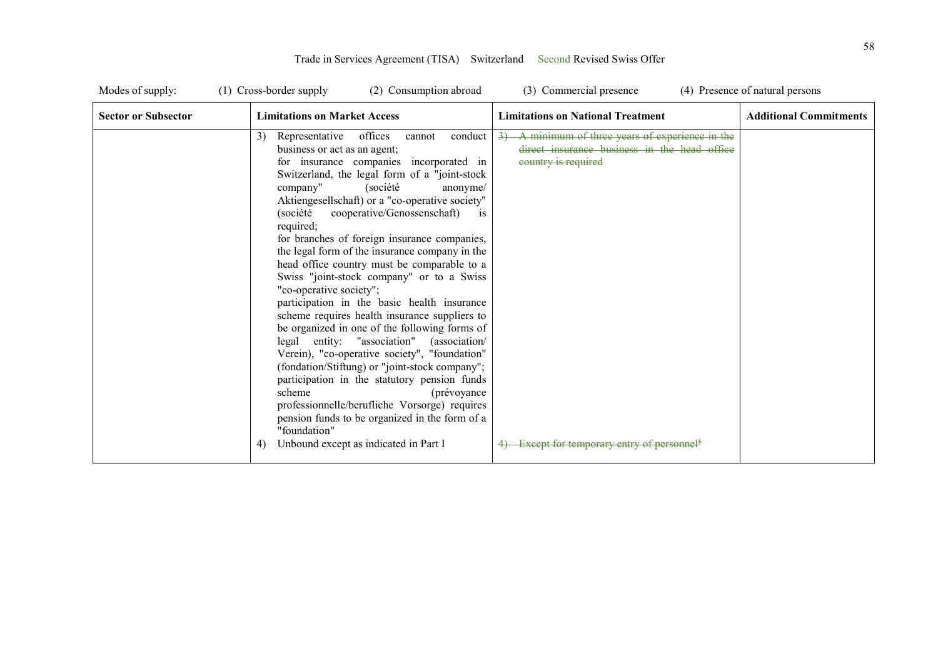| Modes of supply:           | (1) Cross-border supply<br>(2) Consumption abroad                                                                                                                                                                                                                                                                                                                                                                                                                                                                                                                                                                                                                                                                                                                                                                                                                                                                                                                                                                                                                                                                   | (3) Commercial presence                                                                                                                                                         | (4) Presence of natural persons |
|----------------------------|---------------------------------------------------------------------------------------------------------------------------------------------------------------------------------------------------------------------------------------------------------------------------------------------------------------------------------------------------------------------------------------------------------------------------------------------------------------------------------------------------------------------------------------------------------------------------------------------------------------------------------------------------------------------------------------------------------------------------------------------------------------------------------------------------------------------------------------------------------------------------------------------------------------------------------------------------------------------------------------------------------------------------------------------------------------------------------------------------------------------|---------------------------------------------------------------------------------------------------------------------------------------------------------------------------------|---------------------------------|
| <b>Sector or Subsector</b> | <b>Limitations on Market Access</b>                                                                                                                                                                                                                                                                                                                                                                                                                                                                                                                                                                                                                                                                                                                                                                                                                                                                                                                                                                                                                                                                                 | <b>Limitations on National Treatment</b>                                                                                                                                        | <b>Additional Commitments</b>   |
|                            | 3)<br>Representative<br>offices<br>conduct<br>cannot<br>business or act as an agent;<br>for insurance companies incorporated in<br>Switzerland, the legal form of a "joint-stock"<br>company"<br>(société<br>anonyme/<br>Aktiengesellschaft) or a "co-operative society"<br>cooperative/Genossenschaft)<br>(société<br><i>is</i><br>required;<br>for branches of foreign insurance companies,<br>the legal form of the insurance company in the<br>head office country must be comparable to a<br>Swiss "joint-stock company" or to a Swiss<br>"co-operative society";<br>participation in the basic health insurance<br>scheme requires health insurance suppliers to<br>be organized in one of the following forms of<br>legal entity: "association" (association/<br>Verein), "co-operative society", "foundation"<br>(fondation/Stiftung) or "joint-stock company";<br>participation in the statutory pension funds<br>scheme<br>(prévoyance)<br>professionnelle/berufliche Vorsorge) requires<br>pension funds to be organized in the form of a<br>"foundation"<br>Unbound except as indicated in Part I<br>4) | A minimum of three years of experience in the<br>direct insurance business in the head office<br>country is required<br>4) Except for temporary entry of personnel <sup>§</sup> |                                 |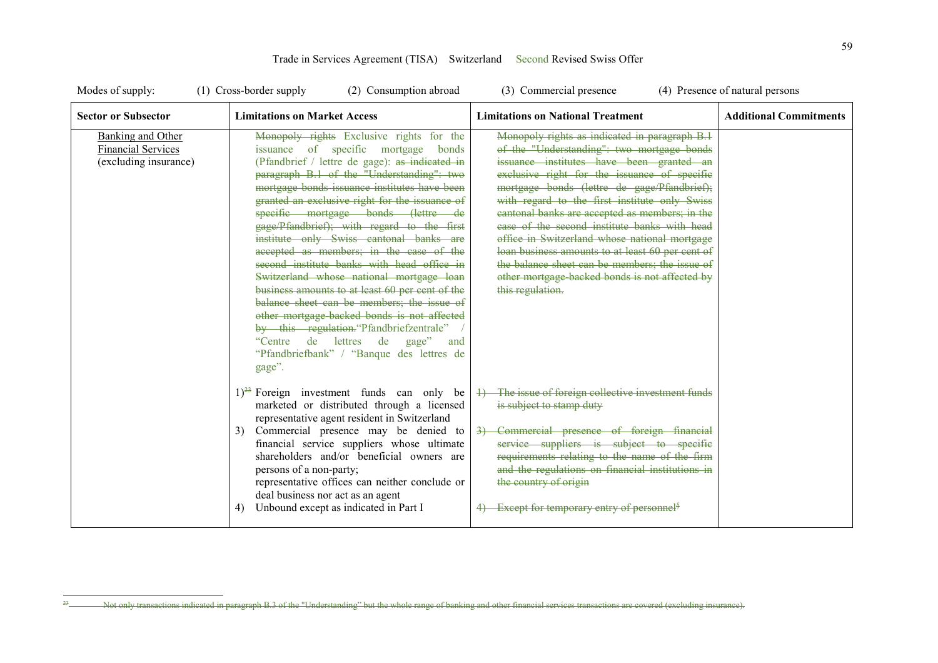| Modes of supply:                                                               | (1) Cross-border supply<br>(2) Consumption abroad                                                                                                                                                                                                                                                                                                                                                                                                                                                                                                                                                                                                                                                                                                                                                                                                   | (3) Commercial presence                                                                                                                                                                                                                                                                                                                                                                                                                                                                                                                                                                                                | (4) Presence of natural persons |
|--------------------------------------------------------------------------------|-----------------------------------------------------------------------------------------------------------------------------------------------------------------------------------------------------------------------------------------------------------------------------------------------------------------------------------------------------------------------------------------------------------------------------------------------------------------------------------------------------------------------------------------------------------------------------------------------------------------------------------------------------------------------------------------------------------------------------------------------------------------------------------------------------------------------------------------------------|------------------------------------------------------------------------------------------------------------------------------------------------------------------------------------------------------------------------------------------------------------------------------------------------------------------------------------------------------------------------------------------------------------------------------------------------------------------------------------------------------------------------------------------------------------------------------------------------------------------------|---------------------------------|
| <b>Sector or Subsector</b>                                                     | <b>Limitations on Market Access</b>                                                                                                                                                                                                                                                                                                                                                                                                                                                                                                                                                                                                                                                                                                                                                                                                                 | <b>Limitations on National Treatment</b>                                                                                                                                                                                                                                                                                                                                                                                                                                                                                                                                                                               | <b>Additional Commitments</b>   |
| <b>Banking and Other</b><br><b>Financial Services</b><br>(excluding insurance) | Monopoly rights Exclusive rights for the<br>issuance of specific mortgage<br>bonds<br>(Pfandbrief / lettre de gage): as indicated in<br>paragraph B.1 of the "Understanding": two<br>mortgage bonds issuance institutes have been<br>granted an exclusive right for the issuance of<br>specific mortgage bonds (lettre de<br>gage/Pfandbrief); with regard to the first<br>institute only Swiss cantonal banks are<br>accepted as members; in the case of the<br>second institute banks with head office in<br>Switzerland whose national mortgage loan<br>business amounts to at least 60 per cent of the<br>balance sheet can be members; the issue of<br>other mortgage backed bonds is not affected<br>by this regulation. "Pfandbriefzentrale"<br>"Centre de lettres de<br>gage"<br>and<br>"Pfandbriefbank" / "Banque des lettres de<br>gage". | Monopoly rights as indicated in paragraph B.1<br>of the "Understanding": two mortgage bonds<br>issuance institutes have been granted an<br>exclusive right for the issuance of specific<br>mortgage bonds (lettre de gage/Pfandbrief);<br>with regard to the first institute only Swiss<br>cantonal banks are accepted as members; in the<br>ease of the second institute banks with head<br>office in Switzerland whose national mortgage<br>loan business amounts to at least 60 per cent of<br>the balance sheet can be members; the issue of<br>other mortgage backed bonds is not affected by<br>this regulation. |                                 |
|                                                                                | $1)^{23}$ Foreign investment funds can only be<br>marketed or distributed through a licensed<br>representative agent resident in Switzerland<br>Commercial presence may be denied to<br>3)<br>financial service suppliers whose ultimate<br>shareholders and/or beneficial owners are<br>persons of a non-party;<br>representative offices can neither conclude or<br>deal business nor act as an agent<br>Unbound except as indicated in Part I<br>4)                                                                                                                                                                                                                                                                                                                                                                                              | 4) The issue of foreign collective investment funds<br>is subject to stamp duty<br>Commercial presence of foreign financial<br>$\rightarrow$<br>service suppliers is subject to specific<br>requirements relating to the name of the firm<br>and the regulations on financial institutions in<br>the country of origin<br>4) Except for temporary entry of personnel <sup>§</sup>                                                                                                                                                                                                                                      |                                 |

Trade in Services Agreement (TISA) Switzerland Second Revised Swiss Offer

 $23$ 

<sup>23</sup> Not only transactions indicated in paragraph B.3 of the "Understanding" but the whole range of banking and other financial services transactions are covered (excluding insurance).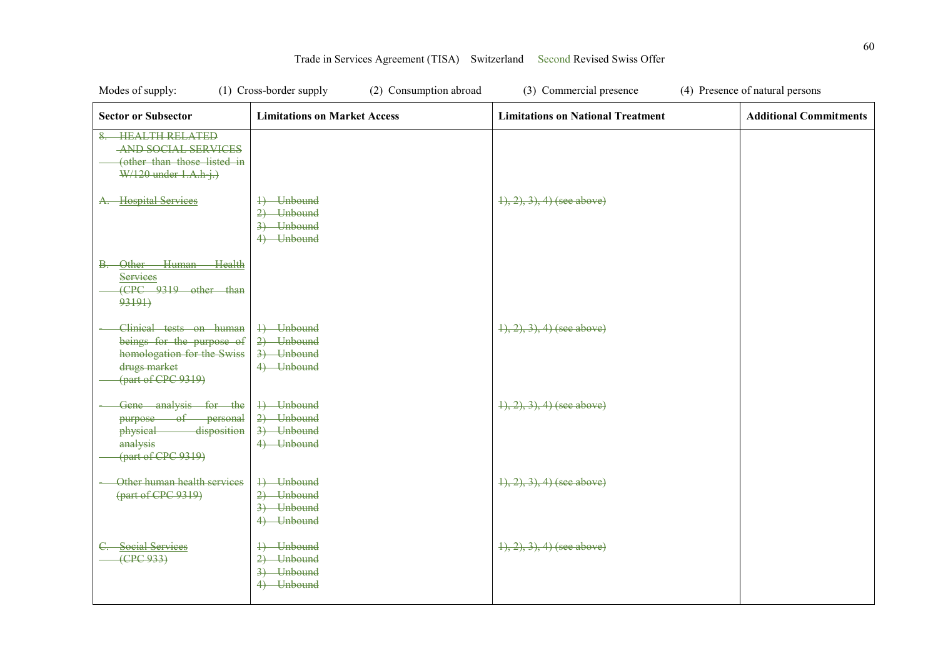| Modes of supply:                                                                                                                 | (2) Consumption abroad<br>(1) Cross-border supply    | (3) Commercial presence                  | (4) Presence of natural persons |
|----------------------------------------------------------------------------------------------------------------------------------|------------------------------------------------------|------------------------------------------|---------------------------------|
| <b>Sector or Subsector</b>                                                                                                       | <b>Limitations on Market Access</b>                  | <b>Limitations on National Treatment</b> | <b>Additional Commitments</b>   |
| <b>HEALTH RELATED</b><br><b>AND SOCIAL SERVICES</b><br>(other than those listed in<br>$W/120$ under $1.A.h j.)$                  |                                                      |                                          |                                 |
| A. Hospital Services                                                                                                             | 4) Unbound<br>2) Unbound<br>3) Unbound<br>4) Unbound | $(1), (2), (3), (4)$ (see above)         |                                 |
| Other Human Health<br>В.<br>Services<br>(CPC 9319 other than<br>93191)                                                           |                                                      |                                          |                                 |
| Clinical tests on human<br>beings for the purpose of<br>homologation for the Swiss<br>drugs market<br>${\rm (part of CPC 9319)}$ | 1) Unbound<br>2) Unbound<br>3) Unbound<br>4) Unbound | $(1), (2), (3), (4)$ (see above)         |                                 |
| Gene analysis for the<br>purpose of personal<br>physical disposition<br>analysis<br>${\rm (part of CPC 9319)}$                   | 4) Unbound<br>2) Unbound<br>3) Unbound<br>4) Unbound | $\{1, 2, 3\}, 4$ (see above)             |                                 |
| Other human health services<br>(part of CPC 9319)                                                                                | 4) Unbound<br>2) Unbound<br>3) Unbound<br>4) Unbound | $(1), (2), (3), (4)$ (see above)         |                                 |
| <b>Social Services</b><br>(CPC933)                                                                                               | 4) Unbound<br>2) Unbound<br>3) Unbound<br>4) Unbound | $(1), (2), (3), (4)$ (see above)         |                                 |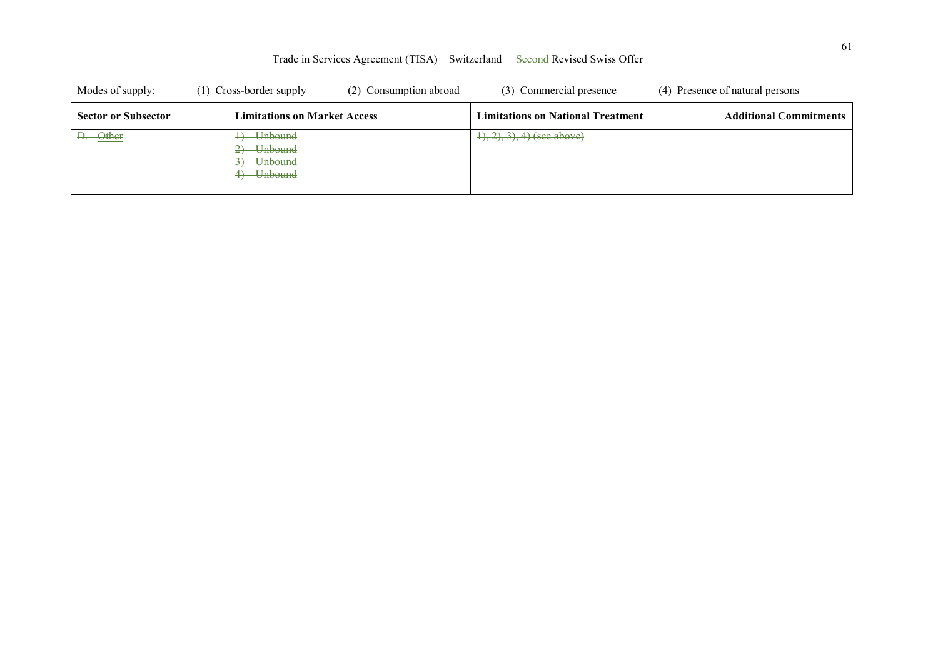| Modes of supply:           | (1) Cross-border supply                                                        | (2) Consumption abroad | (3) Commercial presence                  | (4) Presence of natural persons |
|----------------------------|--------------------------------------------------------------------------------|------------------------|------------------------------------------|---------------------------------|
| <b>Sector or Subsector</b> | <b>Limitations on Market Access</b>                                            |                        | <b>Limitations on National Treatment</b> | <b>Additional Commitments</b>   |
| D. Other                   | <del>Unbound</del><br><del>Unbound</del><br><del>- Unbound</del><br>4) Unbound |                        | $(1), (2), (3), (4)$ (see above)         |                                 |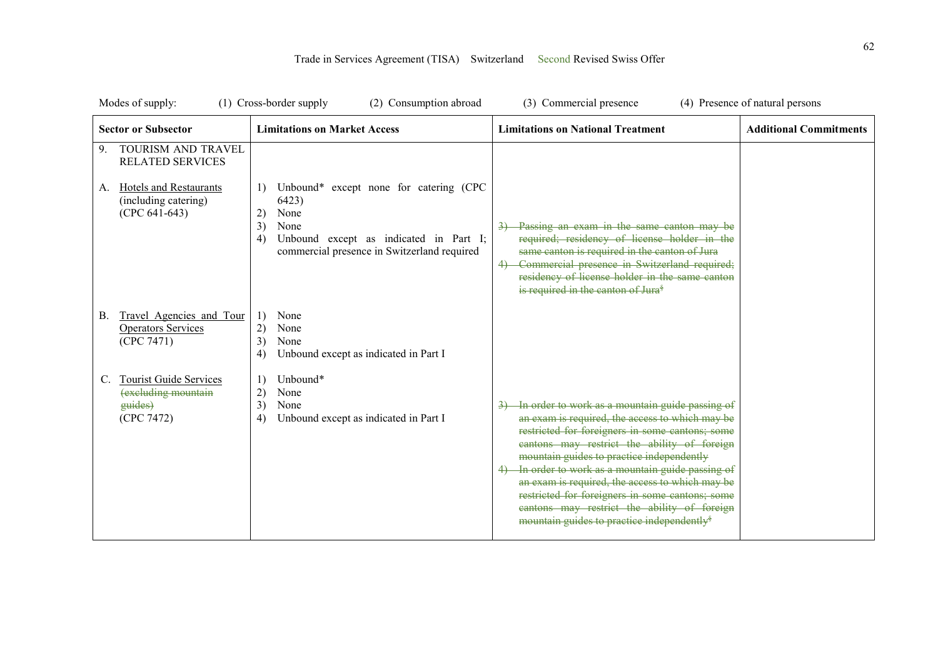| Modes of supply:                                                                                                                      | (1) Cross-border supply<br>(2) Consumption abroad                                                                                                                                                    | (3) Commercial presence                                                                                                                                                                                                                                                                                                                                                                                                                                                                                             | (4) Presence of natural persons |
|---------------------------------------------------------------------------------------------------------------------------------------|------------------------------------------------------------------------------------------------------------------------------------------------------------------------------------------------------|---------------------------------------------------------------------------------------------------------------------------------------------------------------------------------------------------------------------------------------------------------------------------------------------------------------------------------------------------------------------------------------------------------------------------------------------------------------------------------------------------------------------|---------------------------------|
| <b>Sector or Subsector</b>                                                                                                            | <b>Limitations on Market Access</b>                                                                                                                                                                  | <b>Limitations on National Treatment</b>                                                                                                                                                                                                                                                                                                                                                                                                                                                                            | <b>Additional Commitments</b>   |
| TOURISM AND TRAVEL<br>9.<br><b>RELATED SERVICES</b><br><b>Hotels and Restaurants</b><br>A.<br>(including catering)<br>$(CPC 641-643)$ | Unbound* except none for catering (CPC<br>$\left  \cdot \right $<br>6423)<br>None<br>2)<br>3)<br>None<br>Unbound except as indicated in Part I;<br>4)<br>commercial presence in Switzerland required | Passing an exam in the same canton may be<br>required; residency of license holder in the<br>same canton is required in the canton of Jura<br>Commercial presence in Switzerland required;<br>residency of license holder in the same canton<br>is required in the canton of Jura <sup>§</sup>                                                                                                                                                                                                                      |                                 |
| Travel Agencies and Tour<br>В.<br><b>Operators Services</b><br>(CPC 7471)                                                             | None<br>1)<br>2)<br>None<br>3)<br>None<br>4)<br>Unbound except as indicated in Part I                                                                                                                |                                                                                                                                                                                                                                                                                                                                                                                                                                                                                                                     |                                 |
| <b>Tourist Guide Services</b><br>C.<br>(excluding mountain<br>guides)<br>(CPC 7472)                                                   | Unbound*<br>1)<br>2)<br>None<br>3)<br>None<br>Unbound except as indicated in Part I<br>4)                                                                                                            | In order to work as a mountain guide passing of<br>an exam is required, the access to which may be<br>restricted for foreigners in some cantons; some<br>cantons may restrict the ability of foreign<br>mountain guides to practice independently<br>In order to work as a mountain guide passing of<br>an exam is required, the access to which may be<br>restricted for foreigners in some cantons; some<br>cantons may restrict the ability of foreign<br>mountain guides to practice independently <sup>§</sup> |                                 |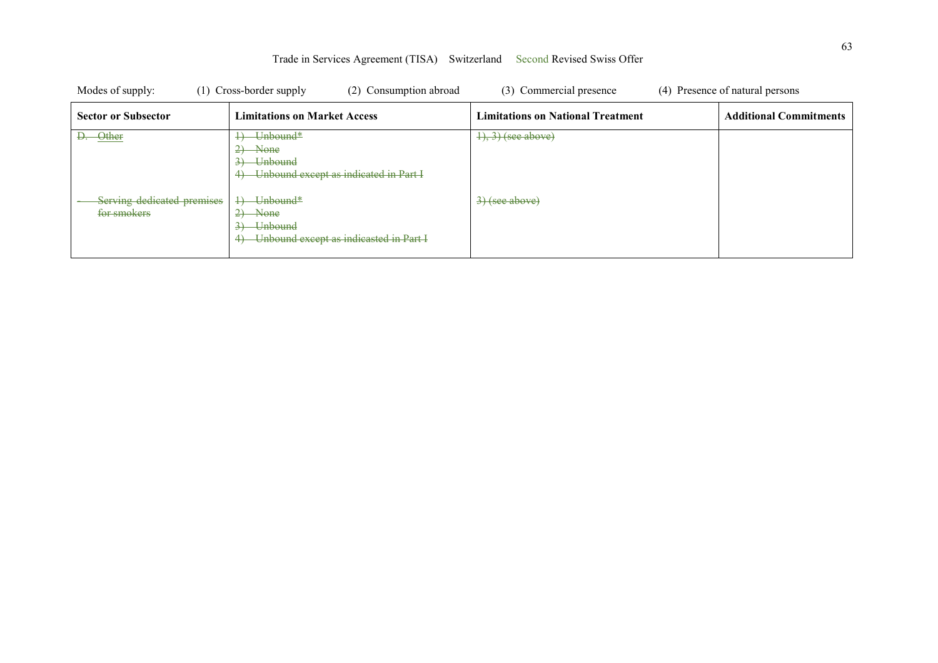| Modes of supply:                          | (1) Cross-border supply<br>(2) Consumption abroad                                                                                               | (3) Commercial presence                  | (4) Presence of natural persons |
|-------------------------------------------|-------------------------------------------------------------------------------------------------------------------------------------------------|------------------------------------------|---------------------------------|
| <b>Sector or Subsector</b>                | <b>Limitations on Market Access</b>                                                                                                             | <b>Limitations on National Treatment</b> | <b>Additional Commitments</b>   |
| -Other<br>Ð.                              | <del>Unbound*</del><br>$2)$ None<br>$3)$ Unbound<br>-Unbound except as indicated in Part I                                                      | $\left(4\right), 3$ ) (see above)        |                                 |
| Serving dedicated premises<br>for smokers | <del>Unbound*</del><br>$\overline{+}$<br>-None<br><del>Unbound</del><br>$\overline{\mathbf{3}}$<br>-Unbound except as indicasted in Part I<br>4 | $\left(3\right)(see above)$              |                                 |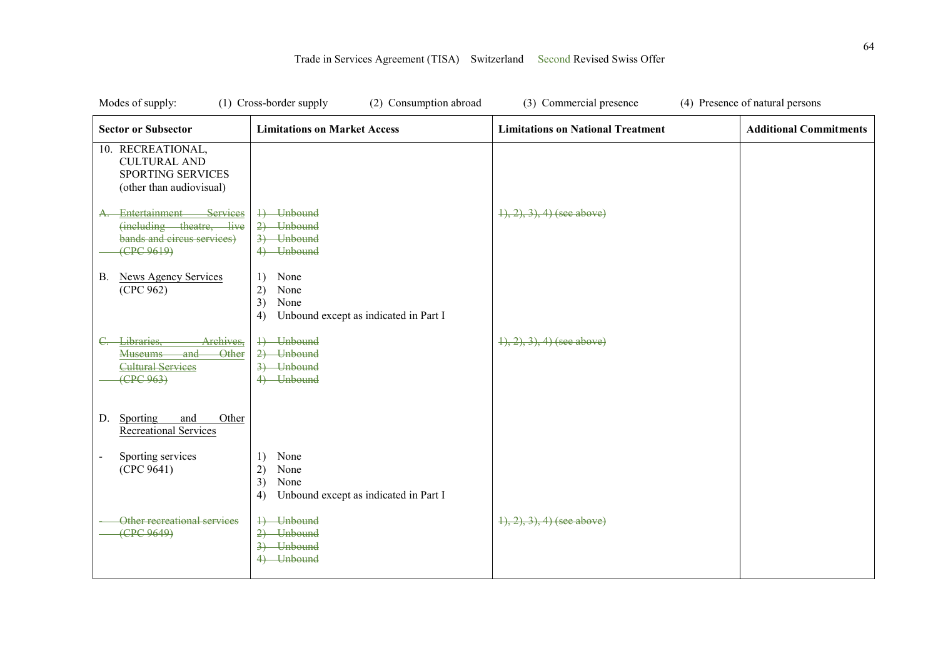| Modes of supply:                                                                                                  | (1) Cross-border supply<br>(2) Consumption abroad                                     | (3) Commercial presence                  | (4) Presence of natural persons |
|-------------------------------------------------------------------------------------------------------------------|---------------------------------------------------------------------------------------|------------------------------------------|---------------------------------|
| <b>Sector or Subsector</b>                                                                                        | <b>Limitations on Market Access</b>                                                   | <b>Limitations on National Treatment</b> | <b>Additional Commitments</b>   |
| 10. RECREATIONAL,<br><b>CULTURAL AND</b><br><b>SPORTING SERVICES</b><br>(other than audiovisual)                  |                                                                                       |                                          |                                 |
| Entertainment<br>Services<br>$\mathbf{A}$<br>(including theatre, live<br>bands and circus services)<br>(FPC 9619) | 1) Unbound<br>2) Unbound<br>3) Unbound<br>4) Unbound                                  | $\{1, 2, 3\}$ , 4) (see above)           |                                 |
| <b>News Agency Services</b><br><b>B.</b><br>(CPC 962)                                                             | None<br>1)<br>2)<br>None<br>3)<br>None<br>Unbound except as indicated in Part I<br>4) |                                          |                                 |
| Archives,<br>Libraries.<br>and<br><b>Other</b><br><b>Museums</b><br><b>Cultural Services</b><br>(EPC 963)         | 4) Unbound<br>2) Unbound<br>3) Unbound<br>4) Unbound                                  | $\{1, 2, 3, 4\}$ (see above)             |                                 |
| Other<br>Sporting<br>and<br>D.<br><b>Recreational Services</b>                                                    |                                                                                       |                                          |                                 |
| Sporting services<br>(CPC 9641)                                                                                   | None<br>1)<br>2)<br>None<br>3)<br>None<br>Unbound except as indicated in Part I<br>4) |                                          |                                 |
| Other recreational services<br>(CPC 9649)                                                                         | 4) Unbound<br>2) Unbound<br>3) Unbound<br>4) Unbound                                  | $\{1, 2, 3, 4\}$ (see above)             |                                 |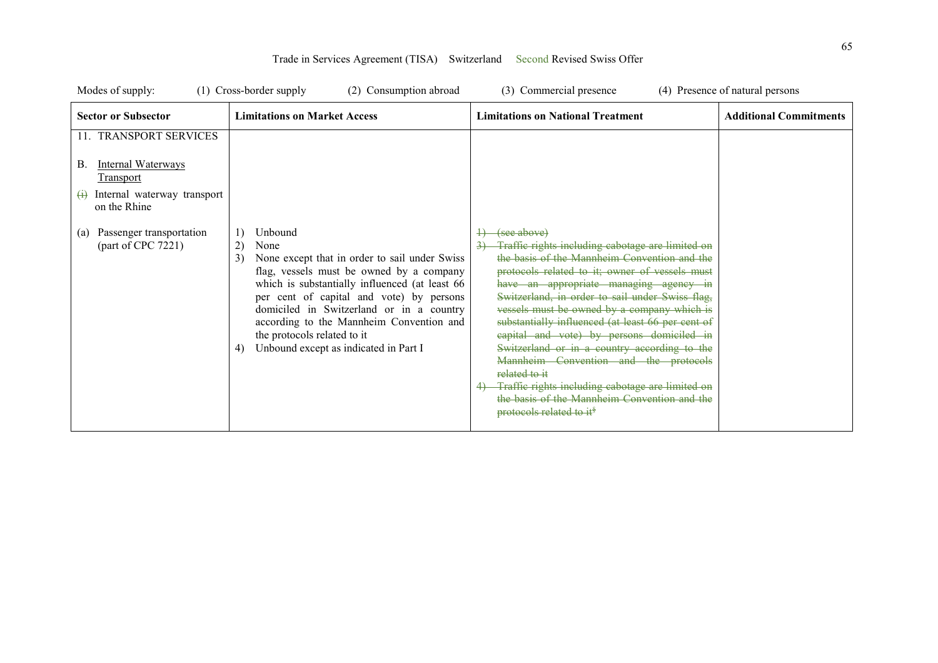| Modes of supply:                                                                                                                           | (1) Cross-border supply<br>(2) Consumption abroad                                                                                                                                                                                                                                                                                                                                                  | (3) Commercial presence                                                                                                                                                                                                                                                                                                                                                                                                                                                                                                                                                                                                                                               | (4) Presence of natural persons |
|--------------------------------------------------------------------------------------------------------------------------------------------|----------------------------------------------------------------------------------------------------------------------------------------------------------------------------------------------------------------------------------------------------------------------------------------------------------------------------------------------------------------------------------------------------|-----------------------------------------------------------------------------------------------------------------------------------------------------------------------------------------------------------------------------------------------------------------------------------------------------------------------------------------------------------------------------------------------------------------------------------------------------------------------------------------------------------------------------------------------------------------------------------------------------------------------------------------------------------------------|---------------------------------|
| <b>Sector or Subsector</b>                                                                                                                 | <b>Limitations on Market Access</b>                                                                                                                                                                                                                                                                                                                                                                | <b>Limitations on National Treatment</b>                                                                                                                                                                                                                                                                                                                                                                                                                                                                                                                                                                                                                              | <b>Additional Commitments</b>   |
| 11. TRANSPORT SERVICES<br>Internal Waterways<br>В.<br><b>Transport</b><br>Internal waterway transport<br>$\leftrightarrow$<br>on the Rhine |                                                                                                                                                                                                                                                                                                                                                                                                    |                                                                                                                                                                                                                                                                                                                                                                                                                                                                                                                                                                                                                                                                       |                                 |
| Passenger transportation<br>(a)<br>part of CPC 7221                                                                                        | Unbound<br>1)<br>2)<br>None<br>3)<br>None except that in order to sail under Swiss<br>flag, vessels must be owned by a company<br>which is substantially influenced (at least 66<br>per cent of capital and vote) by persons<br>domiciled in Switzerland or in a country<br>according to the Mannheim Convention and<br>the protocols related to it<br>Unbound except as indicated in Part I<br>4) | (see above)<br>Traffic rights including cabotage are limited on<br>the basis of the Mannheim Convention and the<br>protocols related to it; owner of vessels must<br>have an appropriate managing agency in<br>Switzerland, in order to sail under Swiss flag,<br>vessels must be owned by a company which is<br>substantially influenced (at least 66 per cent of<br>capital and vote) by persons domiciled in<br>Switzerland or in a country according to the<br>Mannheim Convention and the protocols<br>related to it<br>Traffic rights including cabotage are limited on<br>the basis of the Mannheim Convention and the<br>protocols related to it <sup>§</sup> |                                 |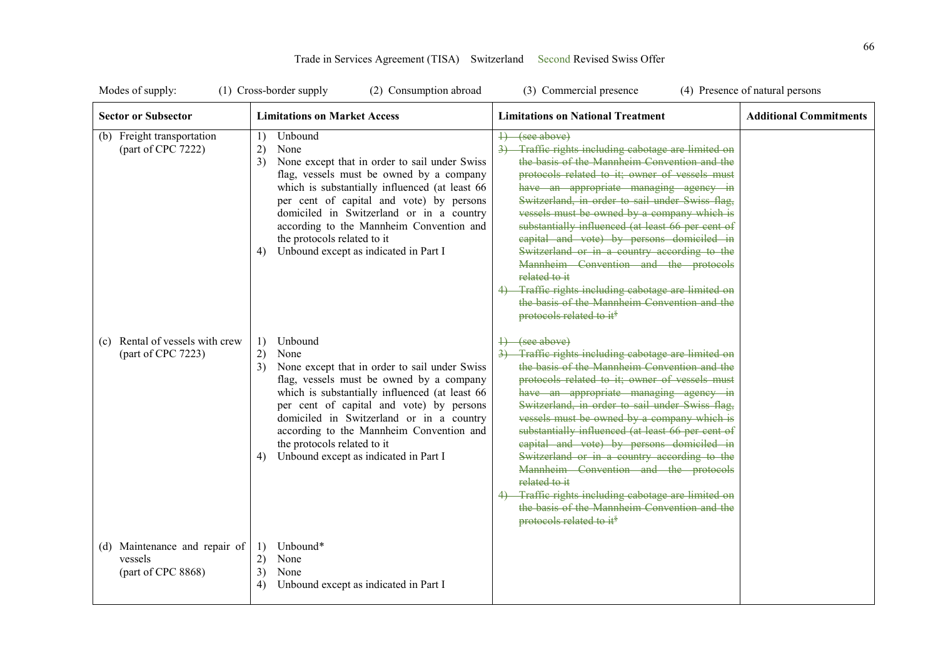| Modes of supply:                                               | (2) Consumption abroad<br>(1) Cross-border supply                                                                                                                                                                                                                                                                                                                                                  | (3) Commercial presence                                                                                                                                                                                                                                                                                                                                                                                                                                                                                                                                                                                                                                               | (4) Presence of natural persons |
|----------------------------------------------------------------|----------------------------------------------------------------------------------------------------------------------------------------------------------------------------------------------------------------------------------------------------------------------------------------------------------------------------------------------------------------------------------------------------|-----------------------------------------------------------------------------------------------------------------------------------------------------------------------------------------------------------------------------------------------------------------------------------------------------------------------------------------------------------------------------------------------------------------------------------------------------------------------------------------------------------------------------------------------------------------------------------------------------------------------------------------------------------------------|---------------------------------|
| <b>Sector or Subsector</b>                                     | <b>Limitations on Market Access</b>                                                                                                                                                                                                                                                                                                                                                                | <b>Limitations on National Treatment</b>                                                                                                                                                                                                                                                                                                                                                                                                                                                                                                                                                                                                                              | <b>Additional Commitments</b>   |
| (b) Freight transportation<br>(part of CPC 7222)               | Unbound<br>1)<br>2)<br>None<br>3)<br>None except that in order to sail under Swiss<br>flag, vessels must be owned by a company<br>which is substantially influenced (at least 66<br>per cent of capital and vote) by persons<br>domiciled in Switzerland or in a country<br>according to the Mannheim Convention and<br>the protocols related to it<br>Unbound except as indicated in Part I<br>4) | (see above)<br>Traffie rights including cabotage are limited on<br>the basis of the Mannheim Convention and the<br>protocols related to it; owner of vessels must<br>have an appropriate managing agency in<br>Switzerland, in order to sail under Swiss flag,<br>vessels must be owned by a company which is<br>substantially influenced (at least 66 per cent of<br>capital and vote) by persons domiciled in<br>Switzerland or in a country according to the<br>Mannheim Convention and the protocols<br>related to it<br>Traffic rights including cabotage are limited on<br>the basis of the Mannheim Convention and the<br>protocols related to it <sup>§</sup> |                                 |
| Rental of vessels with crew<br>(c)<br>(part of CPC 7223)       | 1)<br>Unbound<br>2)<br>None<br>None except that in order to sail under Swiss<br>3)<br>flag, vessels must be owned by a company<br>which is substantially influenced (at least 66<br>per cent of capital and vote) by persons<br>domiciled in Switzerland or in a country<br>according to the Mannheim Convention and<br>the protocols related to it<br>Unbound except as indicated in Part I<br>4) | (see above)<br>Traffic rights including cabotage are limited on<br>the basis of the Mannheim Convention and the<br>protocols related to it; owner of vessels must<br>have an appropriate managing agency in<br>Switzerland, in order to sail under Swiss flag,<br>vessels must be owned by a company which is<br>substantially influenced (at least 66 per cent of<br>capital and vote) by persons domiciled in<br>Switzerland or in a country according to the<br>Mannheim Convention and the protocols<br>related to it<br>Traffic rights including cabotage are limited on<br>the basis of the Mannheim Convention and the<br>protocols related to it <sup>§</sup> |                                 |
| (d) Maintenance and repair of<br>vessels<br>(part of CPC 8868) | Unbound*<br>1)<br>2)<br>None<br>3)<br>None<br>Unbound except as indicated in Part I<br>4)                                                                                                                                                                                                                                                                                                          |                                                                                                                                                                                                                                                                                                                                                                                                                                                                                                                                                                                                                                                                       |                                 |

| Trade in Services Agreement (TISA) Switzerland Second Revised Swiss Offer |  |  |  |  |
|---------------------------------------------------------------------------|--|--|--|--|
|---------------------------------------------------------------------------|--|--|--|--|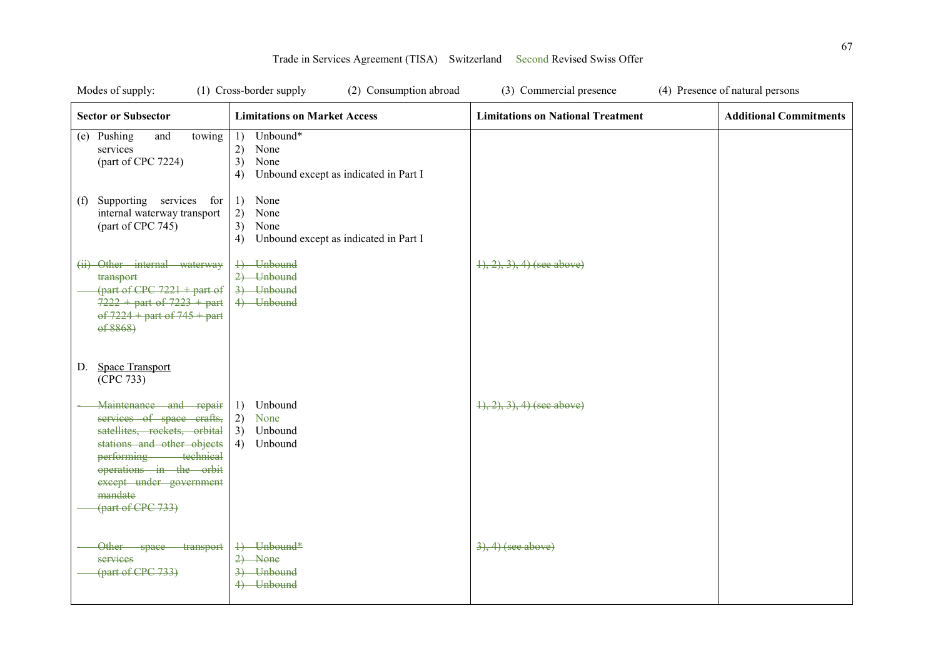| Modes of supply:                                                                                                                                                                                                                | (2) Consumption abroad<br>(1) Cross-border supply                                         | (3) Commercial presence                  | (4) Presence of natural persons |
|---------------------------------------------------------------------------------------------------------------------------------------------------------------------------------------------------------------------------------|-------------------------------------------------------------------------------------------|------------------------------------------|---------------------------------|
| <b>Sector or Subsector</b>                                                                                                                                                                                                      | <b>Limitations on Market Access</b>                                                       | <b>Limitations on National Treatment</b> | <b>Additional Commitments</b>   |
| (e) Pushing<br>towing<br>and<br>services<br>(part of CPC 7224)                                                                                                                                                                  | Unbound*<br>1)<br>None<br>2)<br>3)<br>None<br>Unbound except as indicated in Part I<br>4) |                                          |                                 |
| Supporting services for<br>(f)<br>internal waterway transport<br>(part of CPC 745)                                                                                                                                              | 1) None<br>2)<br>None<br>3)<br>None<br>Unbound except as indicated in Part I<br>4)        |                                          |                                 |
| (ii) Other internal waterway<br>transport<br>(part of CPC $7221 +$ part of<br>$7222 +$ part of $7223 +$ part<br>$\overrightarrow{0f}$ 7224 + part of 745 + part<br>ef 8868                                                      | 4) Unbound<br>2) Unbound<br>3) Unbound<br>4) Unbound                                      | $(1), (2), (3), (4)$ (see above)         |                                 |
| <b>Space Transport</b><br>D.<br>(CPC 733)                                                                                                                                                                                       |                                                                                           |                                          |                                 |
| Maintenance and repair<br>services of space crafts,<br>satellites, rockets, orbital<br>stations and other objects<br>performing technical<br>operations in the orbit<br>except under government<br>mandate<br>(part of CPC 733) | Unbound<br>1)<br>2) None<br>3)<br>Unbound<br>4) Unbound                                   | $(1), (2), (3), (4)$ (see above)         |                                 |
| Other space transport<br>services<br>(part of CPC 733)                                                                                                                                                                          | 4) Unbound*<br>$2)$ None<br>3) Unbound<br>4) Unbound                                      | $3, 4)$ (see above)                      |                                 |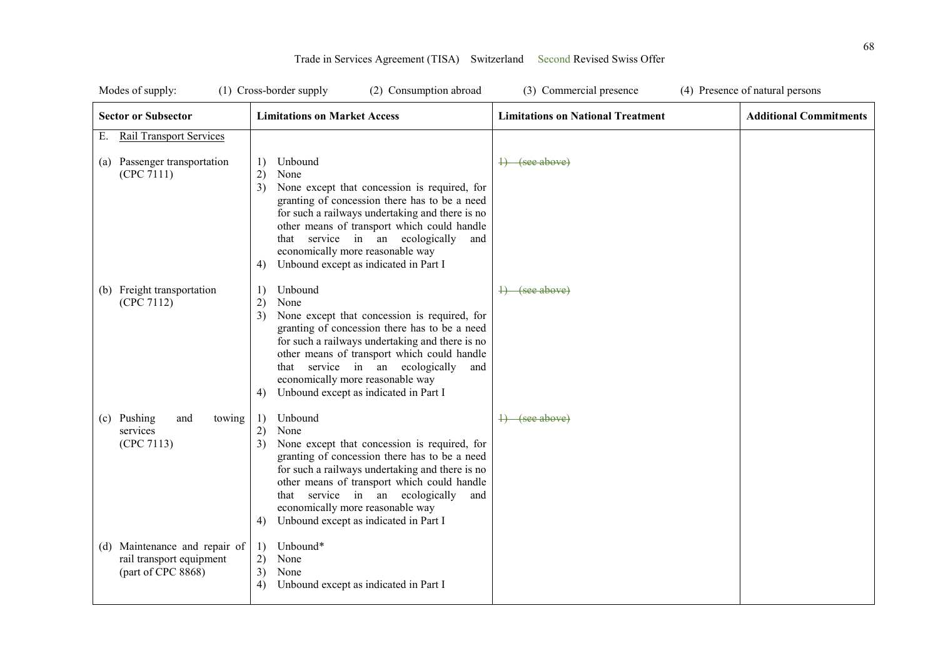| Modes of supply:                                                                | (1) Cross-border supply<br>(2) Consumption abroad                                                                                                                                                                                                                                                                                                                 | (3) Commercial presence                  | (4) Presence of natural persons |
|---------------------------------------------------------------------------------|-------------------------------------------------------------------------------------------------------------------------------------------------------------------------------------------------------------------------------------------------------------------------------------------------------------------------------------------------------------------|------------------------------------------|---------------------------------|
| <b>Sector or Subsector</b>                                                      | <b>Limitations on Market Access</b>                                                                                                                                                                                                                                                                                                                               | <b>Limitations on National Treatment</b> | <b>Additional Commitments</b>   |
| <b>Rail Transport Services</b><br>Е.                                            |                                                                                                                                                                                                                                                                                                                                                                   |                                          |                                 |
| (a) Passenger transportation<br>(CPC 7111)                                      | Unbound<br>1)<br>2)<br>None<br>None except that concession is required, for<br>3)<br>granting of concession there has to be a need<br>for such a railways undertaking and there is no<br>other means of transport which could handle<br>that service in an ecologically<br>and<br>economically more reasonable way<br>Unbound except as indicated in Part I<br>4) | <del>1) (see above)</del>                |                                 |
| (b) Freight transportation<br>(CPC 7112)                                        | Unbound<br>1)<br>2)<br>None<br>3)<br>None except that concession is required, for<br>granting of concession there has to be a need<br>for such a railways undertaking and there is no<br>other means of transport which could handle<br>that service in an ecologically<br>and<br>economically more reasonable way<br>Unbound except as indicated in Part I<br>4) | <del>1) (see above)</del>                |                                 |
| (c) Pushing<br>towing<br>and<br>services<br>(CPC 7113)                          | Unbound<br>1)<br>2)<br>None<br>None except that concession is required, for<br>3)<br>granting of concession there has to be a need<br>for such a railways undertaking and there is no<br>other means of transport which could handle<br>that service in an ecologically<br>and<br>economically more reasonable way<br>Unbound except as indicated in Part I<br>4) | $\rightarrow$ (see above)                |                                 |
| (d) Maintenance and repair of<br>rail transport equipment<br>(part of CPC 8868) | Unbound*<br>1)<br>2)<br>None<br>3)<br>None<br>Unbound except as indicated in Part I<br>4)                                                                                                                                                                                                                                                                         |                                          |                                 |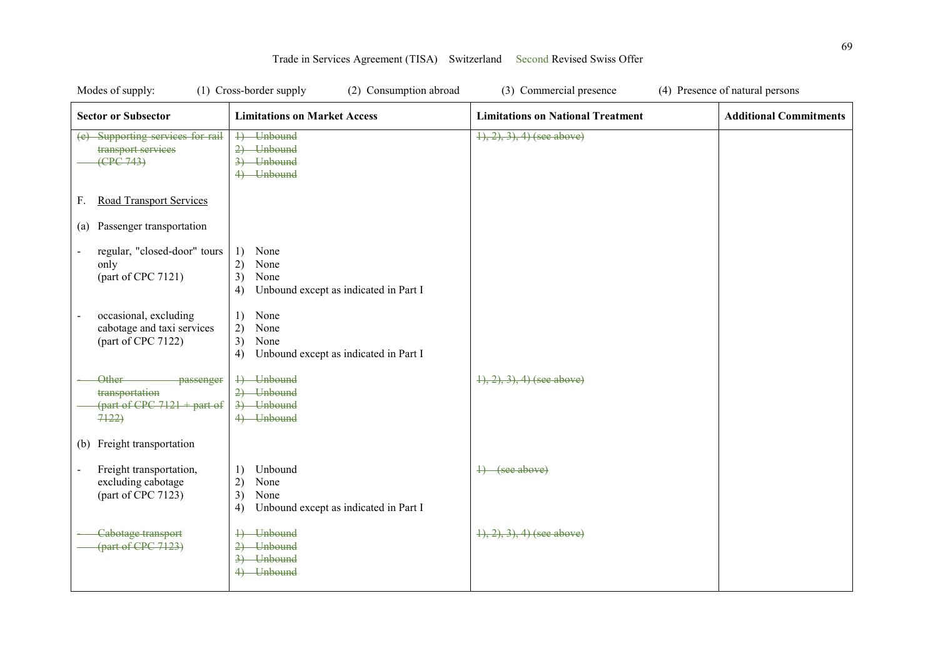| Modes of supply:                                                              | (1) Cross-border supply<br>(2) Consumption abroad                                        | (3) Commercial presence                  | (4) Presence of natural persons |
|-------------------------------------------------------------------------------|------------------------------------------------------------------------------------------|------------------------------------------|---------------------------------|
| <b>Sector or Subsector</b>                                                    | <b>Limitations on Market Access</b>                                                      | <b>Limitations on National Treatment</b> | <b>Additional Commitments</b>   |
| (e) Supporting services for rail<br>transport services<br>(CPC 743)           | 4) Unbound<br>2) Unbound<br>3) Unbound<br>4) Unbound                                     | $1, 2, 3, 4$ (see above)                 |                                 |
| <b>Road Transport Services</b><br>F.                                          |                                                                                          |                                          |                                 |
| Passenger transportation<br>(a)                                               |                                                                                          |                                          |                                 |
| regular, "closed-door" tours<br>only<br>(part of CPC 7121)                    | None<br>1)<br>2)<br>None<br>3)<br>None<br>Unbound except as indicated in Part I<br>4)    |                                          |                                 |
| occasional, excluding<br>cabotage and taxi services<br>(part of CPC 7122)     | None<br>1)<br>2)<br>None<br>3)<br>None<br>Unbound except as indicated in Part I<br>4)    |                                          |                                 |
| Other<br>passenger<br>transportation<br>(part of CPC $7121 +$ part of<br>7122 | 4) Unbound<br>2) Unbound<br>3) Unbound<br>4) Unbound                                     | $\{1, 2, 3\}$ , 4) (see above)           |                                 |
| Freight transportation<br>(b)                                                 |                                                                                          |                                          |                                 |
| Freight transportation,<br>excluding cabotage<br>(part of CPC 7123)           | Unbound<br>1)<br>2)<br>None<br>3)<br>None<br>Unbound except as indicated in Part I<br>4) | 4) (see above)                           |                                 |
| Cabotage transport<br>${\rm (part of CPC 7123)}$                              | 4) Unbound<br>2) Unbound<br>3) Unbound<br>4) Unbound                                     | $1, 2, 3, 4$ (see above)                 |                                 |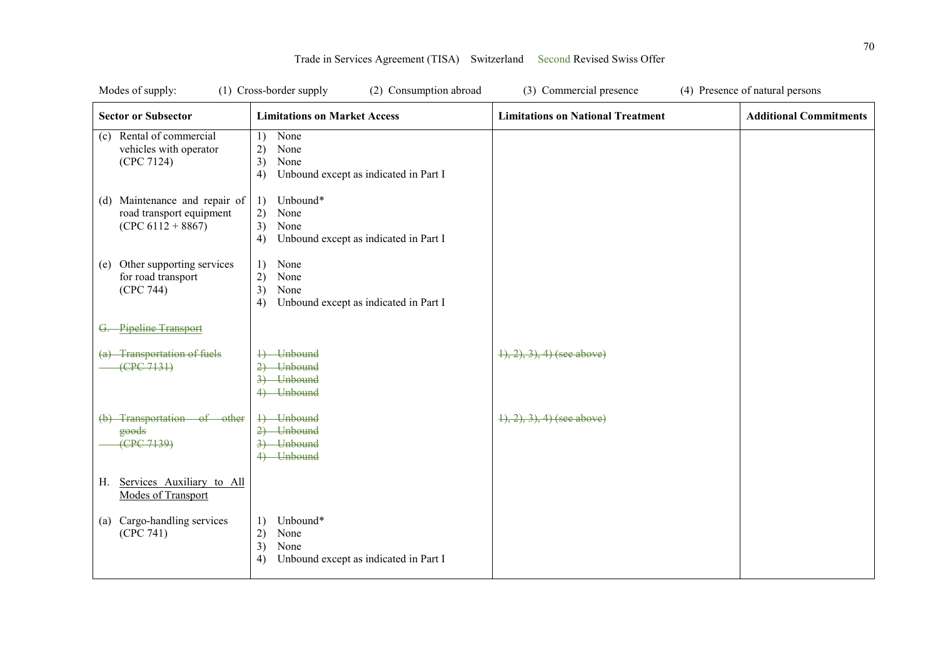| Modes of supply:<br>(1) Cross-border supply<br>(2) Consumption abroad            |                                                                                           | (3) Commercial presence<br>(4) Presence of natural persons |                               |
|----------------------------------------------------------------------------------|-------------------------------------------------------------------------------------------|------------------------------------------------------------|-------------------------------|
| <b>Sector or Subsector</b>                                                       | <b>Limitations on Market Access</b>                                                       | <b>Limitations on National Treatment</b>                   | <b>Additional Commitments</b> |
| Rental of commercial<br>(c)<br>vehicles with operator<br>(CPC 7124)              | None<br>1)<br>2)<br>None<br>3)<br>None<br>Unbound except as indicated in Part I<br>4)     |                                                            |                               |
| (d) Maintenance and repair of<br>road transport equipment<br>$(CPC 6112 + 8867)$ | 1)<br>Unbound*<br>2)<br>None<br>3)<br>None<br>4)<br>Unbound except as indicated in Part I |                                                            |                               |
| Other supporting services<br>(e)<br>for road transport<br>(CPC 744)              | 1)<br>None<br>2)<br>None<br>3)<br>None<br>4)<br>Unbound except as indicated in Part I     |                                                            |                               |
| Pipeline Transport                                                               |                                                                                           |                                                            |                               |
| (a) Transportation of fuels<br>(CPC 7131)                                        | 4) Unbound<br>2) Unbound<br>3) Unbound<br>4) Unbound                                      | $\{1, 2, 3\}$ , 4) (see above)                             |                               |
| (b) Transportation of other<br>goods<br>(CPC 7139)                               | 4) Unbound<br>2) Unbound<br>3) Unbound<br>4) Unbound                                      | $(1), (2), (3), (4)$ (see above)                           |                               |
| Services Auxiliary to All<br>Н.<br>Modes of Transport                            |                                                                                           |                                                            |                               |
| (a) Cargo-handling services<br>(CPC 741)                                         | Unbound*<br>1)<br>2)<br>None<br>3)<br>None<br>4)<br>Unbound except as indicated in Part I |                                                            |                               |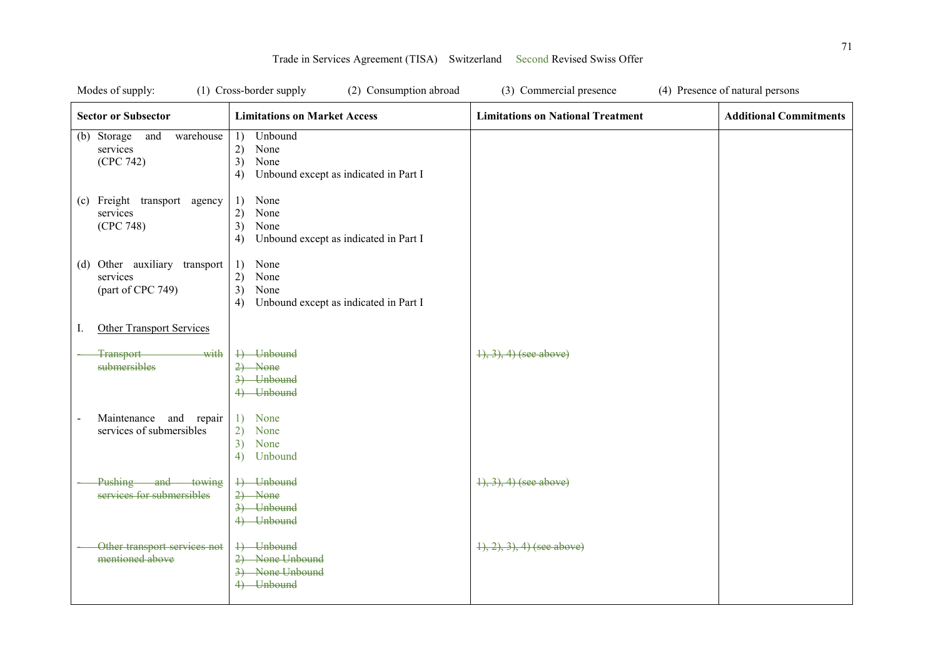| Modes of supply:                                                               | (2) Consumption abroad<br>(1) Cross-border supply                                        | (3) Commercial presence                  | (4) Presence of natural persons |
|--------------------------------------------------------------------------------|------------------------------------------------------------------------------------------|------------------------------------------|---------------------------------|
| <b>Sector or Subsector</b>                                                     | <b>Limitations on Market Access</b>                                                      | <b>Limitations on National Treatment</b> | <b>Additional Commitments</b>   |
| (b) Storage and<br>warehouse<br>services<br>(CPC 742)                          | Unbound<br>1)<br>2)<br>None<br>3)<br>None<br>Unbound except as indicated in Part I<br>4) |                                          |                                 |
| (c) Freight transport agency<br>services<br>(CPC 748)                          | None<br>1)<br>2)<br>None<br>3)<br>None<br>Unbound except as indicated in Part I<br>4)    |                                          |                                 |
| (d) Other auxiliary transport<br>services<br>(part of CPC 749)                 | 1)<br>None<br>2)<br>None<br>3)<br>None<br>Unbound except as indicated in Part I<br>4)    |                                          |                                 |
| <b>Other Transport Services</b><br>I.                                          |                                                                                          |                                          |                                 |
| with<br><b>Transport</b><br>submersibles                                       | 4) Unbound<br>$2)$ None<br>3) Unbound<br>4) Unbound                                      | $\{1, 3\}, 4$ (see above)                |                                 |
| Maintenance and repair<br>$\overline{\phantom{0}}$<br>services of submersibles | 1) None<br>2)<br>None<br>3)<br>None<br>4)<br>Unbound                                     |                                          |                                 |
| Pushing and towing<br>services for submersibles                                | 4) Unbound<br>$2)$ None<br>3) Unbound<br>4) Unbound                                      | $(1), (3), (4)$ (see above)              |                                 |
| Other transport services not<br>mentioned above                                | 4) Unbound<br>2) None Unbound<br>3) None Unbound<br>4) Unbound                           | $(1), (2), (3), (4)$ (see above)         |                                 |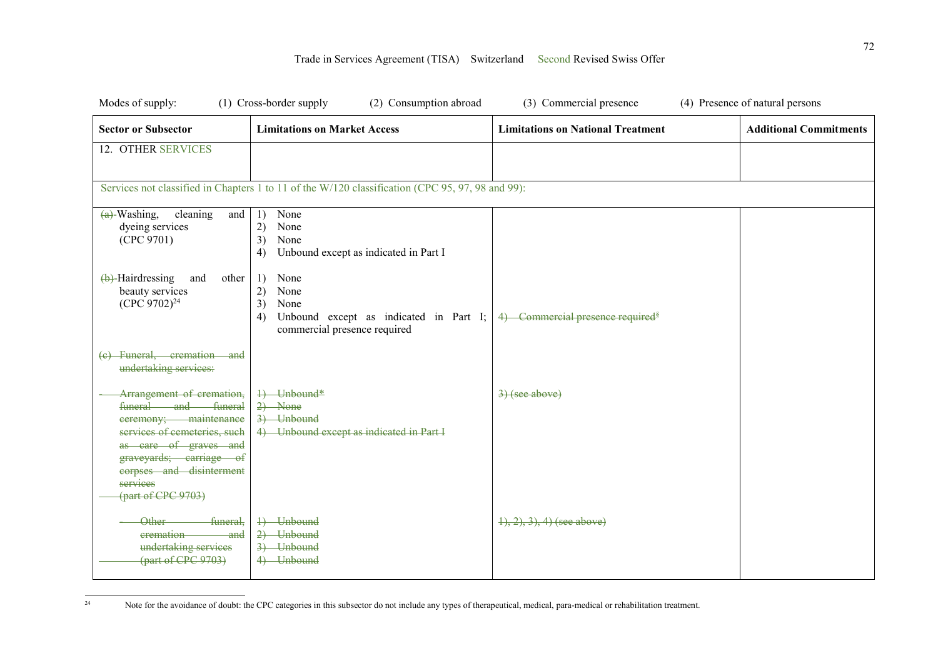| Modes of supply:                                                                                                                                                                                                            | (1) Cross-border supply<br>(2) Consumption abroad                                                                      | (3) Commercial presence                      | (4) Presence of natural persons |
|-----------------------------------------------------------------------------------------------------------------------------------------------------------------------------------------------------------------------------|------------------------------------------------------------------------------------------------------------------------|----------------------------------------------|---------------------------------|
| <b>Sector or Subsector</b>                                                                                                                                                                                                  | <b>Limitations on Market Access</b>                                                                                    | <b>Limitations on National Treatment</b>     | <b>Additional Commitments</b>   |
| 12. OTHER SERVICES                                                                                                                                                                                                          |                                                                                                                        |                                              |                                 |
|                                                                                                                                                                                                                             | Services not classified in Chapters 1 to 11 of the W/120 classification (CPC 95, 97, 98 and 99):                       |                                              |                                 |
| $(a)$ -Washing,<br>cleaning<br>and<br>dyeing services<br>(CPC 9701)                                                                                                                                                         | None<br>1)<br>2)<br>None<br>3)<br>None<br>Unbound except as indicated in Part I<br>4)                                  |                                              |                                 |
| $\left(\frac{b}{c}\right)$ -Hairdressing<br>and<br>other<br>beauty services<br>(CPC 9702) <sup>24</sup>                                                                                                                     | None<br>1)<br>2)<br>None<br>3)<br>None<br>Unbound except as indicated in Part I;<br>4)<br>commercial presence required | 4) Commercial presence required <sup>§</sup> |                                 |
| (e) Funeral, cremation and<br>undertaking services:                                                                                                                                                                         |                                                                                                                        |                                              |                                 |
| Arrangement of cremation,<br>funeral and funeral<br>ceremony; maintenance<br>services of cemeteries, such<br>as eare of graves and<br>graveyards; carriage of<br>corpses and disinterment<br>services<br>(part of CPC 9703) | 1) Unbound*<br>$2)$ None<br>3) Unbound<br>4) Unbound except as indicated in Part I                                     | $\left(3\right)(see above)$                  |                                 |
| funeral,<br>Other-<br>eremation<br><del>-and</del><br>undertaking services<br>(part of CPC 9703)                                                                                                                            | 1) Unbound<br>2) Unbound<br>3) Unbound<br>4) Unbound                                                                   | $\{1, 2, 3, 4\}$ (see above)                 |                                 |

 $\sqrt{24}$ Note for the avoidance of doubt: the CPC categories in this subsector do not include any types of therapeutical, medical, para-medical or rehabilitation treatment.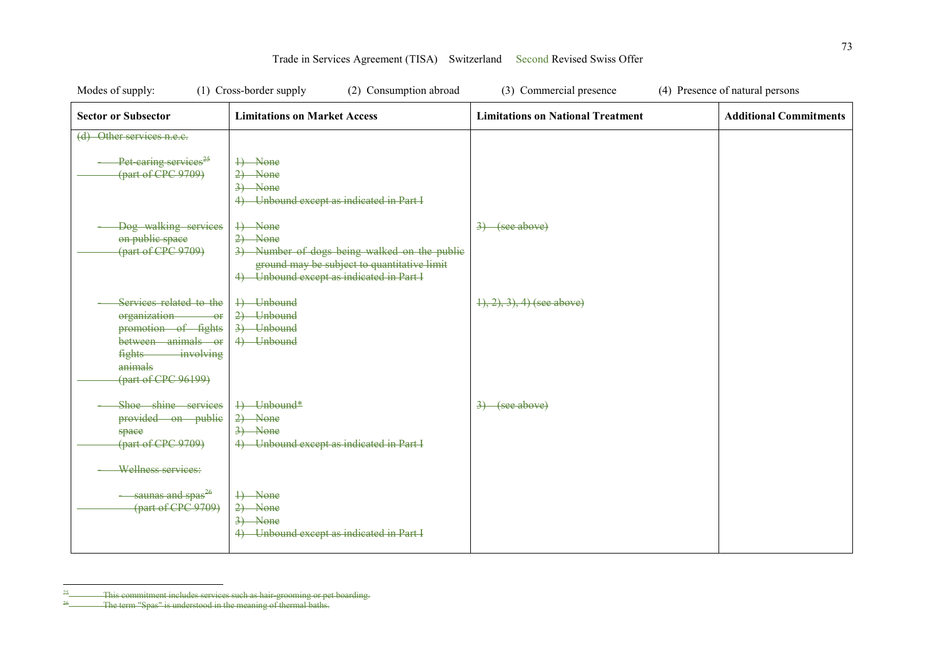| Modes of supply:                                                                                                                                                     | (1) Cross-border supply<br>(2) Consumption abroad                                                                                                               | (3) Commercial presence                  | (4) Presence of natural persons |
|----------------------------------------------------------------------------------------------------------------------------------------------------------------------|-----------------------------------------------------------------------------------------------------------------------------------------------------------------|------------------------------------------|---------------------------------|
| <b>Sector or Subsector</b>                                                                                                                                           | <b>Limitations on Market Access</b>                                                                                                                             | <b>Limitations on National Treatment</b> | <b>Additional Commitments</b>   |
| (d) Other services n.e.c.                                                                                                                                            |                                                                                                                                                                 |                                          |                                 |
| Pet caring services <sup>25</sup><br>(part of CPC 9709)                                                                                                              | 4) None<br>$2)$ None<br>$3)$ None<br>4) Unbound except as indicated in Part I                                                                                   |                                          |                                 |
| Dog walking services<br>on public space<br>(part of CPC 9709)                                                                                                        | +) None<br>$2)$ None<br>3) Number of dogs being walked on the public<br>ground may be subject to quantitative limit<br>4) Unbound except as indicated in Part I | $\left(3\right)$ (see above)             |                                 |
| Services related to the<br>organization-<br>$-o$<br>promotion of fights<br>between animals or<br><i>involving</i><br><b>fights</b><br>animals<br>(part of CPC 96199) | 4) Unbound<br>$2)$ Unbound<br>3) Unbound<br>4) Unbound                                                                                                          | $(1), (2), (3), (4)$ (see above)         |                                 |
| Shoe shine services<br>provided on public<br>space<br>(part of CPC 9709)<br>Wellness services:                                                                       | 4) Unbound*<br>$2)$ None<br>$3)$ None<br>4) Unbound except as indicated in Part I                                                                               | $3)$ (see above)                         |                                 |
| - saunas and spas <sup>26</sup><br>(part of CPC 9709)                                                                                                                | 4) None<br>$2)$ None<br>$3)$ None<br>4) Unbound except as indicated in Part I                                                                                   |                                          |                                 |

 $\frac{25}{26}$ <sup>25</sup> This commitment includes services such as hair-grooming or pet boarding.

<sup>&</sup>lt;sup>26</sup> The term "Spas" is understood in the meaning of thermal baths.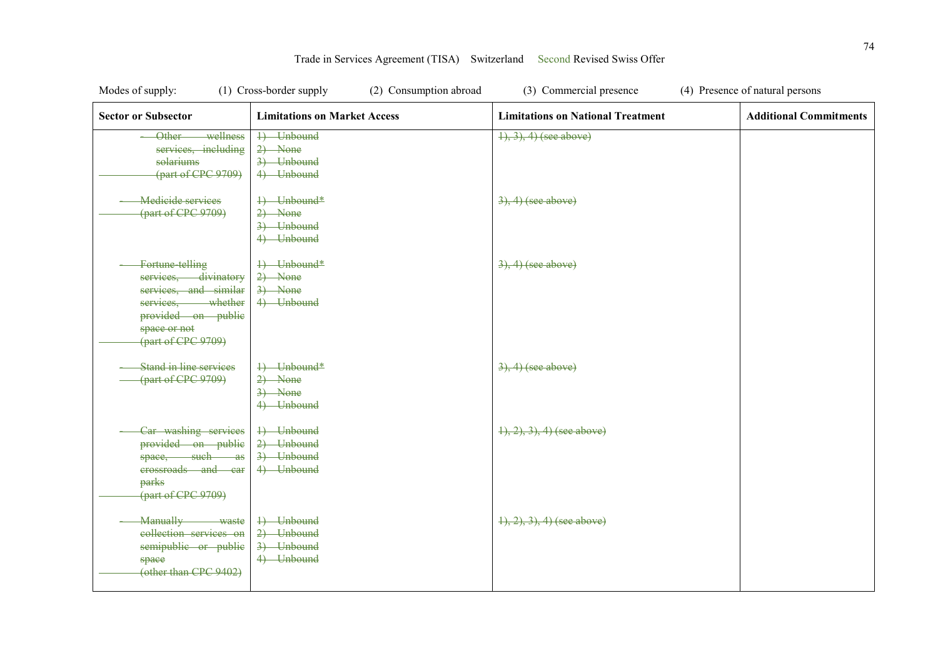| Modes of supply:<br>(1) Cross-border supply<br>(2) Consumption abroad                                                                             |                                                      | (3) Commercial presence<br>(4) Presence of natural persons |                               |
|---------------------------------------------------------------------------------------------------------------------------------------------------|------------------------------------------------------|------------------------------------------------------------|-------------------------------|
| <b>Sector or Subsector</b>                                                                                                                        | <b>Limitations on Market Access</b>                  | <b>Limitations on National Treatment</b>                   | <b>Additional Commitments</b> |
| wellness<br>Other<br>services, including<br>solariums<br>(part of CPC 9709)                                                                       | 1) Unbound<br>$2)$ None<br>3) Unbound<br>4) Unbound  | $(4), (3), (4)$ (see above)                                |                               |
| <b>Medicide services</b><br>(part of CPC 9709)                                                                                                    | 4) Unbound*<br>$2)$ None<br>3) Unbound<br>4) Unbound | $3, 4)$ (see above)                                        |                               |
| Fortune telling<br>services, divinatory<br>services, and similar<br>services, whether<br>provided on public<br>space or not<br>(part of CPC 9709) | 4) Unbound*<br>$2)$ None<br>$3)$ None<br>4) Unbound  | $3, 4)$ (see above)                                        |                               |
| <b>Stand in line services</b><br>(part of CPC 9709)                                                                                               | 4) Unbound*<br>$2)$ None<br>$3)$ None<br>4) Unbound  | $3, 4)$ (see above)                                        |                               |
| Car washing services<br>provided on public<br>space, such as<br>erossroads and car<br>parks<br>(part of CPC 9709)                                 | 4) Unbound<br>2) Unbound<br>3) Unbound<br>4) Unbound | $\{1, 2, 3\}$ , 4) (see above)                             |                               |
| <b>Manually</b><br>waste<br>collection services on<br>semipublic or public<br>space<br>(other than CPC 9402)                                      | 4) Unbound<br>2) Unbound<br>3) Unbound<br>4) Unbound | $\{1, 2, 3\}$ , 4) (see above)                             |                               |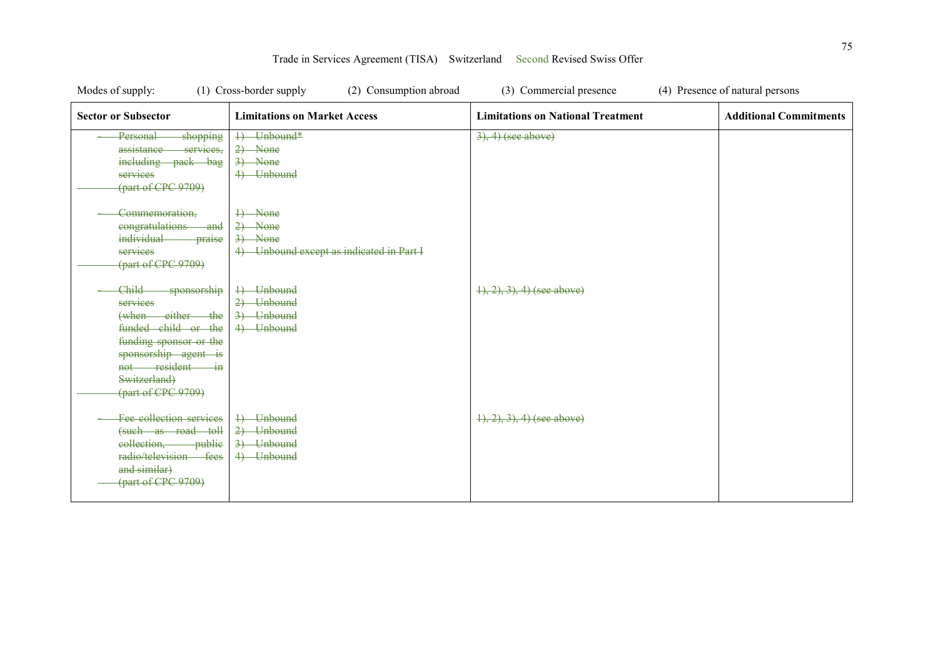| Modes of supply:                                                                                                                                                                        | (1) Cross-border supply<br>(2) Consumption abroad                             | (3) Commercial presence                  | (4) Presence of natural persons |
|-----------------------------------------------------------------------------------------------------------------------------------------------------------------------------------------|-------------------------------------------------------------------------------|------------------------------------------|---------------------------------|
| <b>Sector or Subsector</b>                                                                                                                                                              | <b>Limitations on Market Access</b>                                           | <b>Limitations on National Treatment</b> | <b>Additional Commitments</b>   |
| Personal<br>shopping<br>assistance<br>services.<br>including pack bag<br>services<br>(part of CPC 9709)                                                                                 | 1) Unbound*<br>$2)$ None<br>$3)$ None<br>4) Unbound                           | $3, 4)$ (see above)                      |                                 |
| Commemoration,<br>eongratulations<br><del>and</del><br><i>individual</i><br>praise<br>services<br>(part of CPC 9709)                                                                    | 4) None<br>$2)$ None<br>$3)$ None<br>4) Unbound except as indicated in Part I |                                          |                                 |
| Child-<br>sponsorship<br>services<br>(when either the<br>funded child or the<br>funding sponsor or the<br>sponsorship agent is<br>not resident in<br>Switzerland)<br>(part of CPC 9709) | 4) Unbound<br>2) Unbound<br>3) Unbound<br>4) Unbound                          | $\{1, 2, 3\}$ , 4) (see above)           |                                 |
| Fee collection services<br>(such as road toll<br>eollection, public<br>radio/television fees<br>and similar)<br>(part of CPC 9709)                                                      | 4) Unbound<br>2) Unbound<br>3) Unbound<br>4) Unbound                          | $(1), (2), (3), (4)$ (see above)         |                                 |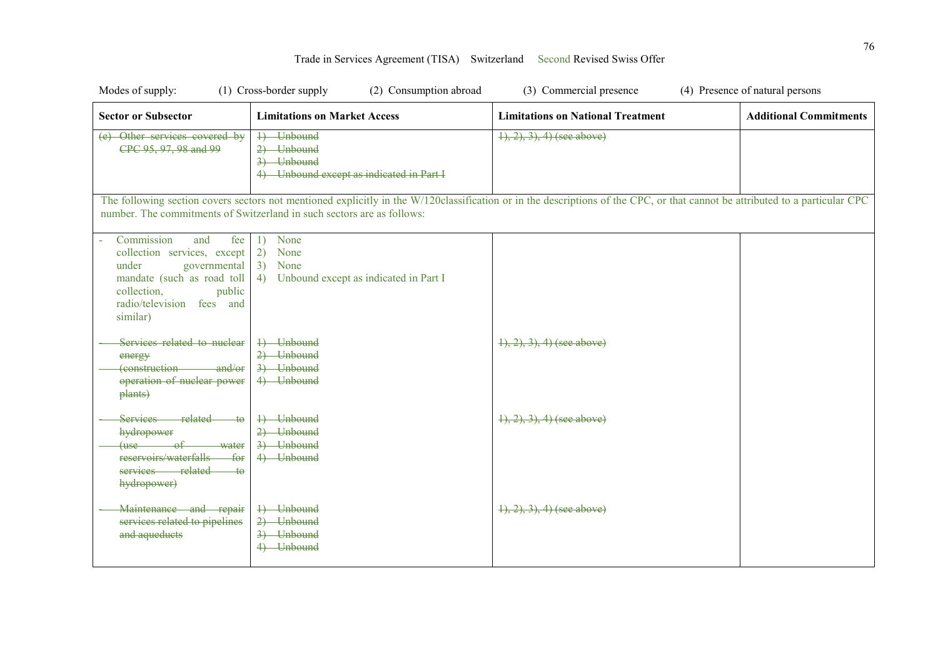| Modes of supply:                                                                                                                                                                 | (1) Cross-border supply<br>(2) Consumption abroad                                     | (3) Commercial presence                                                                                                                                                      | (4) Presence of natural persons |
|----------------------------------------------------------------------------------------------------------------------------------------------------------------------------------|---------------------------------------------------------------------------------------|------------------------------------------------------------------------------------------------------------------------------------------------------------------------------|---------------------------------|
| <b>Sector or Subsector</b>                                                                                                                                                       | <b>Limitations on Market Access</b>                                                   | <b>Limitations on National Treatment</b>                                                                                                                                     | <b>Additional Commitments</b>   |
| (e) Other services covered by<br>CPC 95, 97, 98 and 99                                                                                                                           | 1) Unbound<br>2) Unbound<br>3) Unbound<br>4) Unbound except as indicated in Part I    | $1, 2, 3, 4$ (see above)                                                                                                                                                     |                                 |
|                                                                                                                                                                                  | number. The commitments of Switzerland in such sectors are as follows:                | The following section covers sectors not mentioned explicitly in the W/120classification or in the descriptions of the CPC, or that cannot be attributed to a particular CPC |                                 |
| Commission<br>and<br>fee<br>collection services, except<br>under<br>governmental<br>mandate (such as road toll<br>collection,<br>public<br>radio/television fees and<br>similar) | None<br>1)<br>2)<br>None<br>3)<br>None<br>4)<br>Unbound except as indicated in Part I |                                                                                                                                                                              |                                 |
| Services related to nuclear<br>energy<br>(construction and/or<br>operation of nuclear power<br>plants)                                                                           | 4) Unbound<br>2) Unbound<br>3) Unbound<br>4) Unbound                                  | $\{1, 2, 3\}$ , 4) (see above)                                                                                                                                               |                                 |
| Services related<br>ŧθ<br>hydropower<br>$(use \tof$<br>water<br>reservoirs/waterfalls<br>$f_{\Theta}$<br>services related<br>$\pm$ o<br>hydropower)                              | 4) Unbound<br>2) Unbound<br>3) Unbound<br>4) Unbound                                  | $(1), (2), (3), (4)$ (see above)                                                                                                                                             |                                 |
| Maintenance and repair<br>services related to pipelines<br>and aqueducts                                                                                                         | 4) Unbound<br>2) Unbound<br>3) Unbound<br>4) Unbound                                  | $\{1, 2, 3, 4\}$ (see above)                                                                                                                                                 |                                 |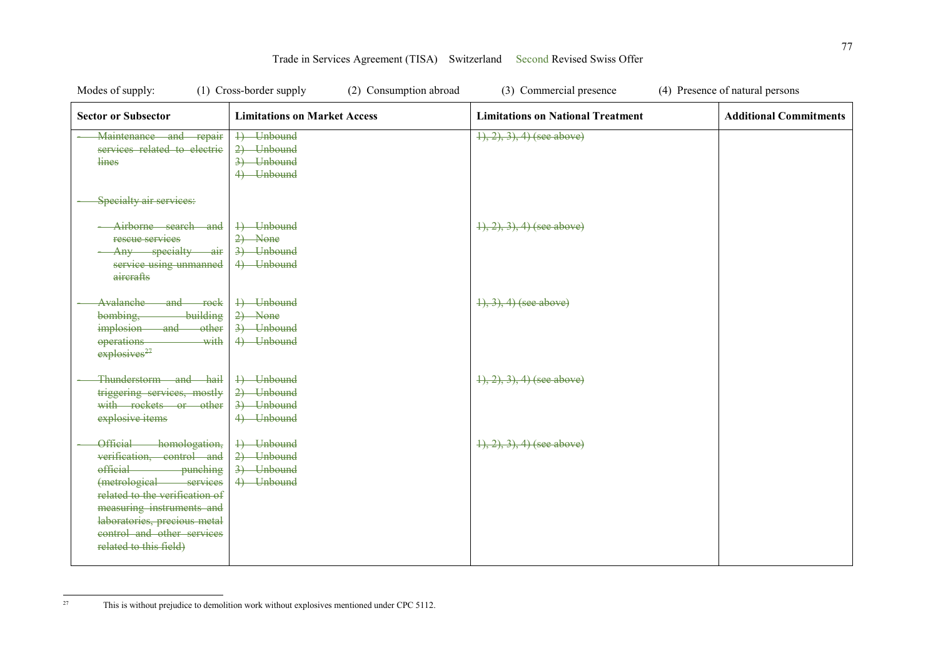| Modes of supply:                                                                                                                                                                                                                                                          | (1) Cross-border supply<br>(2) Consumption abroad    | (3) Commercial presence                  | (4) Presence of natural persons |
|---------------------------------------------------------------------------------------------------------------------------------------------------------------------------------------------------------------------------------------------------------------------------|------------------------------------------------------|------------------------------------------|---------------------------------|
| <b>Sector or Subsector</b>                                                                                                                                                                                                                                                | <b>Limitations on Market Access</b>                  | <b>Limitations on National Treatment</b> | <b>Additional Commitments</b>   |
| Maintenance and repair<br>services related to electric<br>lines                                                                                                                                                                                                           | 4) Unbound<br>2) Unbound<br>3) Unbound<br>4) Unbound | $(1), (2), (3), (4)$ (see above)         |                                 |
| Specialty air services:                                                                                                                                                                                                                                                   |                                                      |                                          |                                 |
| Airborne search and<br>rescue services<br>Any specialty air<br>service using unmanned<br>aircrafts                                                                                                                                                                        | 4) Unbound<br>$2)$ None<br>3) Unbound<br>4) Unbound  | $\{1, 2, 3\}$ , 4) (see above)           |                                 |
| Avalanche-<br>and rock<br>building<br>bombing,<br>implosion and<br>other<br>operations<br>with<br>explosives <sup>27</sup>                                                                                                                                                | 4) Unbound<br>$2)$ None<br>3) Unbound<br>4) Unbound  | $\{1, 3\}, 4$ (see above)                |                                 |
| Thunderstorm and hail<br>triggering services, mostly<br>with rockets or other<br>explosive items                                                                                                                                                                          | 4) Unbound<br>2) Unbound<br>3) Unbound<br>4) Unbound | $(1), (2), (3), (4)$ (see above)         |                                 |
| Official-<br>homologation,<br>verification, control and<br><i>efficial</i><br>- punching<br>(metrological services<br>related to the verification of<br>measuring instruments and<br>laboratories, precious metal<br>control and other services<br>related to this field) | 4) Unbound<br>2) Unbound<br>3) Unbound<br>4) Unbound | $(1), (2), (3), (4)$ (see above)         |                                 |

 $27\,$ This is without prejudice to demolition work without explosives mentioned under CPC 5112.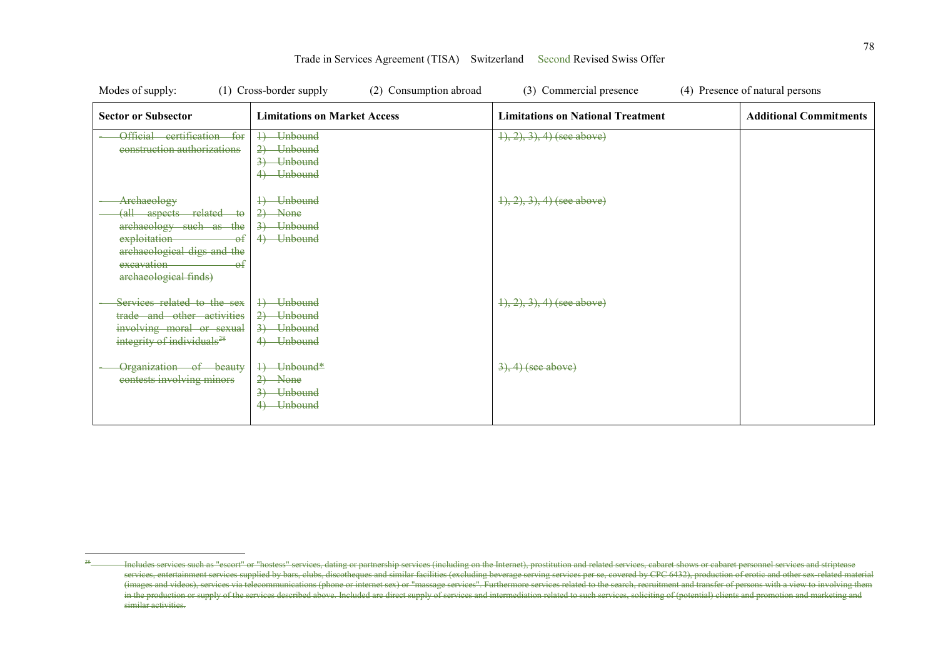| Modes of supply:                                                                                                                                              | (1) Cross-border supply<br>(2) Consumption abroad                                                         | (3) Commercial presence                  | (4) Presence of natural persons |
|---------------------------------------------------------------------------------------------------------------------------------------------------------------|-----------------------------------------------------------------------------------------------------------|------------------------------------------|---------------------------------|
| <b>Sector or Subsector</b>                                                                                                                                    | <b>Limitations on Market Access</b>                                                                       | <b>Limitations on National Treatment</b> | <b>Additional Commitments</b>   |
| Official<br>eertification<br>$f_{\Theta}f$<br>construction authorizations                                                                                     | Unbound<br>$\downarrow$<br>$2+$<br><b>Unbound</b><br>$\overline{\mathbf{3}}$<br>Unbound<br><b>Unbound</b> | $(1), (2), (3), (4)$ (see above)         |                                 |
| Archaeology<br>(all aspects related to<br>archaeology such as the<br>exploitation<br>archaeological digs and the<br>excavation<br>θŧ<br>archaeological finds) | Unbound<br>$^{+}$<br>$\rightarrow$<br>$\rightarrow$ None<br>3) Unbound<br>4<br><b>Unbound</b>             | $\{1, 2, 3\}$ , 4) (see above)           |                                 |
| Services related to the sex<br>trade and other activities<br>involving moral or sexual<br>integrity of individuals <sup>28</sup>                              | Unbound<br>2) Unbound<br>$\overline{3}$<br>Unbound<br><b>Unbound</b>                                      | $\{1, 2, 3\}$ , 4) (see above)           |                                 |
| Organization of beauty<br>contests involving minors                                                                                                           | Unbound*<br>₽<br>$\rightarrow$ None<br>2)<br>$\overline{3}$<br>Unbound<br><b>Unbound</b>                  | $3, 4)$ (see above)                      |                                 |

 $\overline{a}$ Includes services such as "escort" or "hostess" services, dating or partnership services (including on the Internet), prostitution and related services, cabaret shows or cabaret personnel services and striptease services, entertainment services supplied by bars, clubs, discotheques and similar facilities (excluding beverage serving services per se, covered by CPC 6432), production of erotic and other sex-related material services (images and videos), services via telecommunications (phone or internet sex) or "massage services". Furthermore services related to the search, recruitment and transfer of persons with a view to involving them in the production or supply of the services described above. Included are direct supply of services and intermediation related to such services, soliciting of (potential) clients and promotion and marketing and similar activities.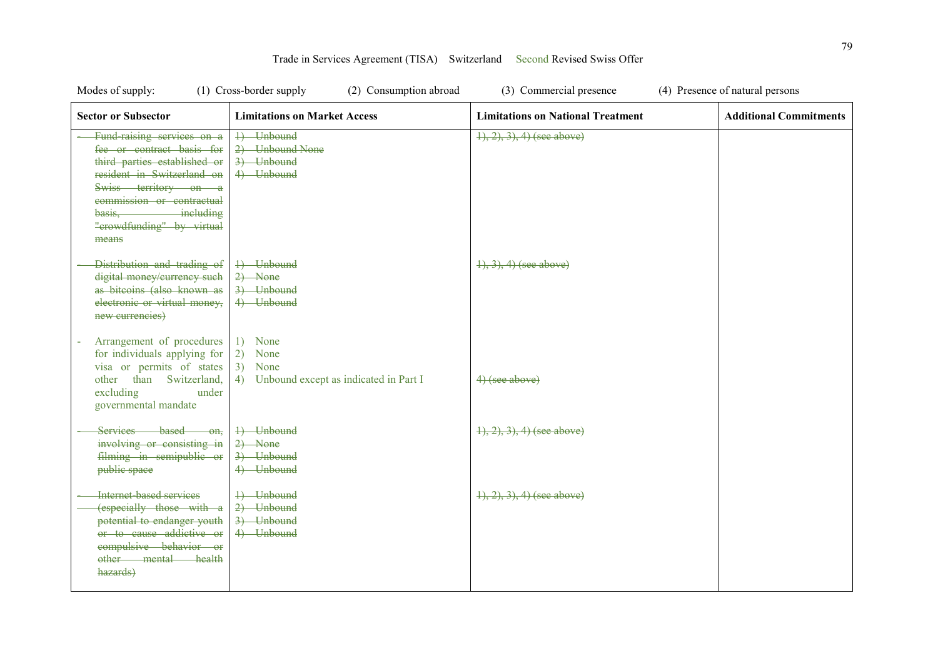| Modes of supply:                                                                                                                                                                                                                     | (1) Cross-border supply<br>(2) Consumption abroad                               | (3) Commercial presence                  | (4) Presence of natural persons |
|--------------------------------------------------------------------------------------------------------------------------------------------------------------------------------------------------------------------------------------|---------------------------------------------------------------------------------|------------------------------------------|---------------------------------|
| <b>Sector or Subsector</b>                                                                                                                                                                                                           | <b>Limitations on Market Access</b>                                             | <b>Limitations on National Treatment</b> | <b>Additional Commitments</b>   |
| Fund raising services on a<br>fee or contract basis for<br>third parties established or<br>resident in Switzerland on<br>Swiss territory on a<br>commission or contractual<br>basis, including<br>"crowdfunding" by virtual<br>means | 4) Unbound<br>2) Unbound None<br>3) Unbound<br>4) Unbound                       | $1, 2, 3, 4$ (see above)                 |                                 |
| Distribution and trading of<br>digital money/currency such<br>as bitcoins (also known as<br>electronic or virtual money,<br>new currencies)                                                                                          | 4) Unbound<br>$2)$ None<br>3) Unbound<br>4) Unbound                             | $\{1, 3\}$ , 4) (see above)              |                                 |
| Arrangement of procedures<br>for individuals applying for<br>visa or permits of states<br>other than Switzerland,<br>excluding<br>under<br>governmental mandate                                                                      | 1) None<br>2)<br>None<br>3)<br>None<br>4) Unbound except as indicated in Part I | 4) (see above)                           |                                 |
| Services based on,<br>involving or consisting in<br>filming in semipublic or<br>public space                                                                                                                                         | 4) Unbound<br>$2)$ None<br>3) Unbound<br>4) Unbound                             | $(1), (2), (3), (4)$ (see above)         |                                 |
| Internet-based services<br>(especially those with a<br>potential to endanger youth<br>or to cause addictive or<br>compulsive behavior or<br>other mental health<br>hazards)                                                          | +) Unbound<br>2) Unbound<br>3) Unbound<br>4) Unbound                            | $\{1, 2, 3\}$ , 4) (see above)           |                                 |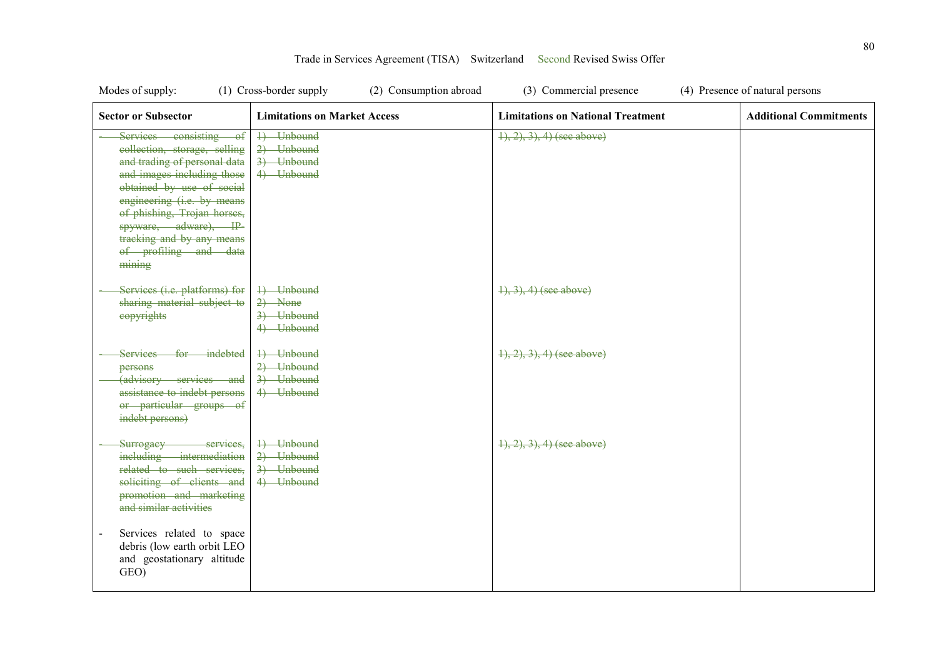| Modes of supply:                                                                                                                                                                                                                                                                                        | (1) Cross-border supply<br>(2) Consumption abroad    | (3) Commercial presence                  | (4) Presence of natural persons |
|---------------------------------------------------------------------------------------------------------------------------------------------------------------------------------------------------------------------------------------------------------------------------------------------------------|------------------------------------------------------|------------------------------------------|---------------------------------|
| <b>Sector or Subsector</b>                                                                                                                                                                                                                                                                              | <b>Limitations on Market Access</b>                  | <b>Limitations on National Treatment</b> | <b>Additional Commitments</b>   |
| Services consisting of<br>collection, storage, selling<br>and trading of personal data<br>and images including those<br>obtained by use of social<br>engineering (i.e. by means<br>of phishing, Trojan horses,<br>spyware, adware), IP-<br>tracking and by any means<br>of profiling and data<br>mining | 4) Unbound<br>2) Unbound<br>3) Unbound<br>4) Unbound | $1, 2, 3, 4$ (see above)                 |                                 |
| Services (i.e. platforms) for<br>sharing material subject to<br>eopyrights                                                                                                                                                                                                                              | 4) Unbound<br>$2)$ None<br>3) Unbound<br>4) Unbound  | $1, 3, 4$ (see above)                    |                                 |
| Services for indebted<br>persons<br>(advisory services and<br>assistance to indebt persons<br>or particular groups of<br>indebt persons)                                                                                                                                                                | 4) Unbound<br>2) Unbound<br>3) Unbound<br>4) Unbound | $(1), (2), (3), (4)$ (see above)         |                                 |
| Surrogacy services,<br>including intermediation<br>related to such services,<br>soliciting of clients and<br>promotion and marketing<br>and similar activities<br>Services related to space                                                                                                             | 4) Unbound<br>2) Unbound<br>3) Unbound<br>4) Unbound | $(1), (2), (3), (4)$ (see above)         |                                 |
| debris (low earth orbit LEO<br>and geostationary altitude<br>GEO)                                                                                                                                                                                                                                       |                                                      |                                          |                                 |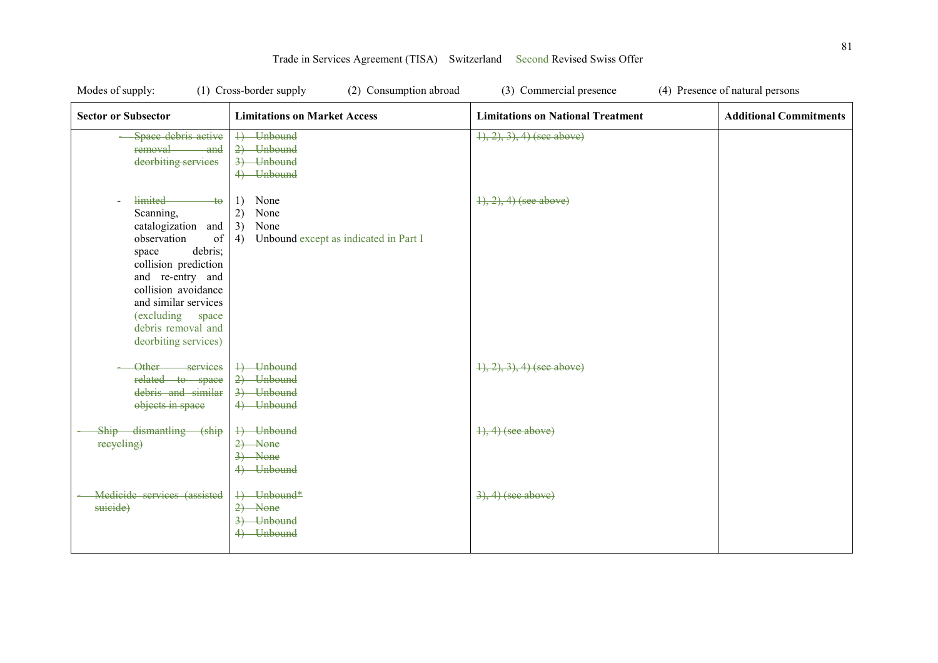| Modes of supply:                                                                                                                                                                                                                                                  | (1) Cross-border supply<br>(2) Consumption abroad                                     | (3) Commercial presence                  | (4) Presence of natural persons |
|-------------------------------------------------------------------------------------------------------------------------------------------------------------------------------------------------------------------------------------------------------------------|---------------------------------------------------------------------------------------|------------------------------------------|---------------------------------|
| <b>Sector or Subsector</b>                                                                                                                                                                                                                                        | <b>Limitations on Market Access</b>                                                   | <b>Limitations on National Treatment</b> | <b>Additional Commitments</b>   |
| Space debris active<br>removal<br><del>- and</del><br>deorbiting services                                                                                                                                                                                         | 1) Unbound<br>2) Unbound<br>3) Unbound<br>4) Unbound                                  | $(1), (2), (3), (4)$ (see above)         |                                 |
| limited<br>$+\theta$<br>Scanning,<br>catalogization and<br>observation<br>of<br>debris;<br>space<br>collision prediction<br>and re-entry and<br>collision avoidance<br>and similar services<br>(excluding)<br>space<br>debris removal and<br>deorbiting services) | None<br>1)<br>2)<br>None<br>3)<br>None<br>Unbound except as indicated in Part I<br>4) | $1, 2, 4$ (see above)                    |                                 |
| Other services<br>related to space<br>debris and similar<br>objects in space                                                                                                                                                                                      | 4) Unbound<br>2) Unbound<br>3) Unbound<br>4) Unbound                                  | $(1), (2), (3), (4)$ (see above)         |                                 |
| Ship dismantling (ship<br>recycling)                                                                                                                                                                                                                              | 4) Unbound<br>$2)$ None<br>$\rightarrow$ None<br>4) Unbound                           | $\{1\}, 4)$ (see above)                  |                                 |
| Medicide services (assisted<br>suicide)                                                                                                                                                                                                                           | +) Unbound*<br>$2)$ None<br>3) Unbound<br>4) Unbound                                  | $3, 4)$ (see above)                      |                                 |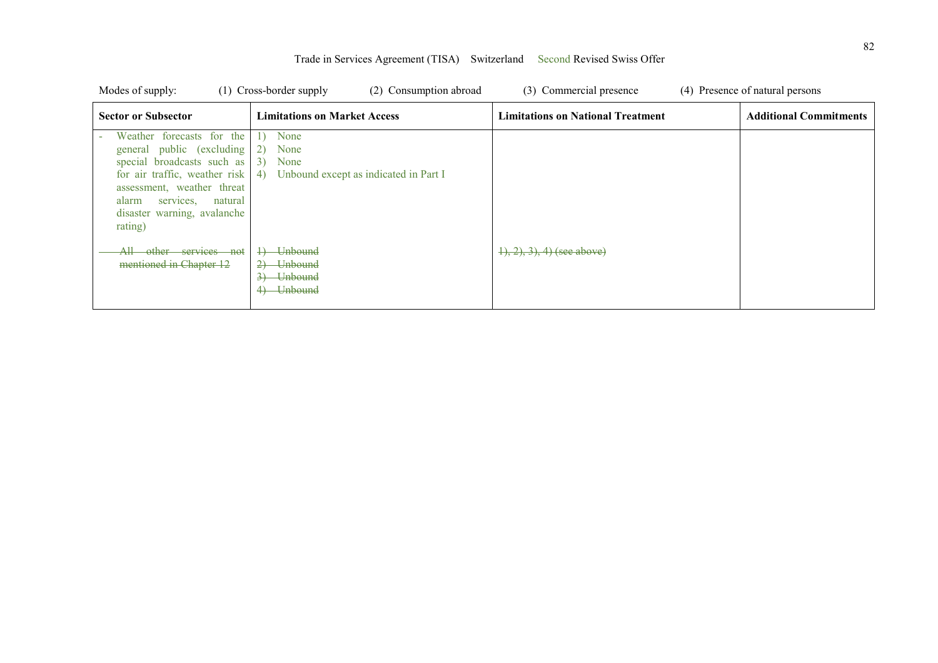| Modes of supply:                                                                                                                                                                                                                      | (1) Cross-border supply<br>(2) Consumption abroad                                                                            | (3) Commercial presence                  | (4) Presence of natural persons |
|---------------------------------------------------------------------------------------------------------------------------------------------------------------------------------------------------------------------------------------|------------------------------------------------------------------------------------------------------------------------------|------------------------------------------|---------------------------------|
| <b>Sector or Subsector</b>                                                                                                                                                                                                            | <b>Limitations on Market Access</b>                                                                                          | <b>Limitations on National Treatment</b> | <b>Additional Commitments</b>   |
| Weather forecasts for the<br>general public (excluding<br>special broadcasts such as<br>for air traffic, weather risk $ 4$ )<br>assessment, weather threat<br>natural<br>alarm<br>services,<br>disaster warning, avalanche<br>rating) | None<br>2)<br>None<br>3)<br>None<br>Unbound except as indicated in Part I                                                    |                                          |                                 |
| other services not<br>Аll<br>mentioned in Chapter 12                                                                                                                                                                                  | <b>Unbound</b><br>$\rightarrow$<br><del>Unbound</del><br>$\rightarrow$<br><del>Unbound</del><br>$\overline{3}$<br>4) Unbound | $(1), (2), (3), (4)$ (see above)         |                                 |